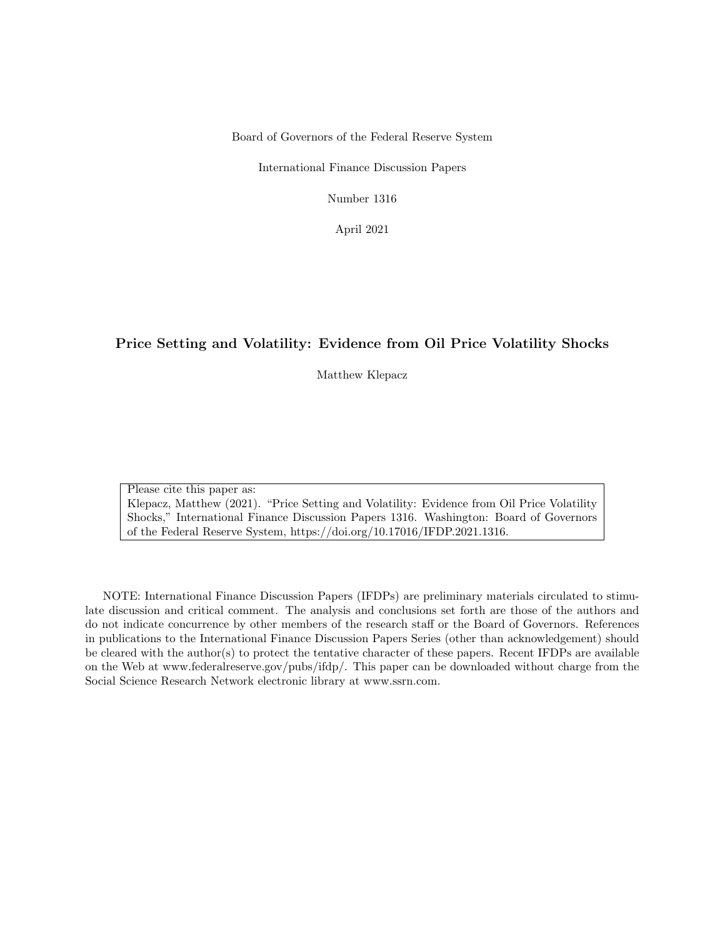Board of Governors of the Federal Reserve System

International Finance Discussion Papers

Number 1316

April 2021

#### Price Setting and Volatility: Evidence from Oil Price Volatility Shocks

Matthew Klepacz

Please cite this paper as:

Klepacz, Matthew (2021). "Price Setting and Volatility: Evidence from Oil Price Volatility Shocks," International Finance Discussion Papers 1316. Washington: Board of Governors of the Federal Reserve System, https://doi.org/10.17016/IFDP.2021.1316.

NOTE: International Finance Discussion Papers (IFDPs) are preliminary materials circulated to stimulate discussion and critical comment. The analysis and conclusions set forth are those of the authors and do not indicate concurrence by other members of the research staff or the Board of Governors. References in publications to the International Finance Discussion Papers Series (other than acknowledgement) should be cleared with the author(s) to protect the tentative character of these papers. Recent IFDPs are available on the Web at www.federalreserve.gov/pubs/ifdp/. This paper can be downloaded without charge from the Social Science Research Network electronic library at www.ssrn.com.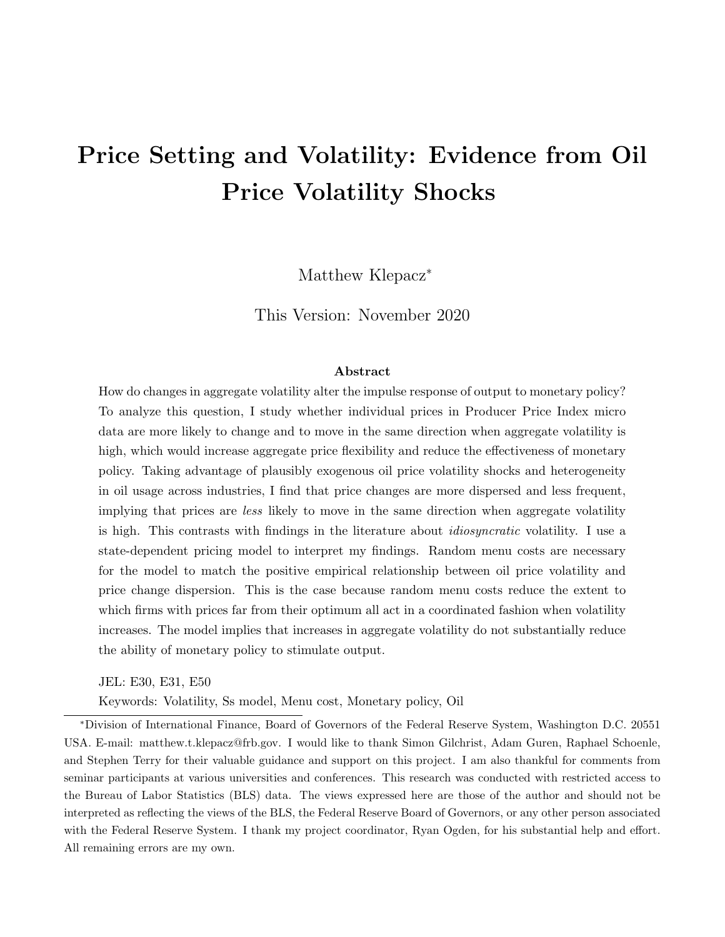# <span id="page-1-0"></span>Price Setting and Volatility: Evidence from Oil Price Volatility Shocks

Matthew Klepacz<sup>\*</sup>

This Version: November 2020

#### Abstract

How do changes in aggregate volatility alter the impulse response of output to monetary policy? To analyze this question, I study whether individual prices in Producer Price Index micro data are more likely to change and to move in the same direction when aggregate volatility is high, which would increase aggregate price flexibility and reduce the effectiveness of monetary policy. Taking advantage of plausibly exogenous oil price volatility shocks and heterogeneity in oil usage across industries, I find that price changes are more dispersed and less frequent, implying that prices are less likely to move in the same direction when aggregate volatility is high. This contrasts with findings in the literature about *idiosyncratic* volatility. I use a state-dependent pricing model to interpret my findings. Random menu costs are necessary for the model to match the positive empirical relationship between oil price volatility and price change dispersion. This is the case because random menu costs reduce the extent to which firms with prices far from their optimum all act in a coordinated fashion when volatility increases. The model implies that increases in aggregate volatility do not substantially reduce the ability of monetary policy to stimulate output.

JEL: E30, E31, E50

Keywords: Volatility, Ss model, Menu cost, Monetary policy, Oil

<sup>∗</sup>Division of International Finance, Board of Governors of the Federal Reserve System, Washington D.C. 20551 USA. E-mail: matthew.t.klepacz@frb.gov. I would like to thank Simon Gilchrist, Adam Guren, Raphael Schoenle, and Stephen Terry for their valuable guidance and support on this project. I am also thankful for comments from seminar participants at various universities and conferences. This research was conducted with restricted access to the Bureau of Labor Statistics (BLS) data. The views expressed here are those of the author and should not be interpreted as reflecting the views of the BLS, the Federal Reserve Board of Governors, or any other person associated with the Federal Reserve System. I thank my project coordinator, Ryan Ogden, for his substantial help and effort. All remaining errors are my own.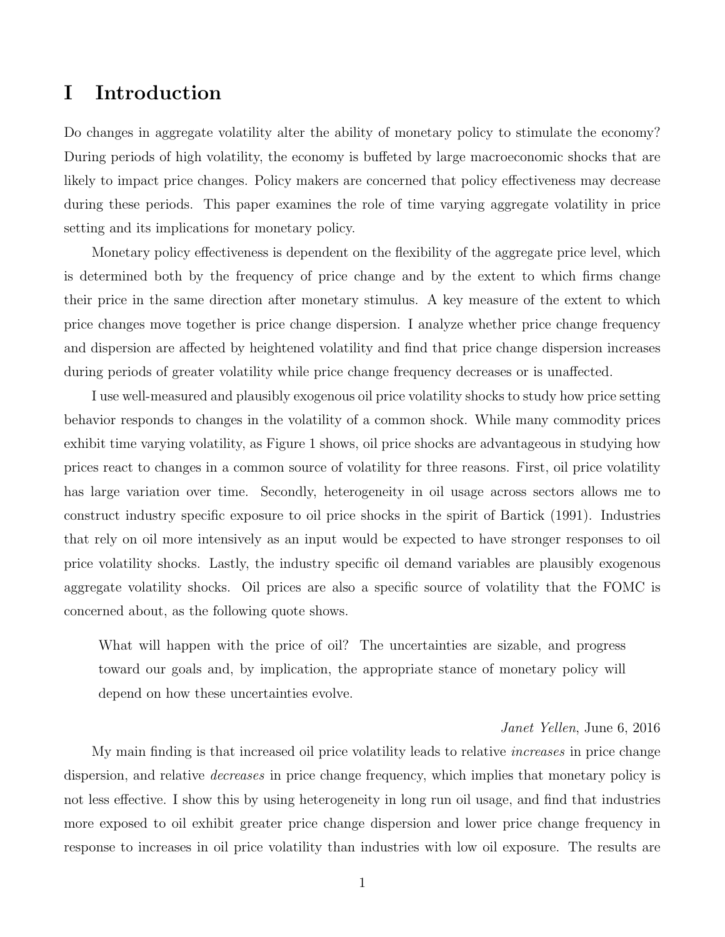# I Introduction

Do changes in aggregate volatility alter the ability of monetary policy to stimulate the economy? During periods of high volatility, the economy is buffeted by large macroeconomic shocks that are likely to impact price changes. Policy makers are concerned that policy effectiveness may decrease during these periods. This paper examines the role of time varying aggregate volatility in price setting and its implications for monetary policy.

Monetary policy effectiveness is dependent on the flexibility of the aggregate price level, which is determined both by the frequency of price change and by the extent to which firms change their price in the same direction after monetary stimulus. A key measure of the extent to which price changes move together is price change dispersion. I analyze whether price change frequency and dispersion are affected by heightened volatility and find that price change dispersion increases during periods of greater volatility while price change frequency decreases or is unaffected.

I use well-measured and plausibly exogenous oil price volatility shocks to study how price setting behavior responds to changes in the volatility of a common shock. While many commodity prices exhibit time varying volatility, as Figure [1](#page-3-0) shows, oil price shocks are advantageous in studying how prices react to changes in a common source of volatility for three reasons. First, oil price volatility has large variation over time. Secondly, heterogeneity in oil usage across sectors allows me to construct industry specific exposure to oil price shocks in the spirit of [Bartick](#page-41-0) [\(1991\)](#page-41-0). Industries that rely on oil more intensively as an input would be expected to have stronger responses to oil price volatility shocks. Lastly, the industry specific oil demand variables are plausibly exogenous aggregate volatility shocks. Oil prices are also a specific source of volatility that the FOMC is concerned about, as the following quote shows.

What will happen with the price of oil? The uncertainties are sizable, and progress toward our goals and, by implication, the appropriate stance of monetary policy will depend on how these uncertainties evolve.

#### Janet Yellen, June 6, 2016

My main finding is that increased oil price volatility leads to relative *increases* in price change dispersion, and relative *decreases* in price change frequency, which implies that monetary policy is not less effective. I show this by using heterogeneity in long run oil usage, and find that industries more exposed to oil exhibit greater price change dispersion and lower price change frequency in response to increases in oil price volatility than industries with low oil exposure. The results are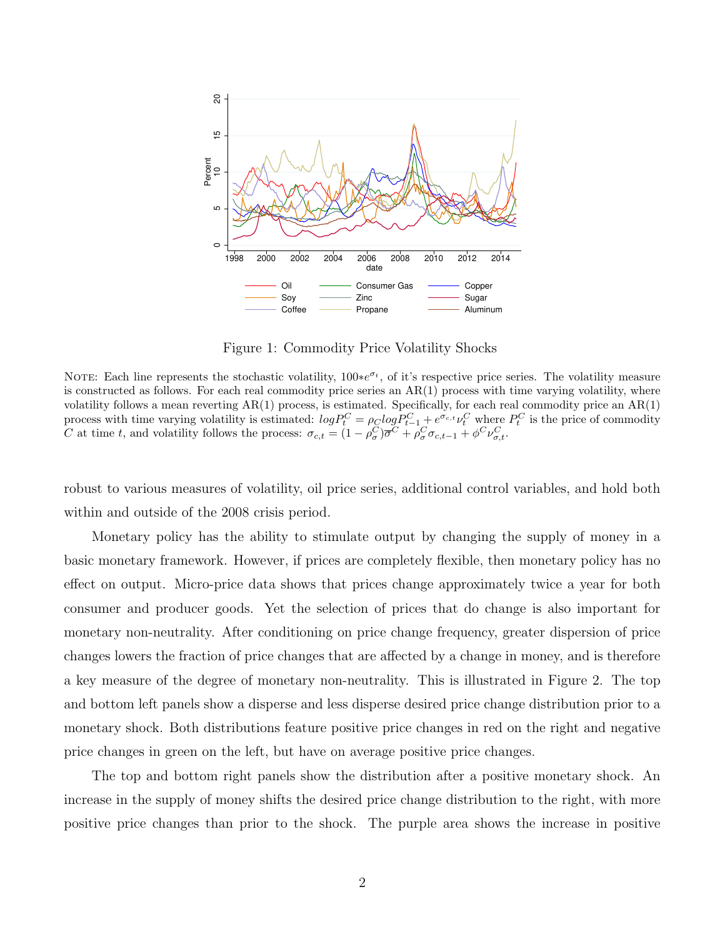<span id="page-3-0"></span>

Figure 1: Commodity Price Volatility Shocks

NOTE: Each line represents the stochastic volatility,  $100*e^{\sigma_t}$ , of it's respective price series. The volatility measure is constructed as follows. For each real commodity price series an  $AR(1)$  process with time varying volatility, where volatility follows a mean reverting  $AR(1)$  process, is estimated. Specifically, for each real commodity price an  $AR(1)$ process with time varying volatility is estimated:  $log P_t^C = \rho_C log P_{t-1}^C + e^{\sigma_{c,t}} \nu_t^C$  where  $P_t^C$  is the price of commodity C at time t, and volatility follows the process:  $\sigma_{c,t} = (1 - \rho_{\sigma}^C)\overline{\sigma}^C + \rho_{\sigma}^C \sigma_{c,t-1} + \phi^C \nu_{\sigma,t}^C$ .

robust to various measures of volatility, oil price series, additional control variables, and hold both within and outside of the 2008 crisis period.

Monetary policy has the ability to stimulate output by changing the supply of money in a basic monetary framework. However, if prices are completely flexible, then monetary policy has no effect on output. Micro-price data shows that prices change approximately twice a year for both consumer and producer goods. Yet the selection of prices that do change is also important for monetary non-neutrality. After conditioning on price change frequency, greater dispersion of price changes lowers the fraction of price changes that are affected by a change in money, and is therefore a key measure of the degree of monetary non-neutrality. This is illustrated in Figure [2.](#page-4-0) The top and bottom left panels show a disperse and less disperse desired price change distribution prior to a monetary shock. Both distributions feature positive price changes in red on the right and negative price changes in green on the left, but have on average positive price changes.

The top and bottom right panels show the distribution after a positive monetary shock. An increase in the supply of money shifts the desired price change distribution to the right, with more positive price changes than prior to the shock. The purple area shows the increase in positive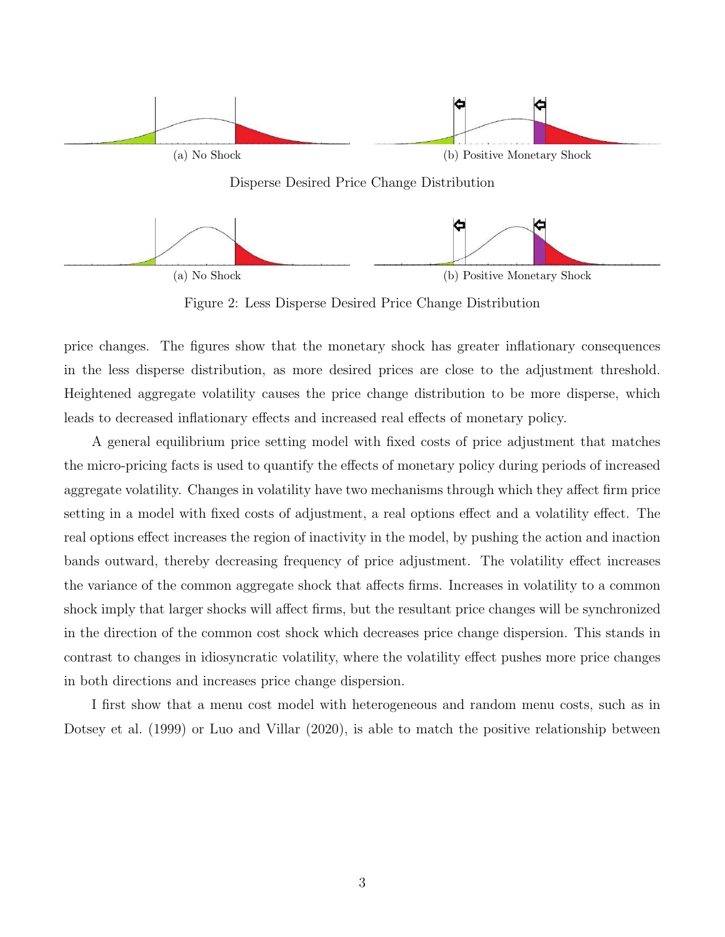<span id="page-4-0"></span>

Figure 2: Less Disperse Desired Price Change Distribution

price changes. The figures show that the monetary shock has greater inflationary consequences in the less disperse distribution, as more desired prices are close to the adjustment threshold. Heightened aggregate volatility causes the price change distribution to be more disperse, which leads to decreased inflationary effects and increased real effects of monetary policy.

A general equilibrium price setting model with fixed costs of price adjustment that matches the micro-pricing facts is used to quantify the effects of monetary policy during periods of increased aggregate volatility. Changes in volatility have two mechanisms through which they affect firm price setting in a model with fixed costs of adjustment, a real options effect and a volatility effect. The real options effect increases the region of inactivity in the model, by pushing the action and inaction bands outward, thereby decreasing frequency of price adjustment. The volatility effect increases the variance of the common aggregate shock that affects firms. Increases in volatility to a common shock imply that larger shocks will affect firms, but the resultant price changes will be synchronized in the direction of the common cost shock which decreases price change dispersion. This stands in contrast to changes in idiosyncratic volatility, where the volatility effect pushes more price changes in both directions and increases price change dispersion.

I first show that a menu cost model with heterogeneous and random menu costs, such as in [Dotsey et al.](#page-41-1) [\(1999\)](#page-41-1) or [Luo and Villar](#page-43-0) [\(2020\)](#page-43-0), is able to match the positive relationship between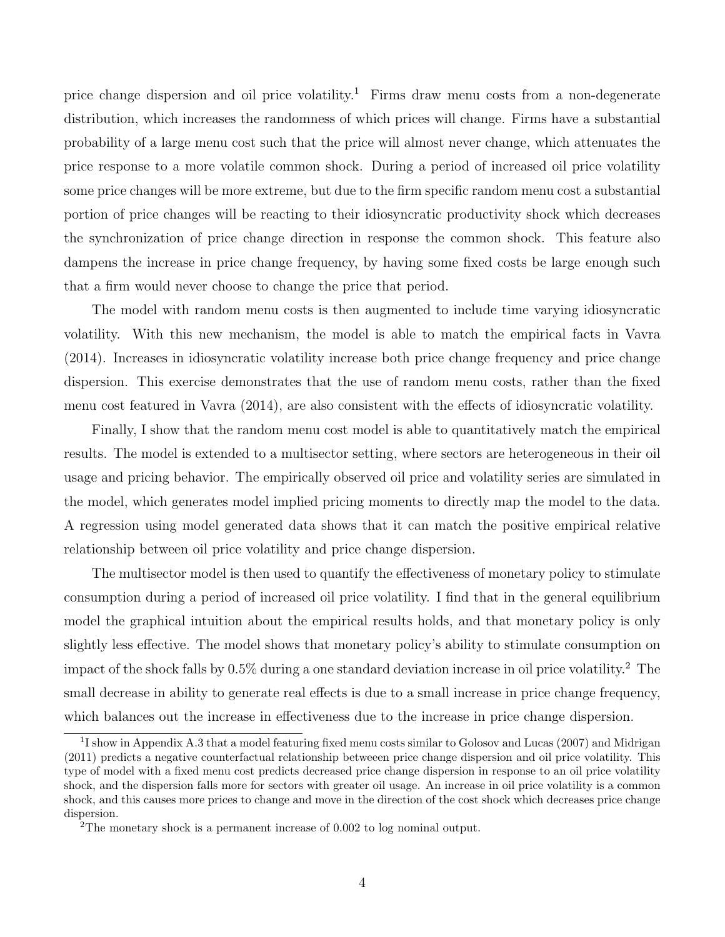price change dispersion and oil price volatility.<sup>[1](#page-1-0)</sup> Firms draw menu costs from a non-degenerate distribution, which increases the randomness of which prices will change. Firms have a substantial probability of a large menu cost such that the price will almost never change, which attenuates the price response to a more volatile common shock. During a period of increased oil price volatility some price changes will be more extreme, but due to the firm specific random menu cost a substantial portion of price changes will be reacting to their idiosyncratic productivity shock which decreases the synchronization of price change direction in response the common shock. This feature also dampens the increase in price change frequency, by having some fixed costs be large enough such that a firm would never choose to change the price that period.

The model with random menu costs is then augmented to include time varying idiosyncratic volatility. With this new mechanism, the model is able to match the empirical facts in [Vavra](#page-43-1) [\(2014\)](#page-43-1). Increases in idiosyncratic volatility increase both price change frequency and price change dispersion. This exercise demonstrates that the use of random menu costs, rather than the fixed menu cost featured in [Vavra](#page-43-1) [\(2014\)](#page-43-1), are also consistent with the effects of idiosyncratic volatility.

Finally, I show that the random menu cost model is able to quantitatively match the empirical results. The model is extended to a multisector setting, where sectors are heterogeneous in their oil usage and pricing behavior. The empirically observed oil price and volatility series are simulated in the model, which generates model implied pricing moments to directly map the model to the data. A regression using model generated data shows that it can match the positive empirical relative relationship between oil price volatility and price change dispersion.

The multisector model is then used to quantify the effectiveness of monetary policy to stimulate consumption during a period of increased oil price volatility. I find that in the general equilibrium model the graphical intuition about the empirical results holds, and that monetary policy is only slightly less effective. The model shows that monetary policy's ability to stimulate consumption on impact of the shock falls by  $0.5\%$  during a one standard deviation increase in oil price volatility.<sup>[2](#page-1-0)</sup> The small decrease in ability to generate real effects is due to a small increase in price change frequency, which balances out the increase in effectiveness due to the increase in price change dispersion.

<sup>&</sup>lt;sup>1</sup>I show in Appendix [A.3](#page-46-0) that a model featuring fixed menu costs similar to [Golosov and Lucas](#page-42-0) [\(2007\)](#page-42-0) and [Midrigan](#page-43-2) [\(2011\)](#page-43-2) predicts a negative counterfactual relationship betweeen price change dispersion and oil price volatility. This type of model with a fixed menu cost predicts decreased price change dispersion in response to an oil price volatility shock, and the dispersion falls more for sectors with greater oil usage. An increase in oil price volatility is a common shock, and this causes more prices to change and move in the direction of the cost shock which decreases price change dispersion.

<sup>&</sup>lt;sup>2</sup>The monetary shock is a permanent increase of 0.002 to log nominal output.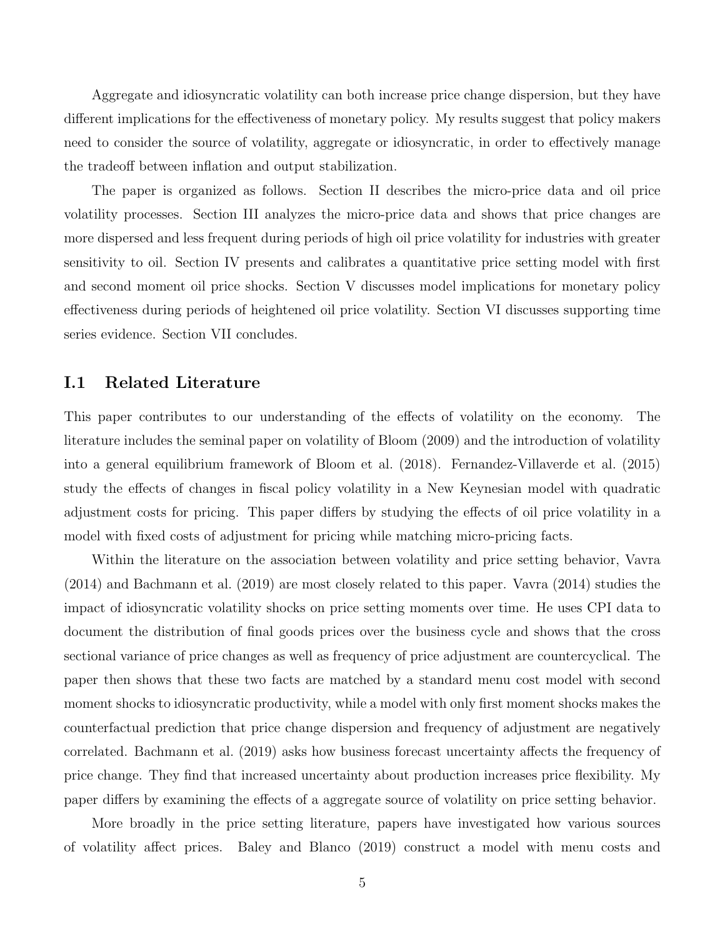Aggregate and idiosyncratic volatility can both increase price change dispersion, but they have different implications for the effectiveness of monetary policy. My results suggest that policy makers need to consider the source of volatility, aggregate or idiosyncratic, in order to effectively manage the tradeoff between inflation and output stabilization.

The paper is organized as follows. Section [II](#page-8-0) describes the micro-price data and oil price volatility processes. Section [III](#page-13-0) analyzes the micro-price data and shows that price changes are more dispersed and less frequent during periods of high oil price volatility for industries with greater sensitivity to oil. Section [IV](#page-24-0) presents and calibrates a quantitative price setting model with first and second moment oil price shocks. Section [V](#page-36-0) discusses model implications for monetary policy effectiveness during periods of heightened oil price volatility. Section [VI](#page-37-0) discusses supporting time series evidence. Section [VII](#page-39-0) concludes.

### I.1 Related Literature

This paper contributes to our understanding of the effects of volatility on the economy. The literature includes the seminal paper on volatility of [Bloom](#page-41-2) [\(2009\)](#page-41-2) and the introduction of volatility into a general equilibrium framework of [Bloom et al.](#page-41-3) [\(2018\)](#page-41-3). [Fernandez-Villaverde et al.](#page-41-4) [\(2015\)](#page-41-4) study the effects of changes in fiscal policy volatility in a New Keynesian model with quadratic adjustment costs for pricing. This paper differs by studying the effects of oil price volatility in a model with fixed costs of adjustment for pricing while matching micro-pricing facts.

Within the literature on the association between volatility and price setting behavior, [Vavra](#page-43-1) [\(2014\)](#page-43-1) and [Bachmann et al.](#page-41-5) [\(2019\)](#page-41-5) are most closely related to this paper. [Vavra](#page-43-1) [\(2014\)](#page-43-1) studies the impact of idiosyncratic volatility shocks on price setting moments over time. He uses CPI data to document the distribution of final goods prices over the business cycle and shows that the cross sectional variance of price changes as well as frequency of price adjustment are countercyclical. The paper then shows that these two facts are matched by a standard menu cost model with second moment shocks to idiosyncratic productivity, while a model with only first moment shocks makes the counterfactual prediction that price change dispersion and frequency of adjustment are negatively correlated. [Bachmann et al.](#page-41-5) [\(2019\)](#page-41-5) asks how business forecast uncertainty affects the frequency of price change. They find that increased uncertainty about production increases price flexibility. My paper differs by examining the effects of a aggregate source of volatility on price setting behavior.

More broadly in the price setting literature, papers have investigated how various sources of volatility affect prices. [Baley and Blanco](#page-41-6) [\(2019\)](#page-41-6) construct a model with menu costs and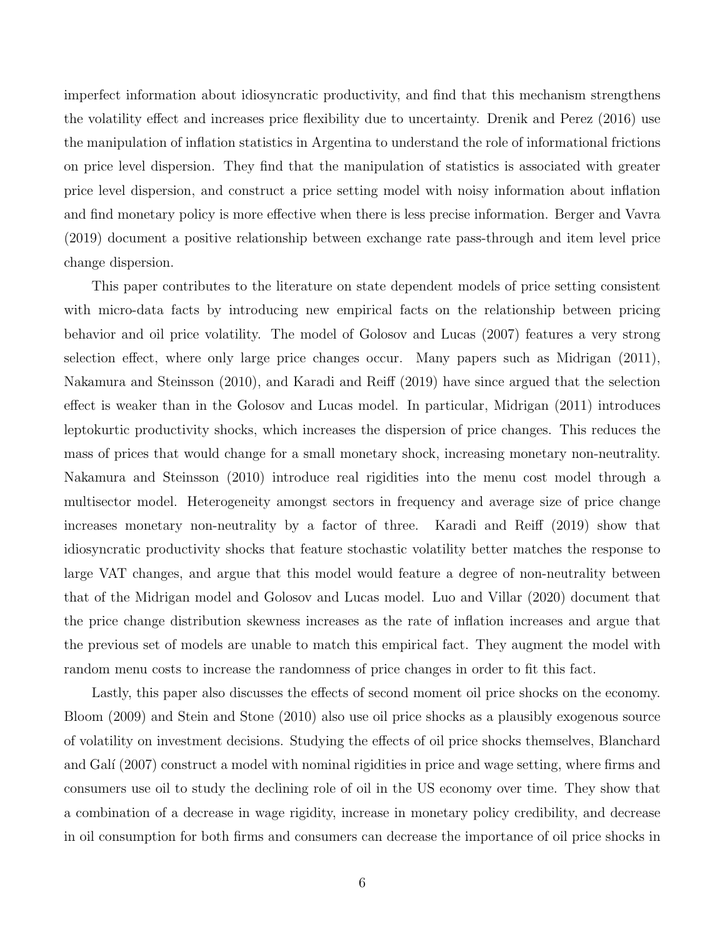imperfect information about idiosyncratic productivity, and find that this mechanism strengthens the volatility effect and increases price flexibility due to uncertainty. [Drenik and Perez](#page-41-7) [\(2016\)](#page-41-7) use the manipulation of inflation statistics in Argentina to understand the role of informational frictions on price level dispersion. They find that the manipulation of statistics is associated with greater price level dispersion, and construct a price setting model with noisy information about inflation and find monetary policy is more effective when there is less precise information. [Berger and Vavra](#page-41-8) [\(2019\)](#page-41-8) document a positive relationship between exchange rate pass-through and item level price change dispersion.

This paper contributes to the literature on state dependent models of price setting consistent with micro-data facts by introducing new empirical facts on the relationship between pricing behavior and oil price volatility. The model of [Golosov and Lucas](#page-42-0) [\(2007\)](#page-42-0) features a very strong selection effect, where only large price changes occur. Many papers such as [Midrigan](#page-43-2) [\(2011\)](#page-43-2), [Nakamura and Steinsson](#page-43-3) [\(2010\)](#page-43-3), and [Karadi and Reiff](#page-42-1) [\(2019\)](#page-42-1) have since argued that the selection effect is weaker than in the Golosov and Lucas model. In particular, [Midrigan](#page-43-2) [\(2011\)](#page-43-2) introduces leptokurtic productivity shocks, which increases the dispersion of price changes. This reduces the mass of prices that would change for a small monetary shock, increasing monetary non-neutrality. [Nakamura and Steinsson](#page-43-3) [\(2010\)](#page-43-3) introduce real rigidities into the menu cost model through a multisector model. Heterogeneity amongst sectors in frequency and average size of price change increases monetary non-neutrality by a factor of three. [Karadi and Reiff](#page-42-1) [\(2019\)](#page-42-1) show that idiosyncratic productivity shocks that feature stochastic volatility better matches the response to large VAT changes, and argue that this model would feature a degree of non-neutrality between that of the Midrigan model and Golosov and Lucas model. [Luo and Villar](#page-43-0) [\(2020\)](#page-43-0) document that the price change distribution skewness increases as the rate of inflation increases and argue that the previous set of models are unable to match this empirical fact. They augment the model with random menu costs to increase the randomness of price changes in order to fit this fact.

Lastly, this paper also discusses the effects of second moment oil price shocks on the economy. [Bloom](#page-41-2) [\(2009\)](#page-41-2) and [Stein and Stone](#page-43-4) [\(2010\)](#page-43-4) also use oil price shocks as a plausibly exogenous source of volatility on investment decisions. Studying the effects of oil price shocks themselves, [Blanchard](#page-41-9) and Galí [\(2007\)](#page-41-9) construct a model with nominal rigidities in price and wage setting, where firms and consumers use oil to study the declining role of oil in the US economy over time. They show that a combination of a decrease in wage rigidity, increase in monetary policy credibility, and decrease in oil consumption for both firms and consumers can decrease the importance of oil price shocks in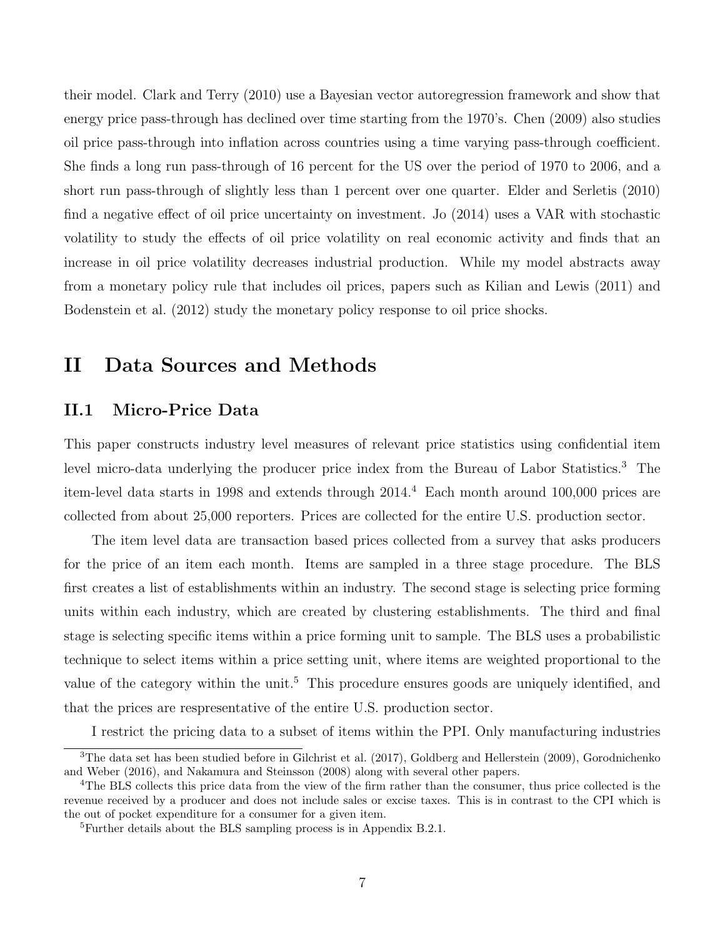their model. [Clark and Terry](#page-41-10) [\(2010\)](#page-41-10) use a Bayesian vector autoregression framework and show that energy price pass-through has declined over time starting from the 1970's. [Chen](#page-41-11) [\(2009\)](#page-41-11) also studies oil price pass-through into inflation across countries using a time varying pass-through coefficient. She finds a long run pass-through of 16 percent for the US over the period of 1970 to 2006, and a short run pass-through of slightly less than 1 percent over one quarter. [Elder and Serletis](#page-41-12) [\(2010\)](#page-41-12) find a negative effect of oil price uncertainty on investment. [Jo](#page-42-2) [\(2014\)](#page-42-2) uses a VAR with stochastic volatility to study the effects of oil price volatility on real economic activity and finds that an increase in oil price volatility decreases industrial production. While my model abstracts away from a monetary policy rule that includes oil prices, papers such as [Kilian and Lewis](#page-42-3) [\(2011\)](#page-42-3) and [Bodenstein et al.](#page-41-13) [\(2012\)](#page-41-13) study the monetary policy response to oil price shocks.

# <span id="page-8-0"></span>II Data Sources and Methods

## II.1 Micro-Price Data

This paper constructs industry level measures of relevant price statistics using confidential item level micro-data underlying the producer price index from the Bureau of Labor Statistics.[3](#page-1-0) The item-level data starts in 1998 and extends through 2014.[4](#page-1-0) Each month around 100,000 prices are collected from about 25,000 reporters. Prices are collected for the entire U.S. production sector.

The item level data are transaction based prices collected from a survey that asks producers for the price of an item each month. Items are sampled in a three stage procedure. The BLS first creates a list of establishments within an industry. The second stage is selecting price forming units within each industry, which are created by clustering establishments. The third and final stage is selecting specific items within a price forming unit to sample. The BLS uses a probabilistic technique to select items within a price setting unit, where items are weighted proportional to the value of the category within the unit.<sup>[5](#page-1-0)</sup> This procedure ensures goods are uniquely identified, and that the prices are respresentative of the entire U.S. production sector.

I restrict the pricing data to a subset of items within the PPI. Only manufacturing industries

<sup>&</sup>lt;sup>3</sup>The data set has been studied before in [Gilchrist et al.](#page-42-4) [\(2017\)](#page-42-4), [Goldberg and Hellerstein](#page-42-5) [\(2009\)](#page-42-5), [Gorodnichenko](#page-42-6) [and Weber](#page-42-6) [\(2016\)](#page-42-6), and [Nakamura and Steinsson](#page-43-5) [\(2008\)](#page-43-5) along with several other papers.

<sup>&</sup>lt;sup>4</sup>The BLS collects this price data from the view of the firm rather than the consumer, thus price collected is the revenue received by a producer and does not include sales or excise taxes. This is in contrast to the CPI which is the out of pocket expenditure for a consumer for a given item.

 ${}^{5}$ Further details about the BLS sampling process is in Appendix [B.2.1.](#page-51-0)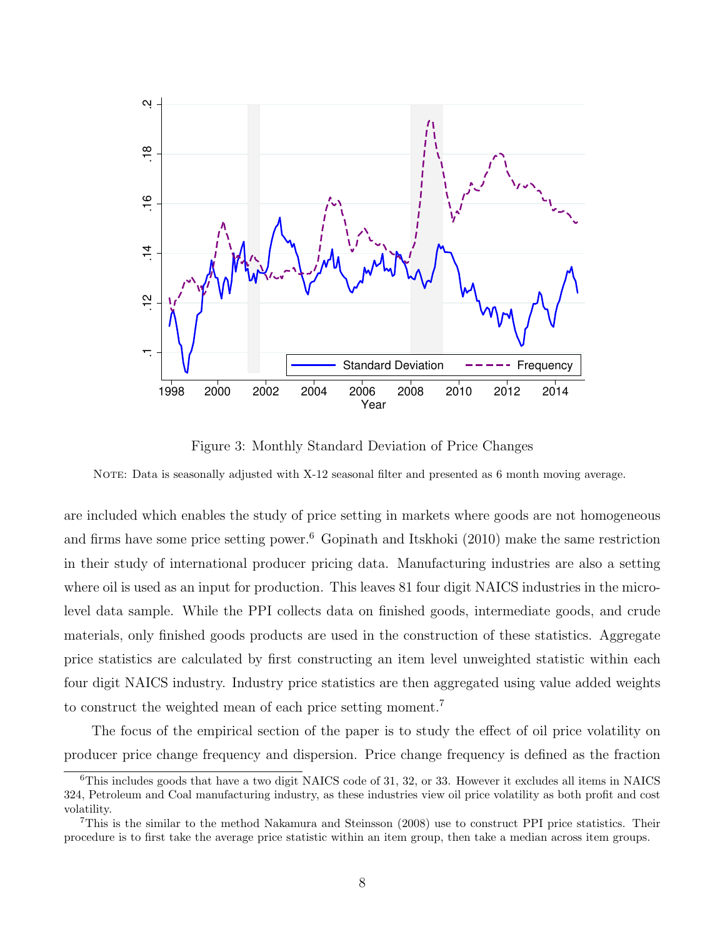<span id="page-9-0"></span>

Figure 3: Monthly Standard Deviation of Price Changes

NOTE: Data is seasonally adjusted with X-12 seasonal filter and presented as 6 month moving average.

are included which enables the study of price setting in markets where goods are not homogeneous and firms have some price setting power.<sup>[6](#page-1-0)</sup> [Gopinath and Itskhoki](#page-42-7)  $(2010)$  make the same restriction in their study of international producer pricing data. Manufacturing industries are also a setting where oil is used as an input for production. This leaves 81 four digit NAICS industries in the microlevel data sample. While the PPI collects data on finished goods, intermediate goods, and crude materials, only finished goods products are used in the construction of these statistics. Aggregate price statistics are calculated by first constructing an item level unweighted statistic within each four digit NAICS industry. Industry price statistics are then aggregated using value added weights to construct the weighted mean of each price setting moment.[7](#page-1-0)

The focus of the empirical section of the paper is to study the effect of oil price volatility on producer price change frequency and dispersion. Price change frequency is defined as the fraction

 $6$ This includes goods that have a two digit NAICS code of 31, 32, or 33. However it excludes all items in NAICS 324, Petroleum and Coal manufacturing industry, as these industries view oil price volatility as both profit and cost volatility.

<sup>7</sup>This is the similar to the method [Nakamura and Steinsson](#page-43-5) [\(2008\)](#page-43-5) use to construct PPI price statistics. Their procedure is to first take the average price statistic within an item group, then take a median across item groups.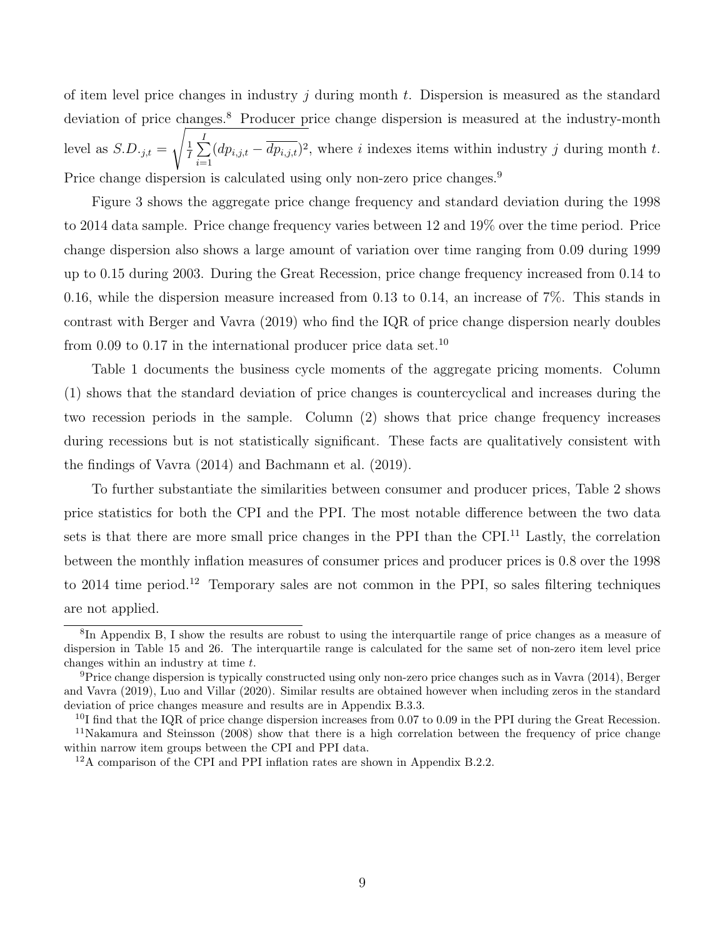of item level price changes in industry j during month t. Dispersion is measured as the standard deviation of price changes.<sup>[8](#page-1-0)</sup> Producer price change dispersion is measured at the industry-month level as  $S.D._{j,t} =$  $\sqrt{\frac{1}{2}}$  $\frac{1}{I}$  $\sum$  $i=1$  $(dp_{i,j,t}-dp_{i,j,t})^2$ , where i indexes items within industry j during month t. Price change dispersion is calculated using only non-zero price changes.<sup>[9](#page-1-0)</sup>

Figure [3](#page-9-0) shows the aggregate price change frequency and standard deviation during the 1998 to 2014 data sample. Price change frequency varies between 12 and 19% over the time period. Price change dispersion also shows a large amount of variation over time ranging from 0.09 during 1999 up to 0.15 during 2003. During the Great Recession, price change frequency increased from 0.14 to 0.16, while the dispersion measure increased from 0.13 to 0.14, an increase of 7%. This stands in contrast with [Berger and Vavra](#page-41-8) [\(2019\)](#page-41-8) who find the IQR of price change dispersion nearly doubles from 0.09 to 0.17 in the international producer price data set.<sup>[10](#page-1-0)</sup>

Table [1](#page-11-0) documents the business cycle moments of the aggregate pricing moments. Column (1) shows that the standard deviation of price changes is countercyclical and increases during the two recession periods in the sample. Column (2) shows that price change frequency increases during recessions but is not statistically significant. These facts are qualitatively consistent with the findings of [Vavra](#page-43-1) [\(2014\)](#page-43-1) and [Bachmann et al.](#page-41-5) [\(2019\)](#page-41-5).

To further substantiate the similarities between consumer and producer prices, Table [2](#page-11-1) shows price statistics for both the CPI and the PPI. The most notable difference between the two data sets is that there are more small price changes in the PPI than the CPI.<sup>[11](#page-1-0)</sup> Lastly, the correlation between the monthly inflation measures of consumer prices and producer prices is 0.8 over the 1998 to 2014 time period.<sup>[12](#page-1-0)</sup> Temporary sales are not common in the PPI, so sales filtering techniques are not applied.

<sup>8</sup> In Appendix [B,](#page-47-0) I show the results are robust to using the interquartile range of price changes as a measure of dispersion in Table [15](#page-55-0) and [26.](#page-65-0) The interquartile range is calculated for the same set of non-zero item level price changes within an industry at time  $t$ .

<sup>9</sup>Price change dispersion is typically constructed using only non-zero price changes such as in [Vavra](#page-43-1) [\(2014\)](#page-43-1), [Berger](#page-41-8) [and Vavra](#page-41-8) [\(2019\)](#page-41-8), [Luo and Villar](#page-43-0) [\(2020\)](#page-43-0). Similar results are obtained however when including zeros in the standard deviation of price changes measure and results are in Appendix [B.3.3.](#page-65-1)

 $^{10}$ I find that the IQR of price change dispersion increases from 0.07 to 0.09 in the PPI during the Great Recession. <sup>11</sup>[Nakamura and Steinsson](#page-43-5) [\(2008\)](#page-43-5) show that there is a high correlation between the frequency of price change within narrow item groups between the CPI and PPI data.

<sup>12</sup>A comparison of the CPI and PPI inflation rates are shown in Appendix [B.2.2.](#page-53-0)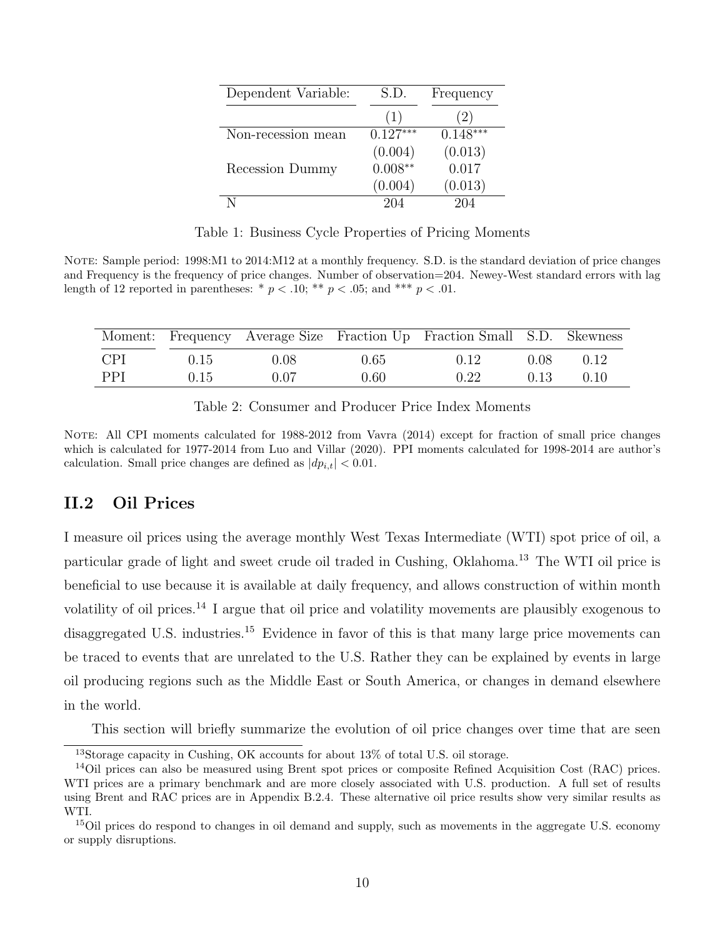<span id="page-11-0"></span>

| Dependent Variable: | S.D.       | Frequency  |
|---------------------|------------|------------|
|                     | (1)        | (2)        |
| Non-recession mean  | $0.127***$ | $0.148***$ |
|                     | (0.004)    | (0.013)    |
| Recession Dummy     | $0.008**$  | 0.017      |
|                     | (0.004)    | (0.013)    |
|                     | 204        | 204        |

Table 1: Business Cycle Properties of Pricing Moments

NOTE: Sample period: 1998:M1 to 2014:M12 at a monthly frequency. S.D. is the standard deviation of price changes and Frequency is the frequency of price changes. Number of observation=204. Newey-West standard errors with lag length of 12 reported in parentheses: \*  $p < .10$ ; \*\*  $p < .05$ ; and \*\*\*  $p < .01$ .

<span id="page-11-1"></span>

|            |      |      |          | Moment: Frequency Average Size Fraction Up Fraction Small S.D. Skewness |      |        |
|------------|------|------|----------|-------------------------------------------------------------------------|------|--------|
| -CPI       | 0.15 | 0.08 | $0.65 -$ | 0.12                                                                    | 0.08 | 0.12   |
| <b>PPI</b> | 0.15 | 0.07 | 0.60     | 0.22                                                                    | 0.13 | (0.10) |

Table 2: Consumer and Producer Price Index Moments

NOTE: All CPI moments calculated for 1988-2012 from [Vavra](#page-43-1) [\(2014\)](#page-43-1) except for fraction of small price changes which is calculated for 1977-2014 from [Luo and Villar](#page-43-0) [\(2020\)](#page-43-0). PPI moments calculated for 1998-2014 are author's calculation. Small price changes are defined as  $|dp_{i,t}| < 0.01$ .

### II.2 Oil Prices

I measure oil prices using the average monthly West Texas Intermediate (WTI) spot price of oil, a particular grade of light and sweet crude oil traded in Cushing, Oklahoma.[13](#page-1-0) The WTI oil price is beneficial to use because it is available at daily frequency, and allows construction of within month volatility of oil prices.[14](#page-1-0) I argue that oil price and volatility movements are plausibly exogenous to disaggregated U.S. industries.<sup>[15](#page-1-0)</sup> Evidence in favor of this is that many large price movements can be traced to events that are unrelated to the U.S. Rather they can be explained by events in large oil producing regions such as the Middle East or South America, or changes in demand elsewhere in the world.

This section will briefly summarize the evolution of oil price changes over time that are seen

<sup>&</sup>lt;sup>13</sup>Storage capacity in Cushing, OK accounts for about 13% of total U.S. oil storage.

<sup>&</sup>lt;sup>14</sup>Oil prices can also be measured using Brent spot prices or composite Refined Acquisition Cost (RAC) prices. WTI prices are a primary benchmark and are more closely associated with U.S. production. A full set of results using Brent and RAC prices are in Appendix [B.2.4.](#page-53-1) These alternative oil price results show very similar results as WTI.

<sup>&</sup>lt;sup>15</sup>Oil prices do respond to changes in oil demand and supply, such as movements in the aggregate U.S. economy or supply disruptions.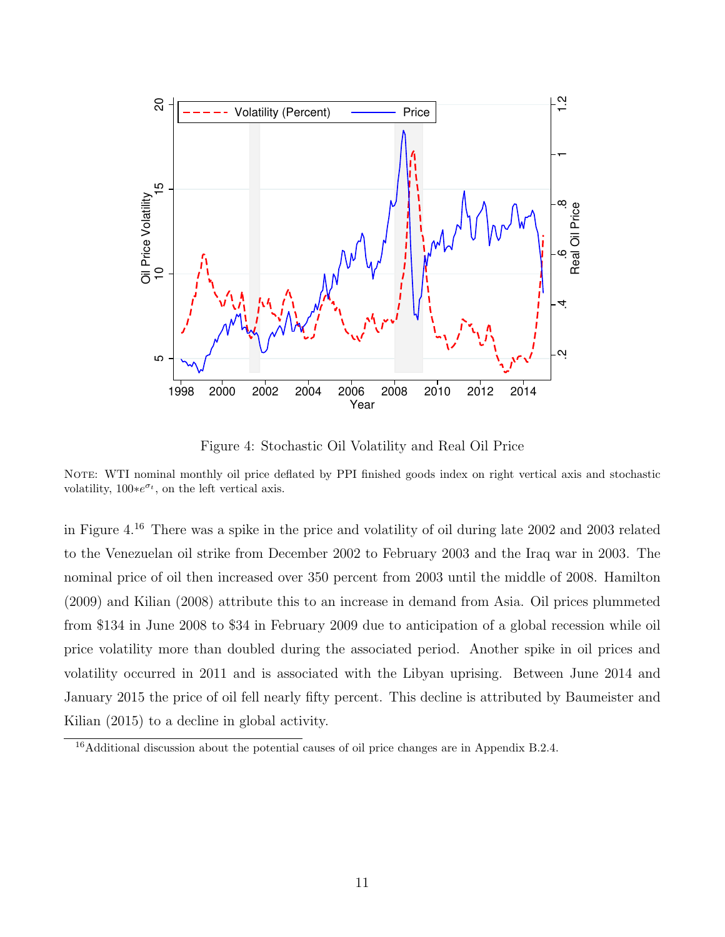<span id="page-12-0"></span>

Figure 4: Stochastic Oil Volatility and Real Oil Price

NOTE: WTI nominal monthly oil price deflated by PPI finished goods index on right vertical axis and stochastic volatility,  $100*e^{\sigma_t}$ , on the left vertical axis.

in Figure [4.](#page-12-0) [16](#page-1-0) There was a spike in the price and volatility of oil during late 2002 and 2003 related to the Venezuelan oil strike from December 2002 to February 2003 and the Iraq war in 2003. The nominal price of oil then increased over 350 percent from 2003 until the middle of 2008. [Hamilton](#page-42-8) [\(2009\)](#page-42-8) and [Kilian](#page-42-9) [\(2008\)](#page-42-9) attribute this to an increase in demand from Asia. Oil prices plummeted from \$134 in June 2008 to \$34 in February 2009 due to anticipation of a global recession while oil price volatility more than doubled during the associated period. Another spike in oil prices and volatility occurred in 2011 and is associated with the Libyan uprising. Between June 2014 and January 2015 the price of oil fell nearly fifty percent. This decline is attributed by [Baumeister and](#page-41-14) [Kilian](#page-41-14) [\(2015\)](#page-41-14) to a decline in global activity.

<sup>&</sup>lt;sup>16</sup>Additional discussion about the potential causes of oil price changes are in Appendix [B.2.4.](#page-53-1)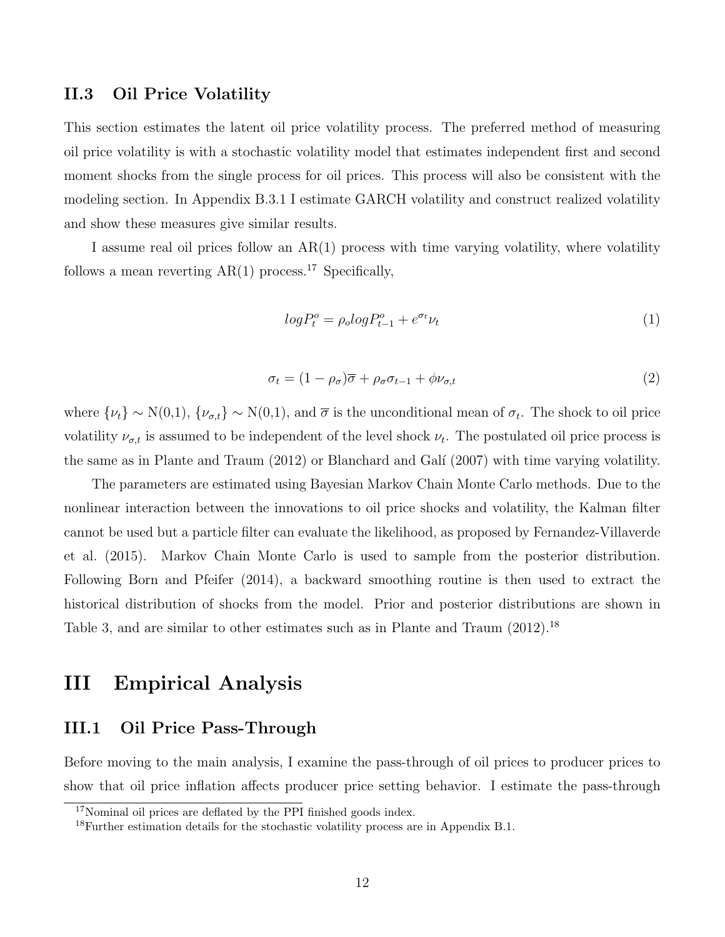#### <span id="page-13-1"></span>II.3 Oil Price Volatility

This section estimates the latent oil price volatility process. The preferred method of measuring oil price volatility is with a stochastic volatility model that estimates independent first and second moment shocks from the single process for oil prices. This process will also be consistent with the modeling section. In Appendix [B.3.1](#page-57-0) I estimate GARCH volatility and construct realized volatility and show these measures give similar results.

I assume real oil prices follow an AR(1) process with time varying volatility, where volatility follows a mean reverting  $AR(1)$  process.<sup>[17](#page-1-0)</sup> Specifically,

$$
log P_t^o = \rho_o log P_{t-1}^o + e^{\sigma_t} \nu_t \tag{1}
$$

$$
\sigma_t = (1 - \rho_\sigma)\overline{\sigma} + \rho_\sigma \sigma_{t-1} + \phi \nu_{\sigma, t} \tag{2}
$$

where  $\{\nu_t\} \sim N(0,1)$ ,  $\{\nu_{\sigma,t}\} \sim N(0,1)$ , and  $\bar{\sigma}$  is the unconditional mean of  $\sigma_t$ . The shock to oil price volatility  $\nu_{\sigma,t}$  is assumed to be independent of the level shock  $\nu_t$ . The postulated oil price process is the same as in [Plante and Traum](#page-43-6) [\(2012\)](#page-43-6) or Blanchard and Galí [\(2007\)](#page-41-9) with time varying volatility.

The parameters are estimated using Bayesian Markov Chain Monte Carlo methods. Due to the nonlinear interaction between the innovations to oil price shocks and volatility, the Kalman filter cannot be used but a particle filter can evaluate the likelihood, as proposed by [Fernandez-Villaverde](#page-41-4) [et al.](#page-41-4) [\(2015\)](#page-41-4). Markov Chain Monte Carlo is used to sample from the posterior distribution. Following [Born and Pfeifer](#page-41-15) [\(2014\)](#page-41-15), a backward smoothing routine is then used to extract the historical distribution of shocks from the model. Prior and posterior distributions are shown in Table [3,](#page-14-0) and are similar to other estimates such as in [Plante and Traum](#page-43-6)  $(2012).^{18}$  $(2012).^{18}$  $(2012).^{18}$  $(2012).^{18}$ 

# <span id="page-13-0"></span>III Empirical Analysis

## III.1 Oil Price Pass-Through

Before moving to the main analysis, I examine the pass-through of oil prices to producer prices to show that oil price inflation affects producer price setting behavior. I estimate the pass-through

<sup>&</sup>lt;sup>17</sup>Nominal oil prices are deflated by the PPI finished goods index.

<sup>18</sup>Further estimation details for the stochastic volatility process are in Appendix [B.1.](#page-48-0)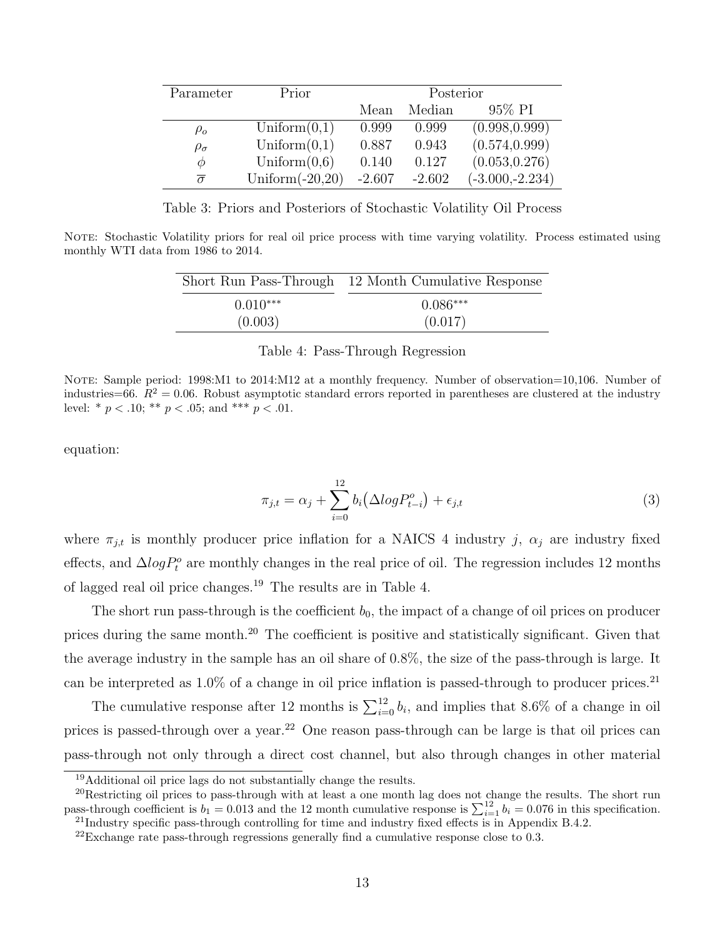<span id="page-14-0"></span>

| Parameter           | Prior              | Posterior |          |                   |  |  |
|---------------------|--------------------|-----------|----------|-------------------|--|--|
|                     |                    | Mean      | Median   | 95% PI            |  |  |
| $\rho_o$            | Uniform $(0,1)$    | 0.999     | 0.999    | (0.998, 0.999)    |  |  |
| $\rho_{\sigma}$     | Uniform $(0,1)$    | 0.887     | 0.943    | (0.574, 0.999)    |  |  |
| Ф                   | Uniform $(0,6)$    | 0.140     | 0.127    | (0.053, 0.276)    |  |  |
| $\overline{\sigma}$ | Uniform $(-20,20)$ | $-2.607$  | $-2.602$ | $(-3.000,-2.234)$ |  |  |

Table 3: Priors and Posteriors of Stochastic Volatility Oil Process

<span id="page-14-1"></span>NOTE: Stochastic Volatility priors for real oil price process with time varying volatility. Process estimated using monthly WTI data from 1986 to 2014.

|            | Short Run Pass-Through 12 Month Cumulative Response |
|------------|-----------------------------------------------------|
| $0.010***$ | $0.086***$                                          |
| (0.003)    | (0.017)                                             |

#### Table 4: Pass-Through Regression

NOTE: Sample period: 1998:M1 to 2014:M12 at a monthly frequency. Number of observation=10,106. Number of industries=66.  $R^2 = 0.06$ . Robust asymptotic standard errors reported in parentheses are clustered at the industry level: \*  $p < .10$ ; \*\*  $p < .05$ ; and \*\*\*  $p < .01$ .

equation:

$$
\pi_{j,t} = \alpha_j + \sum_{i=0}^{12} b_i \left( \Delta log P_{t-i}^o \right) + \epsilon_{j,t} \tag{3}
$$

where  $\pi_{j,t}$  is monthly producer price inflation for a NAICS 4 industry j,  $\alpha_j$  are industry fixed effects, and  $\Delta log P_t^o$  are monthly changes in the real price of oil. The regression includes 12 months of lagged real oil price changes.[19](#page-1-0) The results are in Table [4.](#page-14-1)

The short run pass-through is the coefficient  $b_0$ , the impact of a change of oil prices on producer prices during the same month.[20](#page-1-0) The coefficient is positive and statistically significant. Given that the average industry in the sample has an oil share of 0.8%, the size of the pass-through is large. It can be interpreted as  $1.0\%$  of a change in oil price inflation is passed-through to producer prices.<sup>[21](#page-1-0)</sup>

The cumulative response after 12 months is  $\sum_{i=0}^{12} b_i$ , and implies that 8.6% of a change in oil prices is passed-through over a year.<sup>[22](#page-1-0)</sup> One reason pass-through can be large is that oil prices can pass-through not only through a direct cost channel, but also through changes in other material

<sup>19</sup>Additional oil price lags do not substantially change the results.

 $^{20}$ Restricting oil prices to pass-through with at least a one month lag does not change the results. The short run pass-through coefficient is  $b_1 = 0.013$  and the 12 month cumulative response is  $\sum_{i=1}^{12} b_i = 0.076$  in this specification. <sup>21</sup>Industry specific pass-through controlling for time and industry fixed effects is in Appendix [B.4.2.](#page-66-0)

 $^{22}$ Exchange rate pass-through regressions generally find a cumulative response close to 0.3.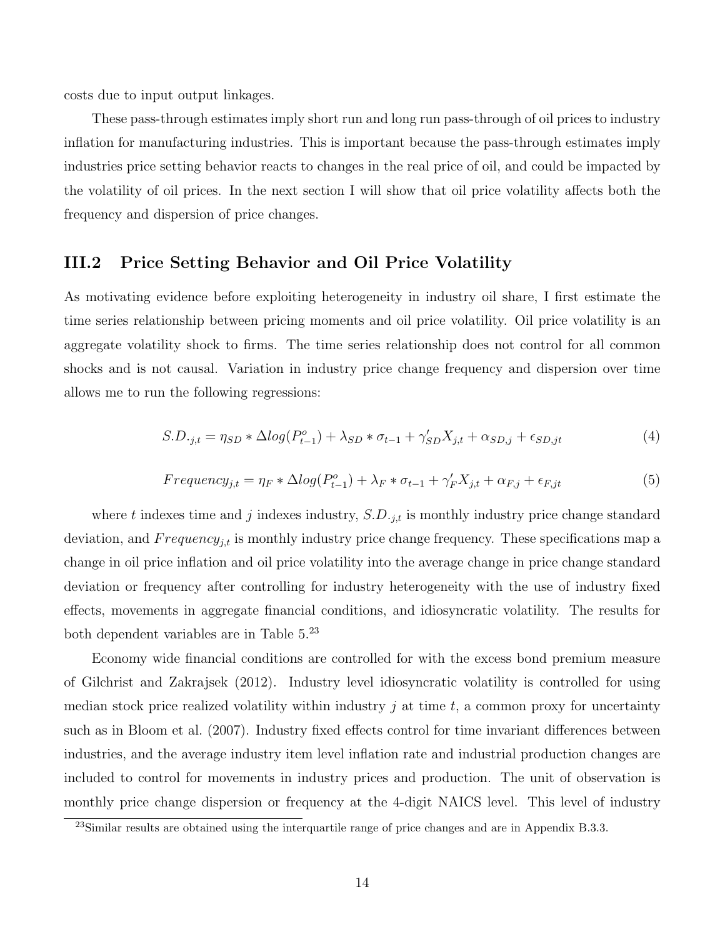costs due to input output linkages.

These pass-through estimates imply short run and long run pass-through of oil prices to industry inflation for manufacturing industries. This is important because the pass-through estimates imply industries price setting behavior reacts to changes in the real price of oil, and could be impacted by the volatility of oil prices. In the next section I will show that oil price volatility affects both the frequency and dispersion of price changes.

#### III.2 Price Setting Behavior and Oil Price Volatility

As motivating evidence before exploiting heterogeneity in industry oil share, I first estimate the time series relationship between pricing moments and oil price volatility. Oil price volatility is an aggregate volatility shock to firms. The time series relationship does not control for all common shocks and is not causal. Variation in industry price change frequency and dispersion over time allows me to run the following regressions:

<span id="page-15-0"></span>
$$
S.D._{j,t} = \eta_{SD} * \Delta log(P_{t-1}^o) + \lambda_{SD} * \sigma_{t-1} + \gamma'_{SD} X_{j,t} + \alpha_{SD,j} + \epsilon_{SD,jt}
$$
\n
$$
\tag{4}
$$

<span id="page-15-1"></span>
$$
Frequency_{j,t} = \eta_F * \Delta log(P_{t-1}^o) + \lambda_F * \sigma_{t-1} + \gamma'_F X_{j,t} + \alpha_{F,j} + \epsilon_{F,jt}
$$
\n
$$
\tag{5}
$$

where t indexes time and j indexes industry,  $S.D.$  j<sub>it</sub> is monthly industry price change standard deviation, and  $Frequency_{j,t}$  is monthly industry price change frequency. These specifications map a change in oil price inflation and oil price volatility into the average change in price change standard deviation or frequency after controlling for industry heterogeneity with the use of industry fixed effects, movements in aggregate financial conditions, and idiosyncratic volatility. The results for both dependent variables are in Table [5.](#page-16-0) [23](#page-1-0)

Economy wide financial conditions are controlled for with the excess bond premium measure of [Gilchrist and Zakrajsek](#page-42-10) [\(2012\)](#page-42-10). Industry level idiosyncratic volatility is controlled for using median stock price realized volatility within industry  $j$  at time  $t$ , a common proxy for uncertainty such as in [Bloom et al.](#page-41-16) [\(2007\)](#page-41-16). Industry fixed effects control for time invariant differences between industries, and the average industry item level inflation rate and industrial production changes are included to control for movements in industry prices and production. The unit of observation is monthly price change dispersion or frequency at the 4-digit NAICS level. This level of industry

<sup>&</sup>lt;sup>23</sup>Similar results are obtained using the interquartile range of price changes and are in Appendix [B.3.3.](#page-65-1)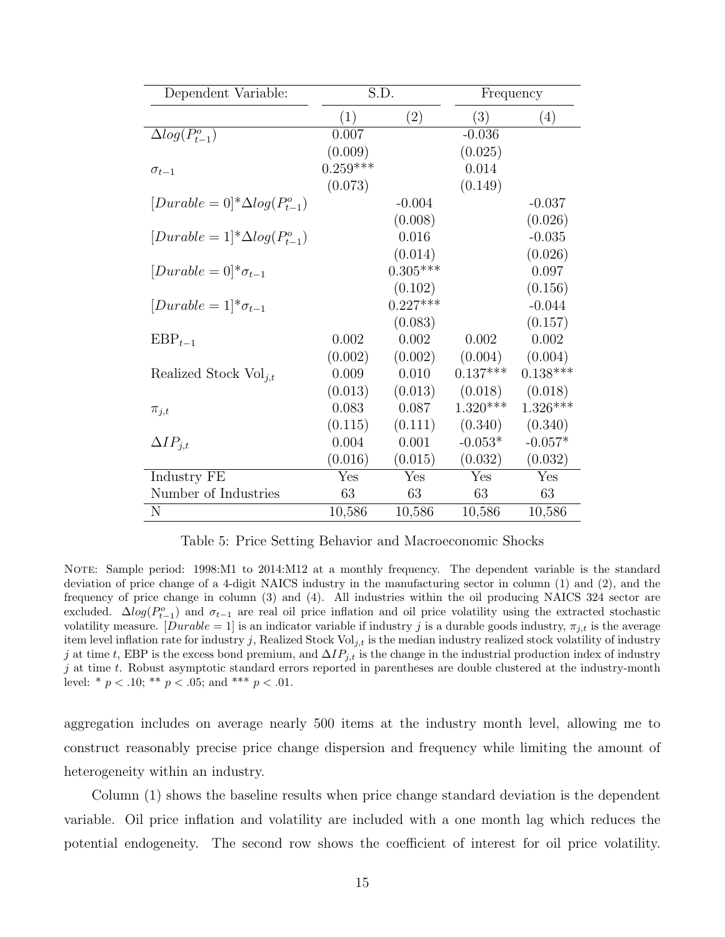<span id="page-16-0"></span>

| Dependent Variable:                        | S.D.       |            | Frequency  |            |
|--------------------------------------------|------------|------------|------------|------------|
|                                            | (1)        | (2)        | (3)        | (4)        |
| $\Delta log(P_{t-1}^o)$                    | 0.007      |            | $-0.036$   |            |
|                                            | (0.009)    |            | (0.025)    |            |
| $\sigma_{t-1}$                             | $0.259***$ |            | 0.014      |            |
|                                            | (0.073)    |            | (0.149)    |            |
| $[Durable = 0]^{*}\Delta log(P_{t-1}^{o})$ |            | $-0.004$   |            | $-0.037$   |
|                                            |            | (0.008)    |            | (0.026)    |
| $[Durable = 1]*\Delta log(P_{t-1}^o)$      |            | 0.016      |            | $-0.035$   |
|                                            |            | (0.014)    |            | (0.026)    |
| $[Durable = 0]*\sigma_{t-1}$               |            | $0.305***$ |            | 0.097      |
|                                            |            | (0.102)    |            | (0.156)    |
| $[Durable = 1]*\sigma_{t-1}$               |            | $0.227***$ |            | $-0.044$   |
|                                            |            | (0.083)    |            | (0.157)    |
| $EBP_{t-1}$                                | 0.002      | 0.002      | 0.002      | 0.002      |
|                                            | (0.002)    | (0.002)    | (0.004)    | (0.004)    |
| Realized Stock $\text{Vol}_{i,t}$          | 0.009      | 0.010      | $0.137***$ | $0.138***$ |
|                                            | (0.013)    | (0.013)    | (0.018)    | (0.018)    |
| $\pi_{j,t}$                                | 0.083      | 0.087      | $1.320***$ | $1.326***$ |
|                                            | (0.115)    | (0.111)    | (0.340)    | (0.340)    |
| $\Delta IP_{j,t}$                          | 0.004      | 0.001      | $-0.053*$  | $-0.057*$  |
|                                            | (0.016)    | (0.015)    | (0.032)    | (0.032)    |
| Industry FE                                | Yes        | Yes        | Yes        | Yes        |
| Number of Industries                       | 63         | 63         | 63         | 63         |
| N                                          | 10,586     | 10,586     | 10,586     | 10,586     |

Table 5: Price Setting Behavior and Macroeconomic Shocks

NOTE: Sample period: 1998:M1 to 2014:M12 at a monthly frequency. The dependent variable is the standard deviation of price change of a 4-digit NAICS industry in the manufacturing sector in column (1) and (2), and the frequency of price change in column (3) and (4). All industries within the oil producing NAICS 324 sector are excluded.  $\Delta log(P_{t-1}^o)$  and  $\sigma_{t-1}$  are real oil price inflation and oil price volatility using the extracted stochastic volatility measure.  $[Durable = 1]$  is an indicator variable if industry j is a durable goods industry,  $\pi_{i,t}$  is the average item level inflation rate for industry j, Realized Stock Vol $_{j,t}$  is the median industry realized stock volatility of industry j at time t, EBP is the excess bond premium, and  $\Delta IP_{j,t}$  is the change in the industrial production index of industry  $j$  at time t. Robust asymptotic standard errors reported in parentheses are double clustered at the industry-month level: \*  $p < .10$ ; \*\*  $p < .05$ ; and \*\*\*  $p < .01$ .

aggregation includes on average nearly 500 items at the industry month level, allowing me to construct reasonably precise price change dispersion and frequency while limiting the amount of heterogeneity within an industry.

Column (1) shows the baseline results when price change standard deviation is the dependent variable. Oil price inflation and volatility are included with a one month lag which reduces the potential endogeneity. The second row shows the coefficient of interest for oil price volatility.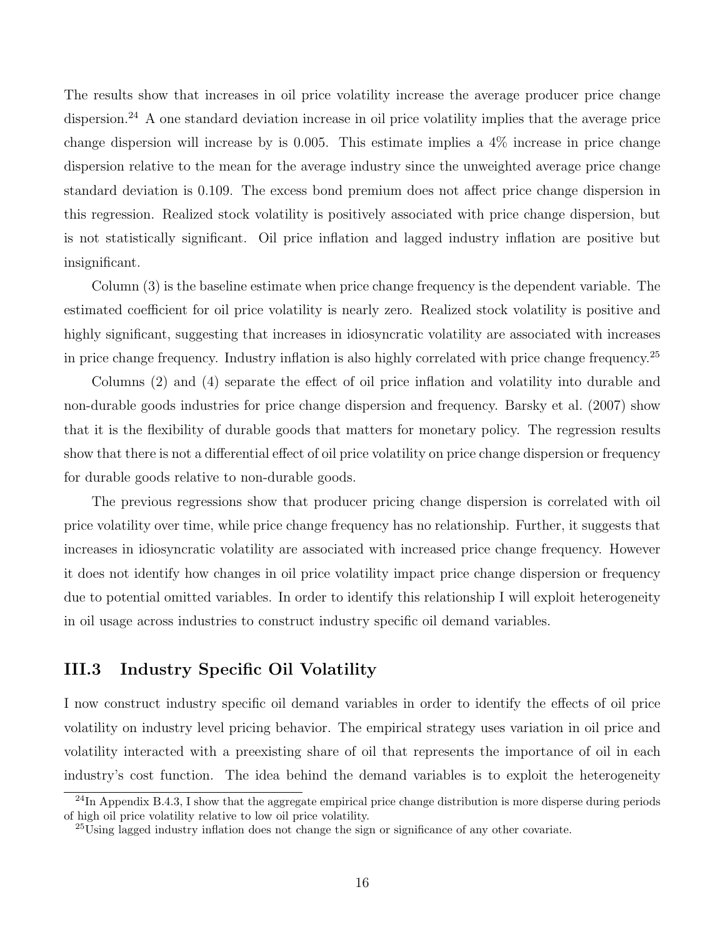The results show that increases in oil price volatility increase the average producer price change dispersion.<sup>[24](#page-1-0)</sup> A one standard deviation increase in oil price volatility implies that the average price change dispersion will increase by is 0.005. This estimate implies a  $4\%$  increase in price change dispersion relative to the mean for the average industry since the unweighted average price change standard deviation is 0.109. The excess bond premium does not affect price change dispersion in this regression. Realized stock volatility is positively associated with price change dispersion, but is not statistically significant. Oil price inflation and lagged industry inflation are positive but insignificant.

Column (3) is the baseline estimate when price change frequency is the dependent variable. The estimated coefficient for oil price volatility is nearly zero. Realized stock volatility is positive and highly significant, suggesting that increases in idiosyncratic volatility are associated with increases in price change frequency. Industry inflation is also highly correlated with price change frequency.[25](#page-1-0)

Columns (2) and (4) separate the effect of oil price inflation and volatility into durable and non-durable goods industries for price change dispersion and frequency. [Barsky et al.](#page-41-17) [\(2007\)](#page-41-17) show that it is the flexibility of durable goods that matters for monetary policy. The regression results show that there is not a differential effect of oil price volatility on price change dispersion or frequency for durable goods relative to non-durable goods.

The previous regressions show that producer pricing change dispersion is correlated with oil price volatility over time, while price change frequency has no relationship. Further, it suggests that increases in idiosyncratic volatility are associated with increased price change frequency. However it does not identify how changes in oil price volatility impact price change dispersion or frequency due to potential omitted variables. In order to identify this relationship I will exploit heterogeneity in oil usage across industries to construct industry specific oil demand variables.

# III.3 Industry Specific Oil Volatility

I now construct industry specific oil demand variables in order to identify the effects of oil price volatility on industry level pricing behavior. The empirical strategy uses variation in oil price and volatility interacted with a preexisting share of oil that represents the importance of oil in each industry's cost function. The idea behind the demand variables is to exploit the heterogeneity

 $^{24}$ In Appendix [B.4.3,](#page-68-0) I show that the aggregate empirical price change distribution is more disperse during periods of high oil price volatility relative to low oil price volatility.

<sup>25</sup>Using lagged industry inflation does not change the sign or significance of any other covariate.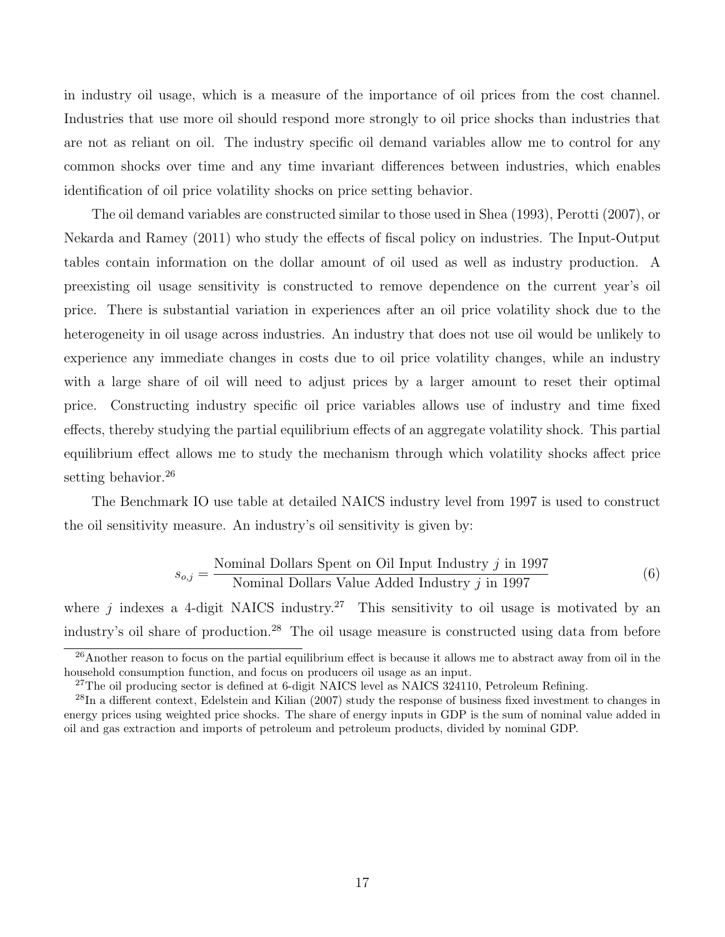in industry oil usage, which is a measure of the importance of oil prices from the cost channel. Industries that use more oil should respond more strongly to oil price shocks than industries that are not as reliant on oil. The industry specific oil demand variables allow me to control for any common shocks over time and any time invariant differences between industries, which enables identification of oil price volatility shocks on price setting behavior.

The oil demand variables are constructed similar to those used in [Shea](#page-43-7) [\(1993\)](#page-43-7), [Perotti](#page-43-8) [\(2007\)](#page-43-8), or [Nekarda and Ramey](#page-43-9) [\(2011\)](#page-43-9) who study the effects of fiscal policy on industries. The Input-Output tables contain information on the dollar amount of oil used as well as industry production. A preexisting oil usage sensitivity is constructed to remove dependence on the current year's oil price. There is substantial variation in experiences after an oil price volatility shock due to the heterogeneity in oil usage across industries. An industry that does not use oil would be unlikely to experience any immediate changes in costs due to oil price volatility changes, while an industry with a large share of oil will need to adjust prices by a larger amount to reset their optimal price. Constructing industry specific oil price variables allows use of industry and time fixed effects, thereby studying the partial equilibrium effects of an aggregate volatility shock. This partial equilibrium effect allows me to study the mechanism through which volatility shocks affect price setting behavior.<sup>[26](#page-1-0)</sup>

The Benchmark IO use table at detailed NAICS industry level from 1997 is used to construct the oil sensitivity measure. An industry's oil sensitivity is given by:

$$
s_{o,j} = \frac{\text{Nominal Dollars Spent on Oil Input Industry } j \text{ in 1997}}{\text{Nominal Dollars Value added Industry } j \text{ in 1997}} \tag{6}
$$

where *j* indexes a 4-digit NAICS industry.<sup>[27](#page-1-0)</sup> This sensitivity to oil usage is motivated by an industry's oil share of production.[28](#page-1-0) The oil usage measure is constructed using data from before

<sup>&</sup>lt;sup>26</sup>Another reason to focus on the partial equilibrium effect is because it allows me to abstract away from oil in the household consumption function, and focus on producers oil usage as an input.

<sup>&</sup>lt;sup>27</sup>The oil producing sector is defined at 6-digit NAICS level as NAICS 324110, Petroleum Refining.

 $^{28}$ In a different context, [Edelstein and Kilian](#page-41-18) [\(2007\)](#page-41-18) study the response of business fixed investment to changes in energy prices using weighted price shocks. The share of energy inputs in GDP is the sum of nominal value added in oil and gas extraction and imports of petroleum and petroleum products, divided by nominal GDP.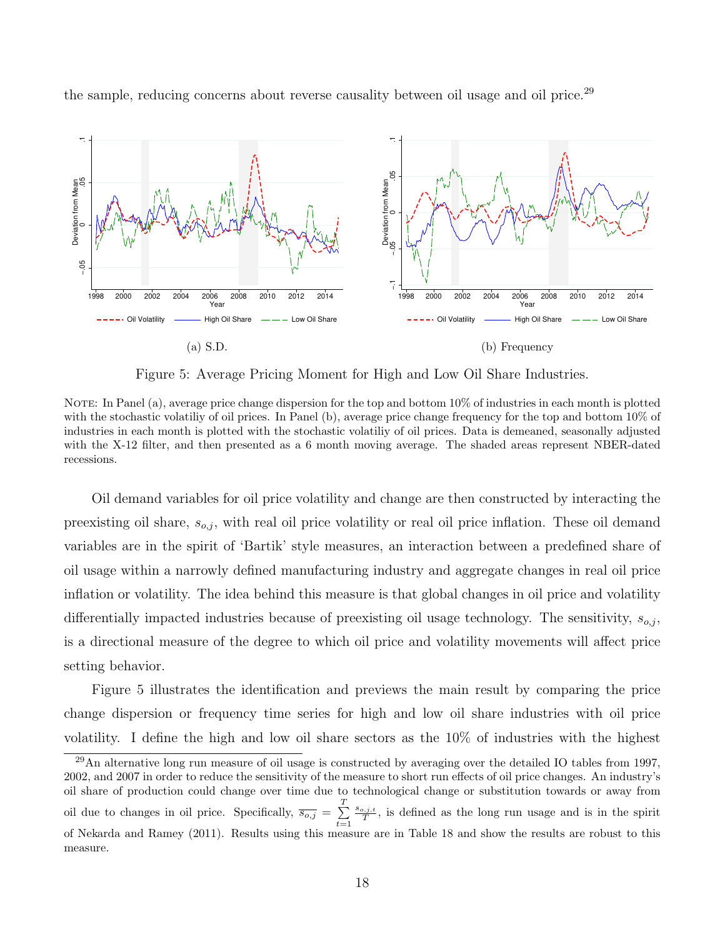

<span id="page-19-0"></span>the sample, reducing concerns about reverse causality between oil usage and oil price.<sup>[29](#page-1-0)</sup>

Figure 5: Average Pricing Moment for High and Low Oil Share Industries.

NOTE: In Panel (a), average price change dispersion for the top and bottom  $10\%$  of industries in each month is plotted with the stochastic volatiliy of oil prices. In Panel (b), average price change frequency for the top and bottom  $10\%$  of industries in each month is plotted with the stochastic volatiliy of oil prices. Data is demeaned, seasonally adjusted with the X-12 filter, and then presented as a 6 month moving average. The shaded areas represent NBER-dated recessions.

Oil demand variables for oil price volatility and change are then constructed by interacting the preexisting oil share,  $s_{o,j}$ , with real oil price volatility or real oil price inflation. These oil demand variables are in the spirit of 'Bartik' style measures, an interaction between a predefined share of oil usage within a narrowly defined manufacturing industry and aggregate changes in real oil price inflation or volatility. The idea behind this measure is that global changes in oil price and volatility differentially impacted industries because of preexisting oil usage technology. The sensitivity,  $s_{o,j}$ , is a directional measure of the degree to which oil price and volatility movements will affect price setting behavior.

Figure [5](#page-19-0) illustrates the identification and previews the main result by comparing the price change dispersion or frequency time series for high and low oil share industries with oil price volatility. I define the high and low oil share sectors as the 10% of industries with the highest

 $^{29}$ An alternative long run measure of oil usage is constructed by averaging over the detailed IO tables from 1997, 2002, and 2007 in order to reduce the sensitivity of the measure to short run effects of oil price changes. An industry's oil share of production could change over time due to technological change or substitution towards or away from oil due to changes in oil price. Specifically,  $\overline{s_{o,j}} = \sum^{T}$  $t=1$  $\frac{s_{o,j,t}}{T}$ , is defined as the long run usage and is in the spirit of [Nekarda and Ramey](#page-43-9) [\(2011\)](#page-43-9). Results using this measure are in Table [18](#page-57-1) and show the results are robust to this measure.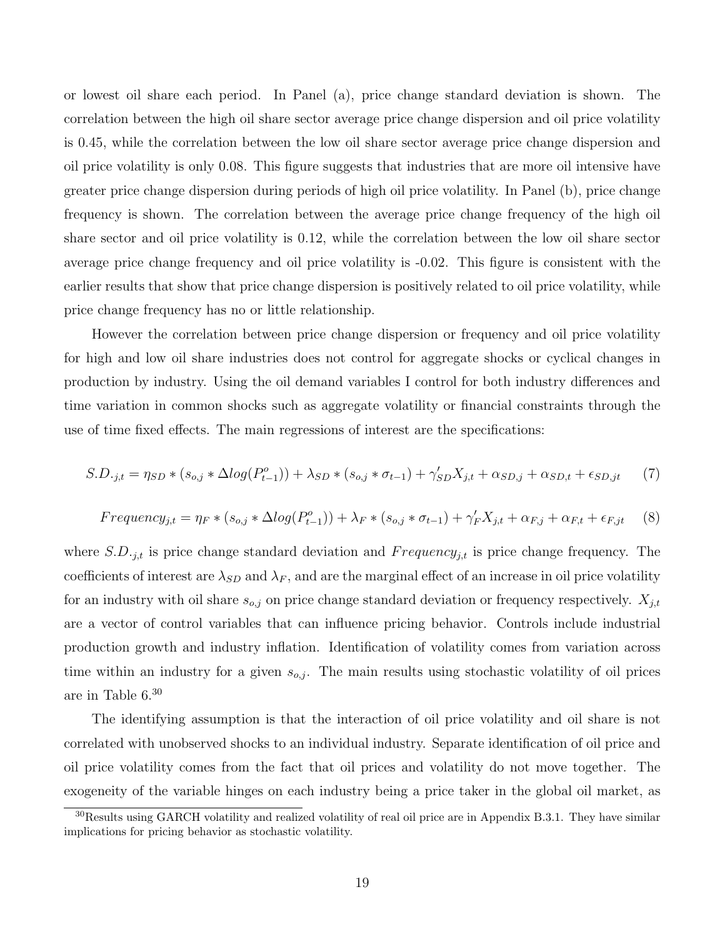or lowest oil share each period. In Panel (a), price change standard deviation is shown. The correlation between the high oil share sector average price change dispersion and oil price volatility is 0.45, while the correlation between the low oil share sector average price change dispersion and oil price volatility is only 0.08. This figure suggests that industries that are more oil intensive have greater price change dispersion during periods of high oil price volatility. In Panel (b), price change frequency is shown. The correlation between the average price change frequency of the high oil share sector and oil price volatility is 0.12, while the correlation between the low oil share sector average price change frequency and oil price volatility is -0.02. This figure is consistent with the earlier results that show that price change dispersion is positively related to oil price volatility, while price change frequency has no or little relationship.

However the correlation between price change dispersion or frequency and oil price volatility for high and low oil share industries does not control for aggregate shocks or cyclical changes in production by industry. Using the oil demand variables I control for both industry differences and time variation in common shocks such as aggregate volatility or financial constraints through the use of time fixed effects. The main regressions of interest are the specifications:

<span id="page-20-0"></span>
$$
S.D._{j,t} = \eta_{SD} * (s_{o,j} * \Delta log(P_{t-1}^o)) + \lambda_{SD} * (s_{o,j} * \sigma_{t-1}) + \gamma'_{SD} X_{j,t} + \alpha_{SD,j} + \alpha_{SD,t} + \epsilon_{SD,jt} \tag{7}
$$

<span id="page-20-1"></span>
$$
Frequency_{j,t} = \eta_F * (s_{o,j} * \Delta log(P_{t-1}^o)) + \lambda_F * (s_{o,j} * \sigma_{t-1}) + \gamma'_F X_{j,t} + \alpha_{F,j} + \alpha_{F,t} + \epsilon_{F,jt} \tag{8}
$$

where  $S.D._{j,t}$  is price change standard deviation and  $Frequency_{j,t}$  is price change frequency. The coefficients of interest are  $\lambda_{SD}$  and  $\lambda_F$ , and are the marginal effect of an increase in oil price volatility for an industry with oil share  $s_{o,j}$  on price change standard deviation or frequency respectively.  $X_{j,t}$ are a vector of control variables that can influence pricing behavior. Controls include industrial production growth and industry inflation. Identification of volatility comes from variation across time within an industry for a given  $s_{o,j}$ . The main results using stochastic volatility of oil prices are in Table [6.](#page-21-0) [30](#page-1-0)

The identifying assumption is that the interaction of oil price volatility and oil share is not correlated with unobserved shocks to an individual industry. Separate identification of oil price and oil price volatility comes from the fact that oil prices and volatility do not move together. The exogeneity of the variable hinges on each industry being a price taker in the global oil market, as

<sup>&</sup>lt;sup>30</sup>Results using GARCH volatility and realized volatility of real oil price are in Appendix [B.3.1.](#page-57-0) They have similar implications for pricing behavior as stochastic volatility.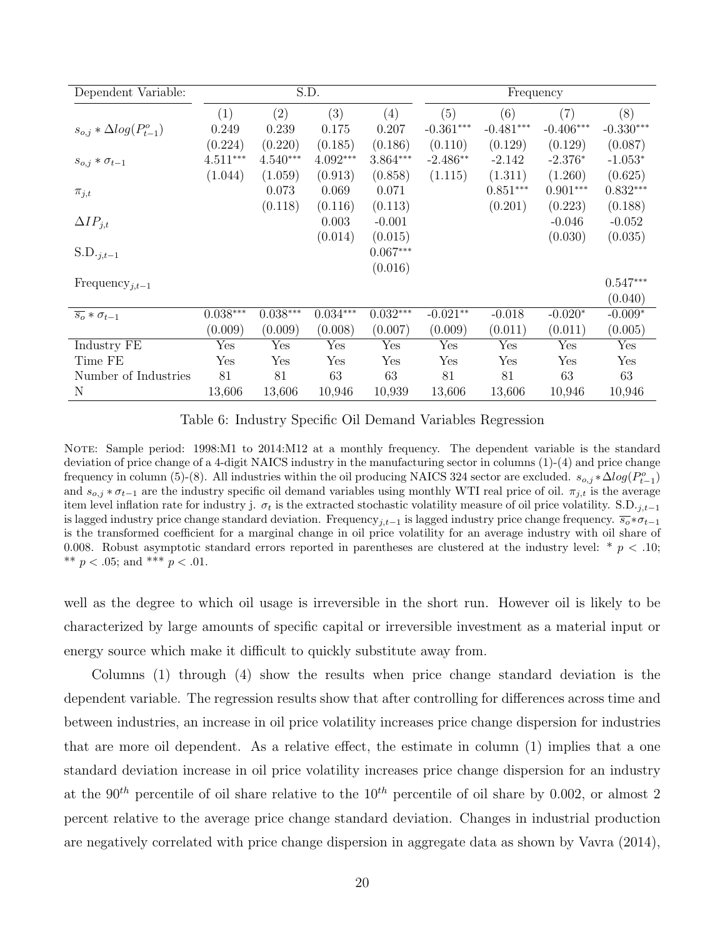<span id="page-21-0"></span>

| Dependent Variable:               |              |            | S.D.       |            | Frequency    |             |             |             |
|-----------------------------------|--------------|------------|------------|------------|--------------|-------------|-------------|-------------|
|                                   | (1)          | (2)        | (3)        | (4)        | (5)          | (6)         | (7)         | (8)         |
| $s_{o,j} * \Delta log(P_{t-1}^o)$ | 0.249        | 0.239      | 0.175      | 0.207      | $-0.361***$  | $-0.481***$ | $-0.406***$ | $-0.330***$ |
|                                   | (0.224)      | (0.220)    | (0.185)    | (0.186)    | (0.110)      | (0.129)     | (0.129)     | (0.087)     |
| $s_{o,j} * \sigma_{t-1}$          | $4.511***$   | $4.540***$ | $4.092***$ | $3.864***$ | $-2.486**$   | $-2.142$    | $-2.376*$   | $-1.053*$   |
|                                   | (1.044)      | (1.059)    | (0.913)    | (0.858)    | (1.115)      | (1.311)     | (1.260)     | (0.625)     |
| $\pi_{j,t}$                       |              | 0.073      | 0.069      | 0.071      |              | $0.851***$  | $0.901***$  | $0.832***$  |
|                                   |              | (0.118)    | (0.116)    | (0.113)    |              | (0.201)     | (0.223)     | (0.188)     |
| $\Delta IP_{j,t}$                 |              |            | 0.003      | $-0.001$   |              |             | $-0.046$    | $-0.052$    |
|                                   |              |            | (0.014)    | (0.015)    |              |             | (0.030)     | (0.035)     |
| $S.D._{j,t-1}$                    |              |            |            | $0.067***$ |              |             |             |             |
|                                   |              |            |            | (0.016)    |              |             |             |             |
| Frequency <sub>j,t-1</sub>        |              |            |            |            |              |             |             | $0.547***$  |
|                                   |              |            |            |            |              |             |             | (0.040)     |
| $\overline{s_o} * \sigma_{t-1}$   | $0.038***$   | $0.038***$ | $0.034***$ | $0.032***$ | $-0.021**$   | $-0.018$    | $-0.020*$   | $-0.009*$   |
|                                   | (0.009)      | (0.009)    | (0.008)    | (0.007)    | (0.009)      | (0.011)     | (0.011)     | (0.005)     |
| Industry FE                       | Yes          | Yes        | Yes        | Yes        | Yes          | Yes         | Yes         | Yes         |
| Time FE                           | $_{\rm Yes}$ | Yes        | Yes        | Yes        | $_{\rm Yes}$ | Yes         | Yes         | Yes         |
| Number of Industries              | 81           | 81         | 63         | 63         | 81           | 81          | 63          | 63          |
| N                                 | 13,606       | 13,606     | 10,946     | 10,939     | 13,606       | 13,606      | 10,946      | 10,946      |

Table 6: Industry Specific Oil Demand Variables Regression

NOTE: Sample period: 1998:M1 to 2014:M12 at a monthly frequency. The dependent variable is the standard deviation of price change of a 4-digit NAICS industry in the manufacturing sector in columns (1)-(4) and price change frequency in column (5)-(8). All industries within the oil producing NAICS 324 sector are excluded.  $s_{o,j} * \Delta log(P_{t-1}^o)$ and  $s_{o,j} * \sigma_{t-1}$  are the industry specific oil demand variables using monthly WTI real price of oil.  $\pi_{j,t}$  is the average item level inflation rate for industry j.  $\sigma_t$  is the extracted stochastic volatility measure of oil price volatility. S.D.<sub>j,t−1</sub> is lagged industry price change standard deviation. Frequency<sub>j,t−1</sub> is lagged industry price change frequency.  $\overline{s_o} * \sigma_{t-1}$ is the transformed coefficient for a marginal change in oil price volatility for an average industry with oil share of 0.008. Robust asymptotic standard errors reported in parentheses are clustered at the industry level:  $*$   $p$  < .10; \*\*  $p < .05$ ; and \*\*\*  $p < .01$ .

well as the degree to which oil usage is irreversible in the short run. However oil is likely to be characterized by large amounts of specific capital or irreversible investment as a material input or energy source which make it difficult to quickly substitute away from.

Columns (1) through (4) show the results when price change standard deviation is the dependent variable. The regression results show that after controlling for differences across time and between industries, an increase in oil price volatility increases price change dispersion for industries that are more oil dependent. As a relative effect, the estimate in column (1) implies that a one standard deviation increase in oil price volatility increases price change dispersion for an industry at the 90<sup>th</sup> percentile of oil share relative to the 10<sup>th</sup> percentile of oil share by 0.002, or almost 2 percent relative to the average price change standard deviation. Changes in industrial production are negatively correlated with price change dispersion in aggregate data as shown by [Vavra](#page-43-1) [\(2014\)](#page-43-1),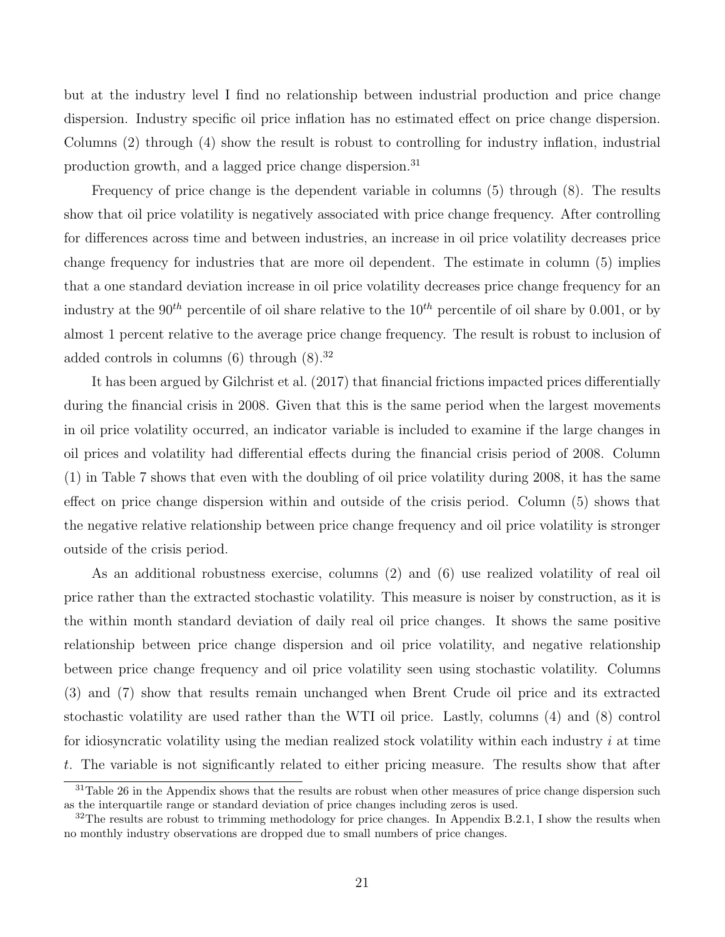but at the industry level I find no relationship between industrial production and price change dispersion. Industry specific oil price inflation has no estimated effect on price change dispersion. Columns (2) through (4) show the result is robust to controlling for industry inflation, industrial production growth, and a lagged price change dispersion.<sup>[31](#page-1-0)</sup>

Frequency of price change is the dependent variable in columns (5) through (8). The results show that oil price volatility is negatively associated with price change frequency. After controlling for differences across time and between industries, an increase in oil price volatility decreases price change frequency for industries that are more oil dependent. The estimate in column (5) implies that a one standard deviation increase in oil price volatility decreases price change frequency for an industry at the  $90^{th}$  percentile of oil share relative to the  $10^{th}$  percentile of oil share by 0.001, or by almost 1 percent relative to the average price change frequency. The result is robust to inclusion of added controls in columns  $(6)$  through  $(8).^{32}$  $(8).^{32}$  $(8).^{32}$ 

It has been argued by [Gilchrist et al.](#page-42-4) [\(2017\)](#page-42-4) that financial frictions impacted prices differentially during the financial crisis in 2008. Given that this is the same period when the largest movements in oil price volatility occurred, an indicator variable is included to examine if the large changes in oil prices and volatility had differential effects during the financial crisis period of 2008. Column (1) in Table [7](#page-23-0) shows that even with the doubling of oil price volatility during 2008, it has the same effect on price change dispersion within and outside of the crisis period. Column (5) shows that the negative relative relationship between price change frequency and oil price volatility is stronger outside of the crisis period.

As an additional robustness exercise, columns (2) and (6) use realized volatility of real oil price rather than the extracted stochastic volatility. This measure is noiser by construction, as it is the within month standard deviation of daily real oil price changes. It shows the same positive relationship between price change dispersion and oil price volatility, and negative relationship between price change frequency and oil price volatility seen using stochastic volatility. Columns (3) and (7) show that results remain unchanged when Brent Crude oil price and its extracted stochastic volatility are used rather than the WTI oil price. Lastly, columns (4) and (8) control for idiosyncratic volatility using the median realized stock volatility within each industry  $i$  at time t. The variable is not significantly related to either pricing measure. The results show that after

 $31$ Table [26](#page-65-0) in the Appendix shows that the results are robust when other measures of price change dispersion such as the interquartile range or standard deviation of price changes including zeros is used.

 $32$ The results are robust to trimming methodology for price changes. In Appendix [B.2.1,](#page-51-0) I show the results when no monthly industry observations are dropped due to small numbers of price changes.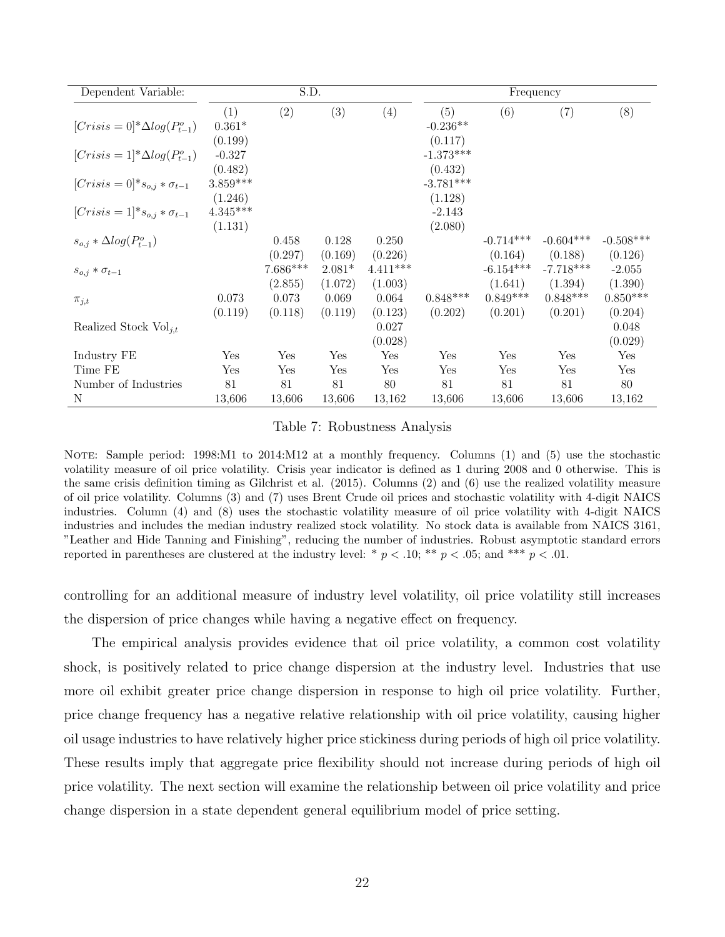<span id="page-23-0"></span>

| Dependent Variable:                     |            | S.D.       |          |                  |             | Frequency   |             |                  |
|-----------------------------------------|------------|------------|----------|------------------|-------------|-------------|-------------|------------------|
|                                         | (1)        | (2)        | (3)      | (4)              | (5)         | (6)         | (7)         | (8)              |
| $[Crisis = 0]^* \Delta log(P_{t-1}^o)$  | $0.361*$   |            |          |                  | $-0.236**$  |             |             |                  |
|                                         | (0.199)    |            |          |                  | (0.117)     |             |             |                  |
| $[Crisis = 1]*\Delta log(P_{t-1}^o)$    | $-0.327$   |            |          |                  | $-1.373***$ |             |             |                  |
|                                         | (0.482)    |            |          |                  | (0.432)     |             |             |                  |
| $[Crisis = 0] * s_{o,j} * \sigma_{t-1}$ | $3.859***$ |            |          |                  | $-3.781***$ |             |             |                  |
|                                         | (1.246)    |            |          |                  | (1.128)     |             |             |                  |
| $[Crisis = 1] * s_{o,i} * \sigma_{t-1}$ | $4.345***$ |            |          |                  | $-2.143$    |             |             |                  |
|                                         | (1.131)    |            |          |                  | (2.080)     |             |             |                  |
| $s_{o,i} * \Delta log(P_{t-1}^o)$       |            | 0.458      | 0.128    | 0.250            |             | $-0.714***$ | $-0.604***$ | $-0.508***$      |
|                                         |            | (0.297)    | (0.169)  | (0.226)          |             | (0.164)     | (0.188)     | (0.126)          |
| $s_{o,j} * \sigma_{t-1}$                |            | $7.686***$ | $2.081*$ | $4.411***$       |             | $-6.154***$ | $-7.718***$ | $-2.055$         |
|                                         |            | (2.855)    | (1.072)  | (1.003)          |             | (1.641)     | (1.394)     | (1.390)          |
| $\pi_{j,t}$                             | 0.073      | 0.073      | 0.069    | 0.064            | $0.848***$  | $0.849***$  | $0.848***$  | $0.850***$       |
| Realized Stock $Vol_{i,t}$              | (0.119)    | (0.118)    | (0.119)  | (0.123)<br>0.027 | (0.202)     | (0.201)     | (0.201)     | (0.204)<br>0.048 |
|                                         |            |            |          | (0.028)          |             |             |             | (0.029)          |
| Industry FE                             | Yes        | Yes        | Yes      | Yes              | Yes         | Yes         | Yes         | Yes              |
| Time FE                                 | Yes        | Yes        | Yes      | Yes              | Yes         | Yes         | Yes         | Yes              |
| Number of Industries                    | 81         | 81         | 81       | 80               | 81          | 81          | 81          | 80               |
| N                                       | 13,606     | 13,606     | 13,606   | 13,162           | 13,606      | 13,606      | 13,606      | 13,162           |

Table 7: Robustness Analysis

NOTE: Sample period: 1998:M1 to 2014:M12 at a monthly frequency. Columns (1) and (5) use the stochastic volatility measure of oil price volatility. Crisis year indicator is defined as 1 during 2008 and 0 otherwise. This is the same crisis definition timing as Gilchrist et al. (2015). Columns (2) and (6) use the realized volatility measure of oil price volatility. Columns (3) and (7) uses Brent Crude oil prices and stochastic volatility with 4-digit NAICS industries. Column (4) and (8) uses the stochastic volatility measure of oil price volatility with 4-digit NAICS industries and includes the median industry realized stock volatility. No stock data is available from NAICS 3161, "Leather and Hide Tanning and Finishing", reducing the number of industries. Robust asymptotic standard errors reported in parentheses are clustered at the industry level: \*  $p < .10$ ; \*\*  $p < .05$ ; and \*\*\*  $p < .01$ .

controlling for an additional measure of industry level volatility, oil price volatility still increases the dispersion of price changes while having a negative effect on frequency.

The empirical analysis provides evidence that oil price volatility, a common cost volatility shock, is positively related to price change dispersion at the industry level. Industries that use more oil exhibit greater price change dispersion in response to high oil price volatility. Further, price change frequency has a negative relative relationship with oil price volatility, causing higher oil usage industries to have relatively higher price stickiness during periods of high oil price volatility. These results imply that aggregate price flexibility should not increase during periods of high oil price volatility. The next section will examine the relationship between oil price volatility and price change dispersion in a state dependent general equilibrium model of price setting.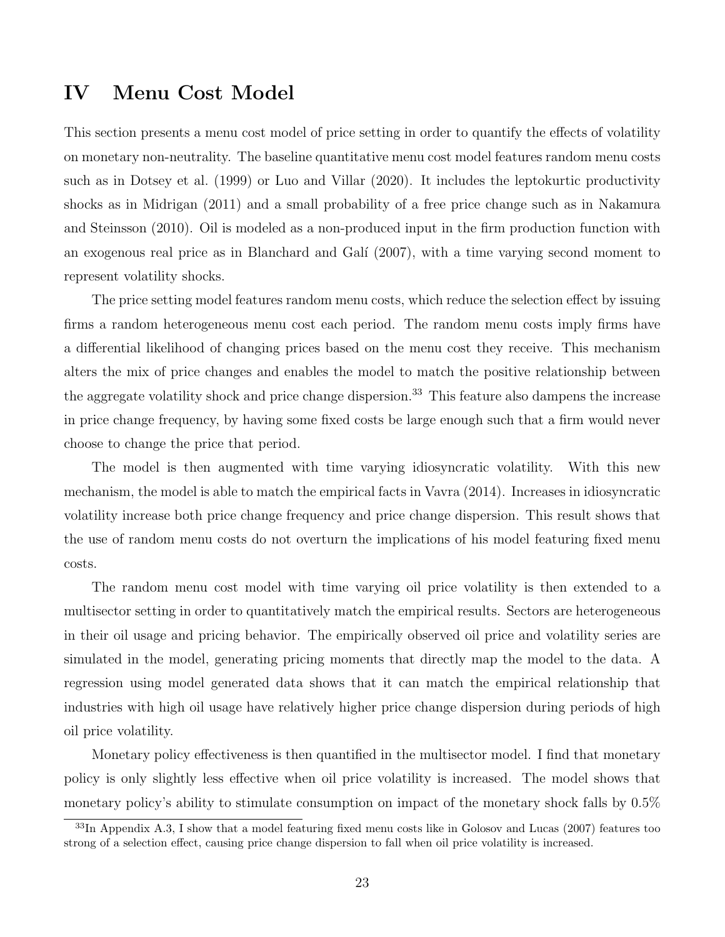# <span id="page-24-0"></span>IV Menu Cost Model

This section presents a menu cost model of price setting in order to quantify the effects of volatility on monetary non-neutrality. The baseline quantitative menu cost model features random menu costs such as in [Dotsey et al.](#page-41-1) [\(1999\)](#page-41-1) or [Luo and Villar](#page-43-0) [\(2020\)](#page-43-0). It includes the leptokurtic productivity shocks as in [Midrigan](#page-43-2) [\(2011\)](#page-43-2) and a small probability of a free price change such as in [Nakamura](#page-43-3) [and Steinsson](#page-43-3) [\(2010\)](#page-43-3). Oil is modeled as a non-produced input in the firm production function with an exogenous real price as in Blanchard and Galí [\(2007\)](#page-41-9), with a time varying second moment to represent volatility shocks.

The price setting model features random menu costs, which reduce the selection effect by issuing firms a random heterogeneous menu cost each period. The random menu costs imply firms have a differential likelihood of changing prices based on the menu cost they receive. This mechanism alters the mix of price changes and enables the model to match the positive relationship between the aggregate volatility shock and price change dispersion.<sup>[33](#page-1-0)</sup> This feature also dampens the increase in price change frequency, by having some fixed costs be large enough such that a firm would never choose to change the price that period.

The model is then augmented with time varying idiosyncratic volatility. With this new mechanism, the model is able to match the empirical facts in [Vavra](#page-43-1) [\(2014\)](#page-43-1). Increases in idiosyncratic volatility increase both price change frequency and price change dispersion. This result shows that the use of random menu costs do not overturn the implications of his model featuring fixed menu costs.

The random menu cost model with time varying oil price volatility is then extended to a multisector setting in order to quantitatively match the empirical results. Sectors are heterogeneous in their oil usage and pricing behavior. The empirically observed oil price and volatility series are simulated in the model, generating pricing moments that directly map the model to the data. A regression using model generated data shows that it can match the empirical relationship that industries with high oil usage have relatively higher price change dispersion during periods of high oil price volatility.

Monetary policy effectiveness is then quantified in the multisector model. I find that monetary policy is only slightly less effective when oil price volatility is increased. The model shows that monetary policy's ability to stimulate consumption on impact of the monetary shock falls by 0.5%

<sup>&</sup>lt;sup>33</sup>In Appendix [A.3,](#page-46-0) I show that a model featuring fixed menu costs like in [Golosov and Lucas](#page-42-0) [\(2007\)](#page-42-0) features too strong of a selection effect, causing price change dispersion to fall when oil price volatility is increased.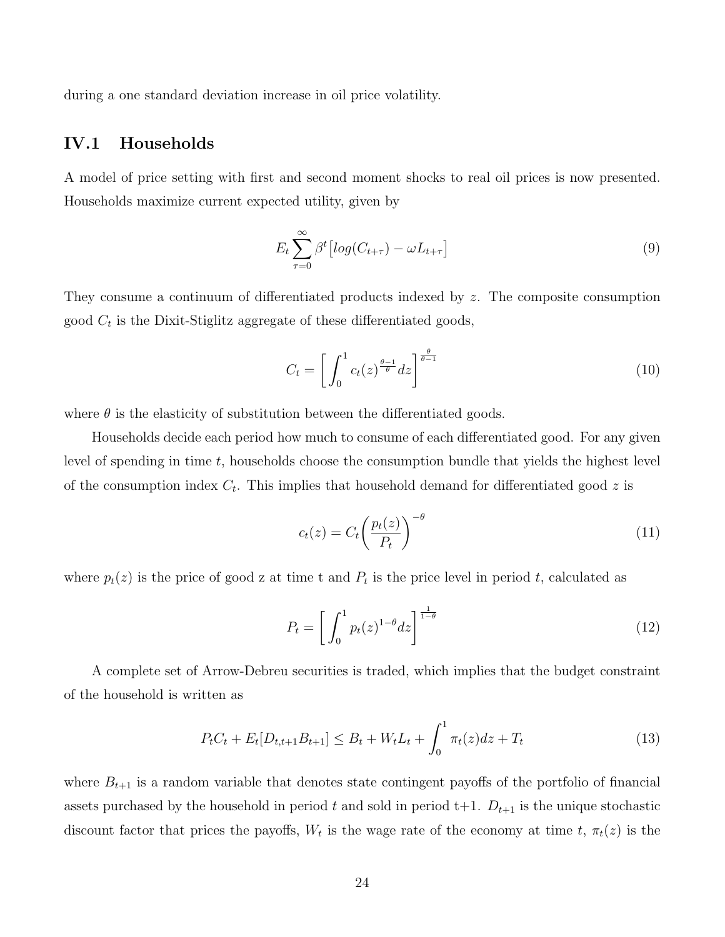during a one standard deviation increase in oil price volatility.

## IV.1 Households

A model of price setting with first and second moment shocks to real oil prices is now presented. Households maximize current expected utility, given by

$$
E_t \sum_{\tau=0}^{\infty} \beta^t \left[ \log(C_{t+\tau}) - \omega L_{t+\tau} \right] \tag{9}
$$

They consume a continuum of differentiated products indexed by z. The composite consumption good  $C_t$  is the Dixit-Stiglitz aggregate of these differentiated goods,

$$
C_t = \left[ \int_0^1 c_t(z)^{\frac{\theta - 1}{\theta}} dz \right]^{\frac{\theta}{\theta - 1}} \tag{10}
$$

where  $\theta$  is the elasticity of substitution between the differentiated goods.

Households decide each period how much to consume of each differentiated good. For any given level of spending in time t, households choose the consumption bundle that yields the highest level of the consumption index  $C_t$ . This implies that household demand for differentiated good z is

$$
c_t(z) = C_t \left(\frac{p_t(z)}{P_t}\right)^{-\theta} \tag{11}
$$

where  $p_t(z)$  is the price of good z at time t and  $P_t$  is the price level in period t, calculated as

$$
P_t = \left[ \int_0^1 p_t(z)^{1-\theta} dz \right]^{\frac{1}{1-\theta}} \tag{12}
$$

A complete set of Arrow-Debreu securities is traded, which implies that the budget constraint of the household is written as

$$
P_t C_t + E_t[D_{t,t+1}B_{t+1}] \leq B_t + W_t L_t + \int_0^1 \pi_t(z)dz + T_t
$$
\n(13)

where  $B_{t+1}$  is a random variable that denotes state contingent payoffs of the portfolio of financial assets purchased by the household in period t and sold in period  $t+1$ .  $D_{t+1}$  is the unique stochastic discount factor that prices the payoffs,  $W_t$  is the wage rate of the economy at time t,  $\pi_t(z)$  is the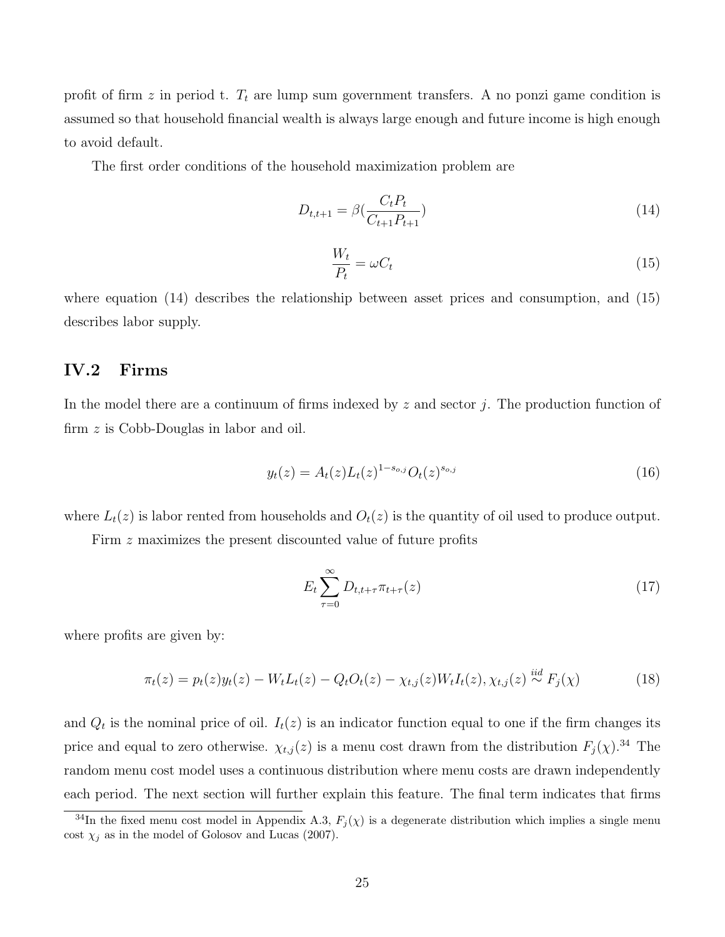profit of firm z in period t.  $T_t$  are lump sum government transfers. A no ponzi game condition is assumed so that household financial wealth is always large enough and future income is high enough to avoid default.

The first order conditions of the household maximization problem are

<span id="page-26-0"></span>
$$
D_{t,t+1} = \beta(\frac{C_t P_t}{C_{t+1} P_{t+1}})
$$
\n(14)

<span id="page-26-1"></span>
$$
\frac{W_t}{P_t} = \omega C_t \tag{15}
$$

where equation [\(14\)](#page-26-0) describes the relationship between asset prices and consumption, and [\(15\)](#page-26-1) describes labor supply.

### IV.2 Firms

In the model there are a continuum of firms indexed by  $z$  and sector j. The production function of firm z is Cobb-Douglas in labor and oil.

<span id="page-26-3"></span>
$$
y_t(z) = A_t(z)L_t(z)^{1 - s_{o,j}} O_t(z)^{s_{o,j}}
$$
\n(16)

where  $L_t(z)$  is labor rented from households and  $O_t(z)$  is the quantity of oil used to produce output.

Firm z maximizes the present discounted value of future profits

$$
E_t \sum_{\tau=0}^{\infty} D_{t,t+\tau} \pi_{t+\tau}(z) \tag{17}
$$

where profits are given by:

<span id="page-26-2"></span>
$$
\pi_t(z) = p_t(z)y_t(z) - W_t L_t(z) - Q_t O_t(z) - \chi_{t,j}(z)W_t I_t(z), \chi_{t,j}(z) \stackrel{iid}{\sim} F_j(\chi)
$$
\n(18)

and  $Q_t$  is the nominal price of oil.  $I_t(z)$  is an indicator function equal to one if the firm changes its price and equal to zero otherwise.  $\chi_{t,j}(z)$  is a menu cost drawn from the distribution  $F_j(\chi)$ .<sup>[34](#page-1-0)</sup> The random menu cost model uses a continuous distribution where menu costs are drawn independently each period. The next section will further explain this feature. The final term indicates that firms

<sup>&</sup>lt;sup>34</sup>In the fixed menu cost model in Appendix [A.3,](#page-46-0)  $F_j(\chi)$  is a degenerate distribution which implies a single menu cost  $\chi_j$  as in the model of [Golosov and Lucas](#page-42-0) [\(2007\)](#page-42-0).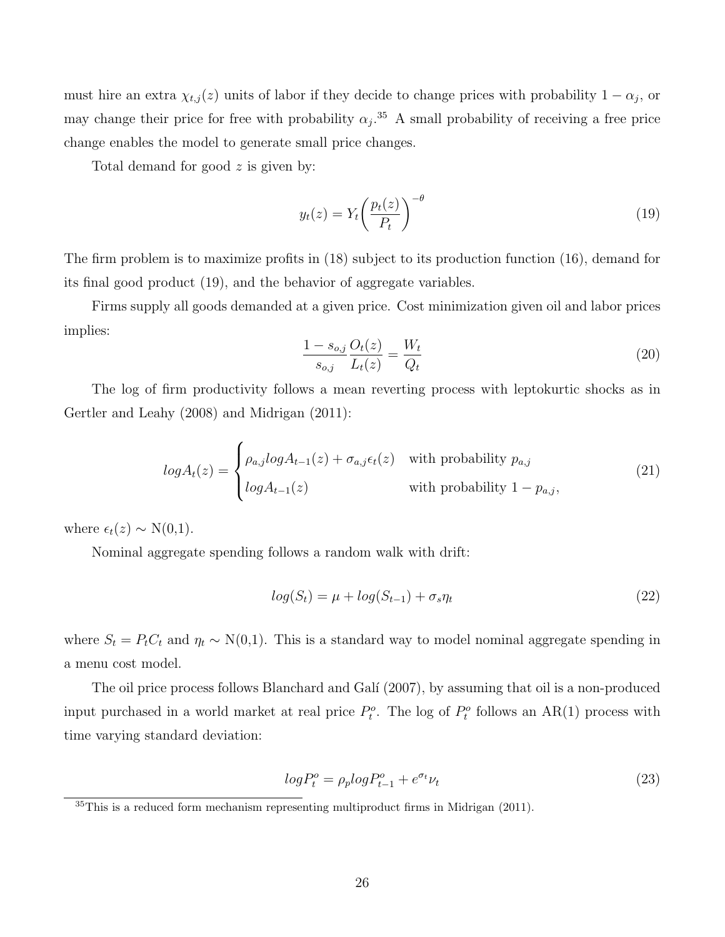must hire an extra  $\chi_{t,j}(z)$  units of labor if they decide to change prices with probability  $1 - \alpha_j$ , or may change their price for free with probability  $\alpha_j$ .<sup>[35](#page-1-0)</sup> A small probability of receiving a free price change enables the model to generate small price changes.

Total demand for good z is given by:

<span id="page-27-0"></span>
$$
y_t(z) = Y_t \left(\frac{p_t(z)}{P_t}\right)^{-\theta} \tag{19}
$$

The firm problem is to maximize profits in [\(18\)](#page-26-2) subject to its production function [\(16\)](#page-26-3), demand for its final good product [\(19\)](#page-27-0), and the behavior of aggregate variables.

Firms supply all goods demanded at a given price. Cost minimization given oil and labor prices implies:

<span id="page-27-1"></span>
$$
\frac{1 - s_{o,j}}{s_{o,j}} \frac{O_t(z)}{L_t(z)} = \frac{W_t}{Q_t}
$$
\n(20)

The log of firm productivity follows a mean reverting process with leptokurtic shocks as in [Gertler and Leahy](#page-42-11) [\(2008\)](#page-42-11) and [Midrigan](#page-43-2) [\(2011\)](#page-43-2):

$$
log A_t(z) = \begin{cases} \rho_{a,j} log A_{t-1}(z) + \sigma_{a,j} \epsilon_t(z) & \text{with probability } p_{a,j} \\ log A_{t-1}(z) & \text{with probability } 1 - p_{a,j}, \end{cases}
$$
(21)

where  $\epsilon_t(z) \sim \mathcal{N}(0,1)$ .

Nominal aggregate spending follows a random walk with drift:

$$
log(S_t) = \mu + log(S_{t-1}) + \sigma_s \eta_t \tag{22}
$$

where  $S_t = P_t C_t$  and  $\eta_t \sim N(0,1)$ . This is a standard way to model nominal aggregate spending in a menu cost model.

The oil price process follows Blanchard and Galí [\(2007\)](#page-41-9), by assuming that oil is a non-produced input purchased in a world market at real price  $P_t^o$ . The log of  $P_t^o$  follows an AR(1) process with time varying standard deviation:

$$
log P_t^o = \rho_p log P_{t-1}^o + e^{\sigma_t} \nu_t \tag{23}
$$

<sup>&</sup>lt;sup>35</sup>This is a reduced form mechanism representing multiproduct firms in [Midrigan](#page-43-2) [\(2011\)](#page-43-2).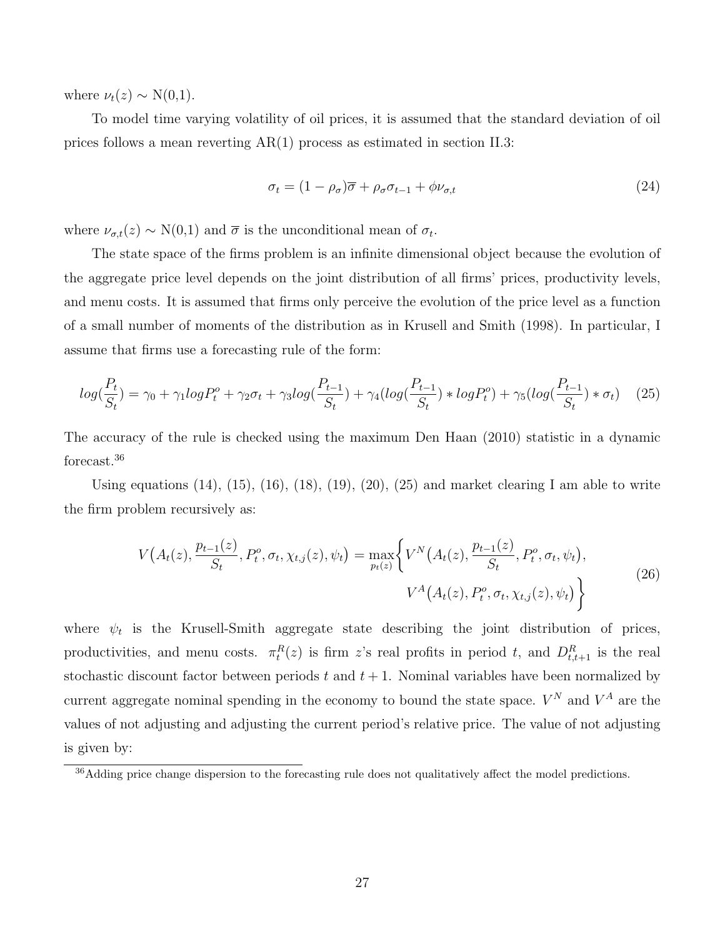where  $\nu_t(z) \sim N(0,1)$ .

To model time varying volatility of oil prices, it is assumed that the standard deviation of oil prices follows a mean reverting AR(1) process as estimated in section [II.3:](#page-13-1)

$$
\sigma_t = (1 - \rho_\sigma)\overline{\sigma} + \rho_\sigma \sigma_{t-1} + \phi \nu_{\sigma, t} \tag{24}
$$

where  $\nu_{\sigma,t}(z) \sim N(0,1)$  and  $\overline{\sigma}$  is the unconditional mean of  $\sigma_t$ .

The state space of the firms problem is an infinite dimensional object because the evolution of the aggregate price level depends on the joint distribution of all firms' prices, productivity levels, and menu costs. It is assumed that firms only perceive the evolution of the price level as a function of a small number of moments of the distribution as in [Krusell and Smith](#page-42-12) [\(1998\)](#page-42-12). In particular, I assume that firms use a forecasting rule of the form:

<span id="page-28-0"></span>
$$
log(\frac{P_t}{S_t}) = \gamma_0 + \gamma_1 log P_t^o + \gamma_2 \sigma_t + \gamma_3 log(\frac{P_{t-1}}{S_t}) + \gamma_4 (log(\frac{P_{t-1}}{S_t}) * log P_t^o) + \gamma_5 (log(\frac{P_{t-1}}{S_t}) * \sigma_t)
$$
(25)

The accuracy of the rule is checked using the maximum [Den Haan](#page-41-19) [\(2010\)](#page-41-19) statistic in a dynamic forecast.[36](#page-1-0)

Using equations  $(14)$ ,  $(15)$ ,  $(16)$ ,  $(18)$ ,  $(19)$ ,  $(20)$ ,  $(25)$  and market clearing I am able to write the firm problem recursively as:

<span id="page-28-1"></span>
$$
V(A_t(z), \frac{p_{t-1}(z)}{S_t}, P_t^o, \sigma_t, \chi_{t,j}(z), \psi_t) = \max_{p_t(z)} \left\{ V^N(A_t(z), \frac{p_{t-1}(z)}{S_t}, P_t^o, \sigma_t, \psi_t), \right\}
$$
\n
$$
V^A(A_t(z), P_t^o, \sigma_t, \chi_{t,j}(z), \psi_t) \right\}
$$
\n(26)

where  $\psi_t$  is the Krusell-Smith aggregate state describing the joint distribution of prices, productivities, and menu costs.  $\pi_t^R(z)$  is firm z's real profits in period t, and  $D_{t,t+1}^R$  is the real stochastic discount factor between periods t and  $t + 1$ . Nominal variables have been normalized by current aggregate nominal spending in the economy to bound the state space.  $V^N$  and  $V^A$  are the values of not adjusting and adjusting the current period's relative price. The value of not adjusting is given by:

<sup>&</sup>lt;sup>36</sup>Adding price change dispersion to the forecasting rule does not qualitatively affect the model predictions.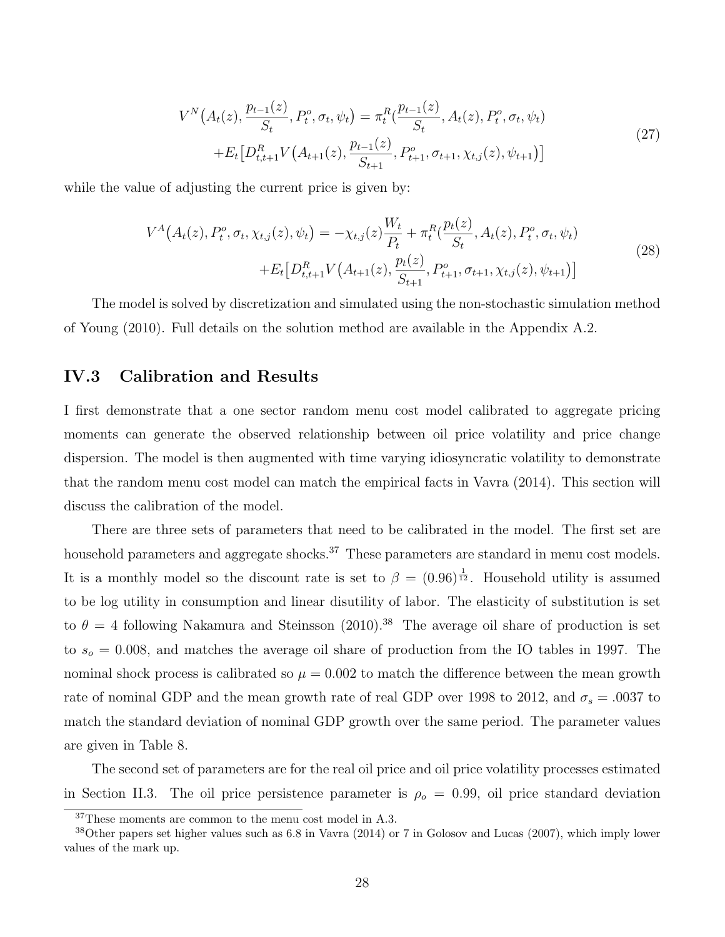$$
V^{N}(A_{t}(z), \frac{p_{t-1}(z)}{S_{t}}, P_{t}^{o}, \sigma_{t}, \psi_{t}) = \pi_{t}^{R}(\frac{p_{t-1}(z)}{S_{t}}, A_{t}(z), P_{t}^{o}, \sigma_{t}, \psi_{t}) + E_{t}[D_{t,t+1}^{R}V(A_{t+1}(z), \frac{p_{t-1}(z)}{S_{t+1}}, P_{t+1}^{o}, \sigma_{t+1}, \chi_{t,j}(z), \psi_{t+1})]
$$
\n(27)

while the value of adjusting the current price is given by:

$$
V^{A}(A_{t}(z), P_{t}^{o}, \sigma_{t}, \chi_{t,j}(z), \psi_{t}) = -\chi_{t,j}(z) \frac{W_{t}}{P_{t}} + \pi_{t}^{R}(\frac{p_{t}(z)}{S_{t}}, A_{t}(z), P_{t}^{o}, \sigma_{t}, \psi_{t}) + E_{t}[D_{t,t+1}^{R}V(A_{t+1}(z), \frac{p_{t}(z)}{S_{t+1}}, P_{t+1}^{o}, \sigma_{t+1}, \chi_{t,j}(z), \psi_{t+1})]
$$
\n(28)

The model is solved by discretization and simulated using the non-stochastic simulation method of [Young](#page-43-10) [\(2010\)](#page-43-10). Full details on the solution method are available in the Appendix [A.2.](#page-45-0)

### IV.3 Calibration and Results

I first demonstrate that a one sector random menu cost model calibrated to aggregate pricing moments can generate the observed relationship between oil price volatility and price change dispersion. The model is then augmented with time varying idiosyncratic volatility to demonstrate that the random menu cost model can match the empirical facts in [Vavra](#page-43-1) [\(2014\)](#page-43-1). This section will discuss the calibration of the model.

There are three sets of parameters that need to be calibrated in the model. The first set are household parameters and aggregate shocks.<sup>[37](#page-1-0)</sup> These parameters are standard in menu cost models. It is a monthly model so the discount rate is set to  $\beta = (0.96)^{\frac{1}{12}}$ . Household utility is assumed to be log utility in consumption and linear disutility of labor. The elasticity of substitution is set to  $\theta = 4$  following [Nakamura and Steinsson](#page-43-3) [\(2010\)](#page-43-3).<sup>[38](#page-1-0)</sup> The average oil share of production is set to  $s<sub>o</sub> = 0.008$ , and matches the average oil share of production from the IO tables in 1997. The nominal shock process is calibrated so  $\mu = 0.002$  to match the difference between the mean growth rate of nominal GDP and the mean growth rate of real GDP over 1998 to 2012, and  $\sigma_s = .0037$  to match the standard deviation of nominal GDP growth over the same period. The parameter values are given in Table [8.](#page-30-0)

The second set of parameters are for the real oil price and oil price volatility processes estimated in Section [II.3.](#page-13-1) The oil price persistence parameter is  $\rho_o = 0.99$ , oil price standard deviation

<sup>37</sup>These moments are common to the menu cost model in [A.3.](#page-46-0)

<sup>38</sup>Other papers set higher values such as 6.8 in [Vavra](#page-43-1) [\(2014\)](#page-43-1) or 7 in [Golosov and Lucas](#page-42-0) [\(2007\)](#page-42-0), which imply lower values of the mark up.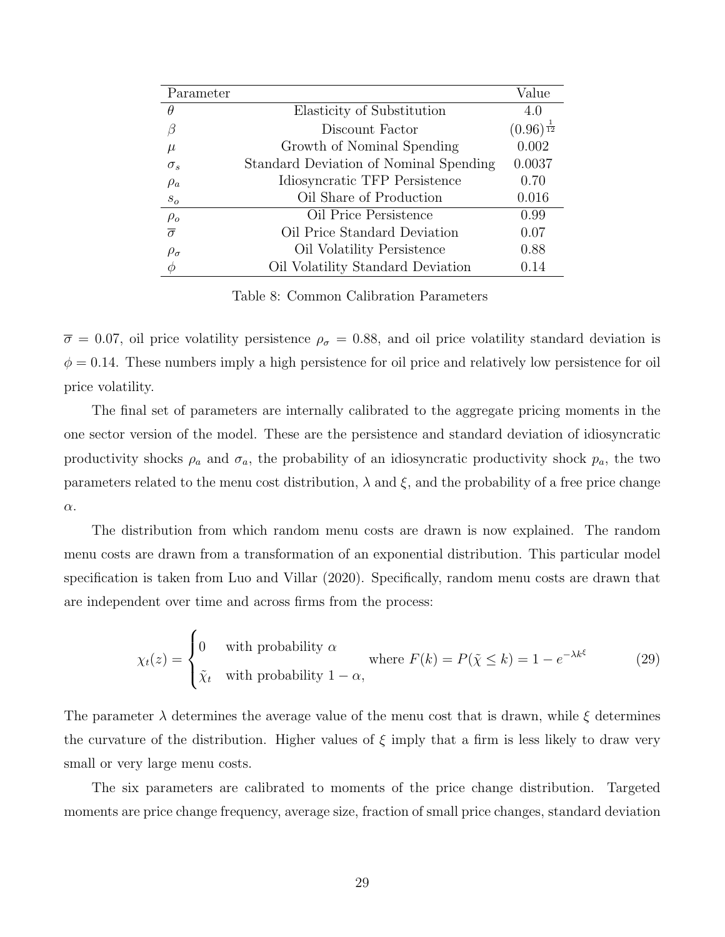<span id="page-30-0"></span>

| Parameter           |                                        | Value                   |
|---------------------|----------------------------------------|-------------------------|
| $\theta$            | Elasticity of Substitution             | 4.0                     |
|                     | Discount Factor                        | $(0.96)^{\frac{1}{12}}$ |
| $\mu$               | Growth of Nominal Spending             | 0.002                   |
| $\sigma_s$          | Standard Deviation of Nominal Spending | 0.0037                  |
| $\rho_a$            | Idiosyncratic TFP Persistence          | 0.70                    |
| $S_{O}$             | Oil Share of Production                | 0.016                   |
| $\rho_o$            | Oil Price Persistence                  | 0.99                    |
| $\overline{\sigma}$ | Oil Price Standard Deviation           | 0.07                    |
| $\rho_{\sigma}$     | Oil Volatility Persistence             | 0.88                    |
| $\phi$              | Oil Volatility Standard Deviation      | 0.14                    |

Table 8: Common Calibration Parameters

 $\overline{\sigma} = 0.07$ , oil price volatility persistence  $\rho_{\sigma} = 0.88$ , and oil price volatility standard deviation is  $\phi = 0.14$ . These numbers imply a high persistence for oil price and relatively low persistence for oil price volatility.

The final set of parameters are internally calibrated to the aggregate pricing moments in the one sector version of the model. These are the persistence and standard deviation of idiosyncratic productivity shocks  $\rho_a$  and  $\sigma_a$ , the probability of an idiosyncratic productivity shock  $p_a$ , the two parameters related to the menu cost distribution,  $\lambda$  and  $\xi$ , and the probability of a free price change α.

The distribution from which random menu costs are drawn is now explained. The random menu costs are drawn from a transformation of an exponential distribution. This particular model specification is taken from [Luo and Villar](#page-43-0) [\(2020\)](#page-43-0). Specifically, random menu costs are drawn that are independent over time and across firms from the process:

$$
\chi_t(z) = \begin{cases} 0 & \text{with probability } \alpha \\ \tilde{\chi}_t & \text{with probability } 1 - \alpha, \end{cases} \quad \text{where } F(k) = P(\tilde{\chi} \le k) = 1 - e^{-\lambda k^{\xi}} \tag{29}
$$

The parameter  $\lambda$  determines the average value of the menu cost that is drawn, while  $\xi$  determines the curvature of the distribution. Higher values of  $\xi$  imply that a firm is less likely to draw very small or very large menu costs.

The six parameters are calibrated to moments of the price change distribution. Targeted moments are price change frequency, average size, fraction of small price changes, standard deviation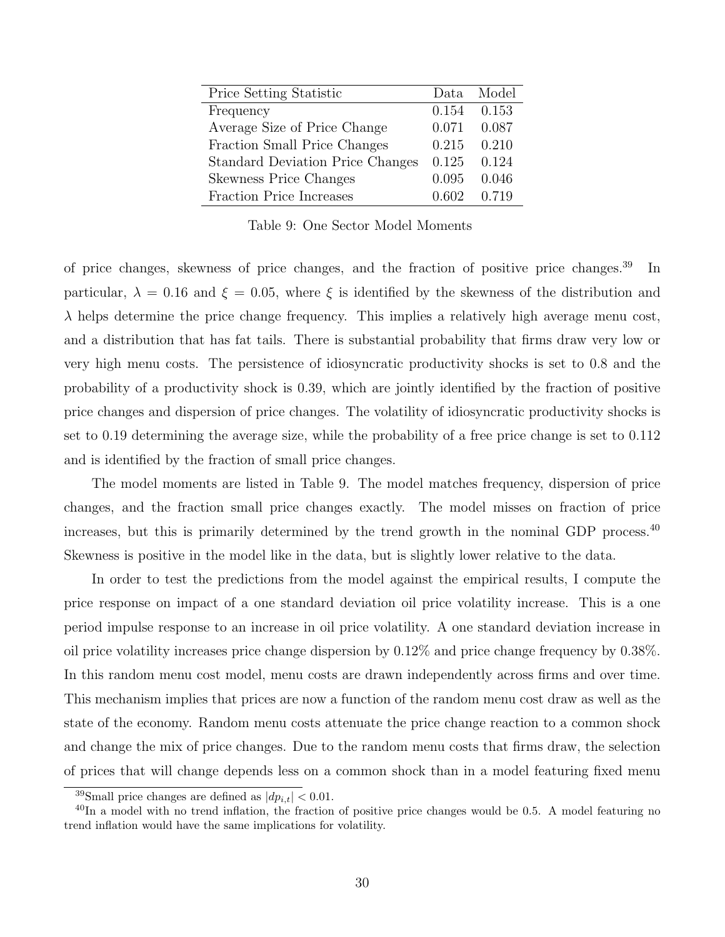<span id="page-31-0"></span>

| Price Setting Statistic                 |       | Data Model |
|-----------------------------------------|-------|------------|
| Frequency                               | 0.154 | 0.153      |
| Average Size of Price Change            | 0.071 | 0.087      |
| Fraction Small Price Changes            | 0.215 | 0.210      |
| <b>Standard Deviation Price Changes</b> | 0.125 | 0.124      |
| <b>Skewness Price Changes</b>           | 0.095 | 0.046      |
| Fraction Price Increases                | 0.602 | 0.719      |

Table 9: One Sector Model Moments

of price changes, skewness of price changes, and the fraction of positive price changes.[39](#page-1-0) In particular,  $\lambda = 0.16$  and  $\xi = 0.05$ , where  $\xi$  is identified by the skewness of the distribution and  $\lambda$  helps determine the price change frequency. This implies a relatively high average menu cost, and a distribution that has fat tails. There is substantial probability that firms draw very low or very high menu costs. The persistence of idiosyncratic productivity shocks is set to 0.8 and the probability of a productivity shock is 0.39, which are jointly identified by the fraction of positive price changes and dispersion of price changes. The volatility of idiosyncratic productivity shocks is set to 0.19 determining the average size, while the probability of a free price change is set to 0.112 and is identified by the fraction of small price changes.

The model moments are listed in Table [9.](#page-31-0) The model matches frequency, dispersion of price changes, and the fraction small price changes exactly. The model misses on fraction of price increases, but this is primarily determined by the trend growth in the nominal GDP process.<sup>[40](#page-1-0)</sup> Skewness is positive in the model like in the data, but is slightly lower relative to the data.

In order to test the predictions from the model against the empirical results, I compute the price response on impact of a one standard deviation oil price volatility increase. This is a one period impulse response to an increase in oil price volatility. A one standard deviation increase in oil price volatility increases price change dispersion by 0.12% and price change frequency by 0.38%. In this random menu cost model, menu costs are drawn independently across firms and over time. This mechanism implies that prices are now a function of the random menu cost draw as well as the state of the economy. Random menu costs attenuate the price change reaction to a common shock and change the mix of price changes. Due to the random menu costs that firms draw, the selection of prices that will change depends less on a common shock than in a model featuring fixed menu

<sup>&</sup>lt;sup>39</sup>Small price changes are defined as  $|dp_{i,t}| < 0.01$ .

 $^{40}$ In a model with no trend inflation, the fraction of positive price changes would be 0.5. A model featuring no trend inflation would have the same implications for volatility.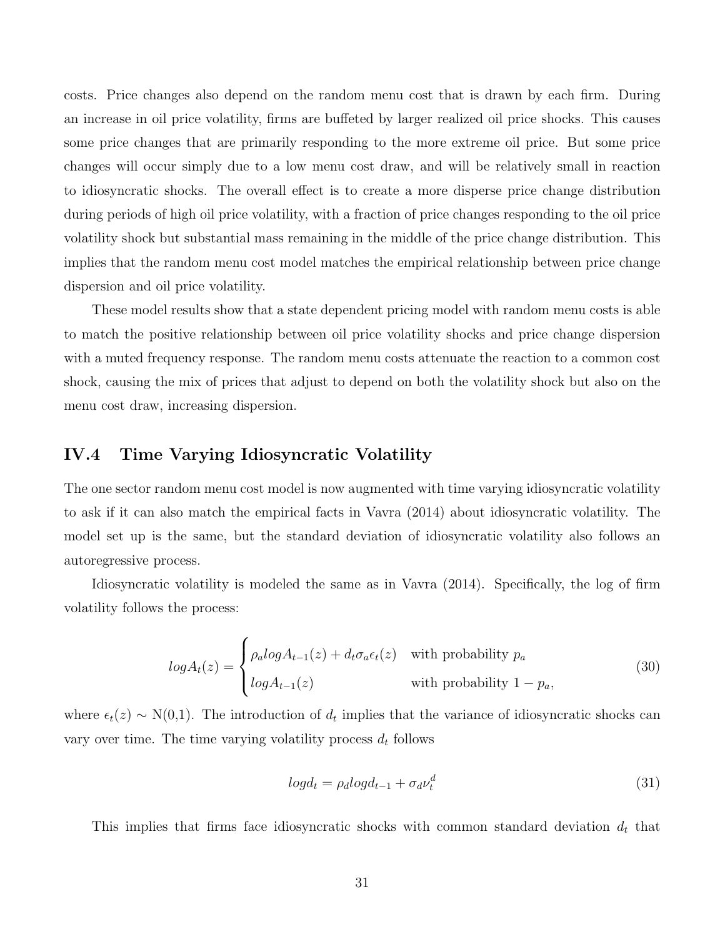costs. Price changes also depend on the random menu cost that is drawn by each firm. During an increase in oil price volatility, firms are buffeted by larger realized oil price shocks. This causes some price changes that are primarily responding to the more extreme oil price. But some price changes will occur simply due to a low menu cost draw, and will be relatively small in reaction to idiosyncratic shocks. The overall effect is to create a more disperse price change distribution during periods of high oil price volatility, with a fraction of price changes responding to the oil price volatility shock but substantial mass remaining in the middle of the price change distribution. This implies that the random menu cost model matches the empirical relationship between price change dispersion and oil price volatility.

These model results show that a state dependent pricing model with random menu costs is able to match the positive relationship between oil price volatility shocks and price change dispersion with a muted frequency response. The random menu costs attenuate the reaction to a common cost shock, causing the mix of prices that adjust to depend on both the volatility shock but also on the menu cost draw, increasing dispersion.

#### IV.4 Time Varying Idiosyncratic Volatility

The one sector random menu cost model is now augmented with time varying idiosyncratic volatility to ask if it can also match the empirical facts in [Vavra](#page-43-1) [\(2014\)](#page-43-1) about idiosyncratic volatility. The model set up is the same, but the standard deviation of idiosyncratic volatility also follows an autoregressive process.

Idiosyncratic volatility is modeled the same as in [Vavra](#page-43-1) [\(2014\)](#page-43-1). Specifically, the log of firm volatility follows the process:

$$
log A_t(z) = \begin{cases} \rho_a log A_{t-1}(z) + d_t \sigma_a \epsilon_t(z) & \text{with probability } p_a \\ log A_{t-1}(z) & \text{with probability } 1 - p_a, \end{cases}
$$
(30)

where  $\epsilon_t(z) \sim N(0,1)$ . The introduction of  $d_t$  implies that the variance of idiosyncratic shocks can vary over time. The time varying volatility process  $d_t$  follows

$$
log d_t = \rho_d log d_{t-1} + \sigma_d \nu_t^d \tag{31}
$$

This implies that firms face idiosyncratic shocks with common standard deviation  $d_t$  that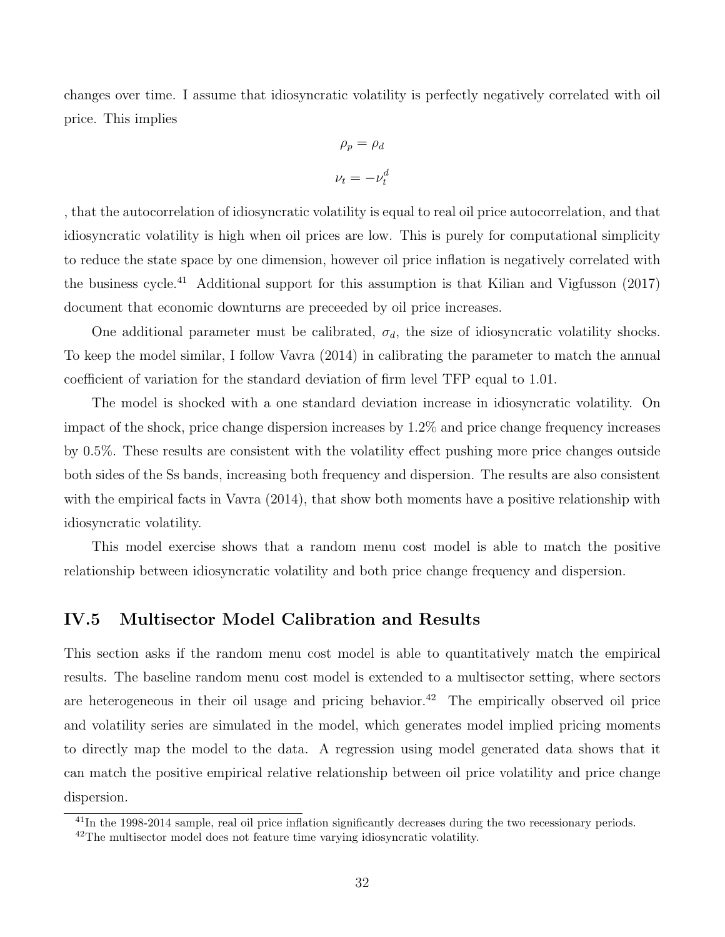changes over time. I assume that idiosyncratic volatility is perfectly negatively correlated with oil price. This implies

$$
\rho_p = \rho_d
$$

$$
\nu_t = -\nu_t^d
$$

, that the autocorrelation of idiosyncratic volatility is equal to real oil price autocorrelation, and that idiosyncratic volatility is high when oil prices are low. This is purely for computational simplicity to reduce the state space by one dimension, however oil price inflation is negatively correlated with the business cycle.<sup>[41](#page-1-0)</sup> Additional support for this assumption is that [Kilian and Vigfusson](#page-42-13)  $(2017)$ document that economic downturns are preceeded by oil price increases.

One additional parameter must be calibrated,  $\sigma_d$ , the size of idiosyncratic volatility shocks. To keep the model similar, I follow [Vavra](#page-43-1) [\(2014\)](#page-43-1) in calibrating the parameter to match the annual coefficient of variation for the standard deviation of firm level TFP equal to 1.01.

The model is shocked with a one standard deviation increase in idiosyncratic volatility. On impact of the shock, price change dispersion increases by 1.2% and price change frequency increases by 0.5%. These results are consistent with the volatility effect pushing more price changes outside both sides of the Ss bands, increasing both frequency and dispersion. The results are also consistent with the empirical facts in [Vavra](#page-43-1)  $(2014)$ , that show both moments have a positive relationship with idiosyncratic volatility.

This model exercise shows that a random menu cost model is able to match the positive relationship between idiosyncratic volatility and both price change frequency and dispersion.

### IV.5 Multisector Model Calibration and Results

This section asks if the random menu cost model is able to quantitatively match the empirical results. The baseline random menu cost model is extended to a multisector setting, where sectors are heterogeneous in their oil usage and pricing behavior.<sup>[42](#page-1-0)</sup> The empirically observed oil price and volatility series are simulated in the model, which generates model implied pricing moments to directly map the model to the data. A regression using model generated data shows that it can match the positive empirical relative relationship between oil price volatility and price change dispersion.

 $^{41}$ In the 1998-2014 sample, real oil price inflation significantly decreases during the two recessionary periods.

<sup>42</sup>The multisector model does not feature time varying idiosyncratic volatility.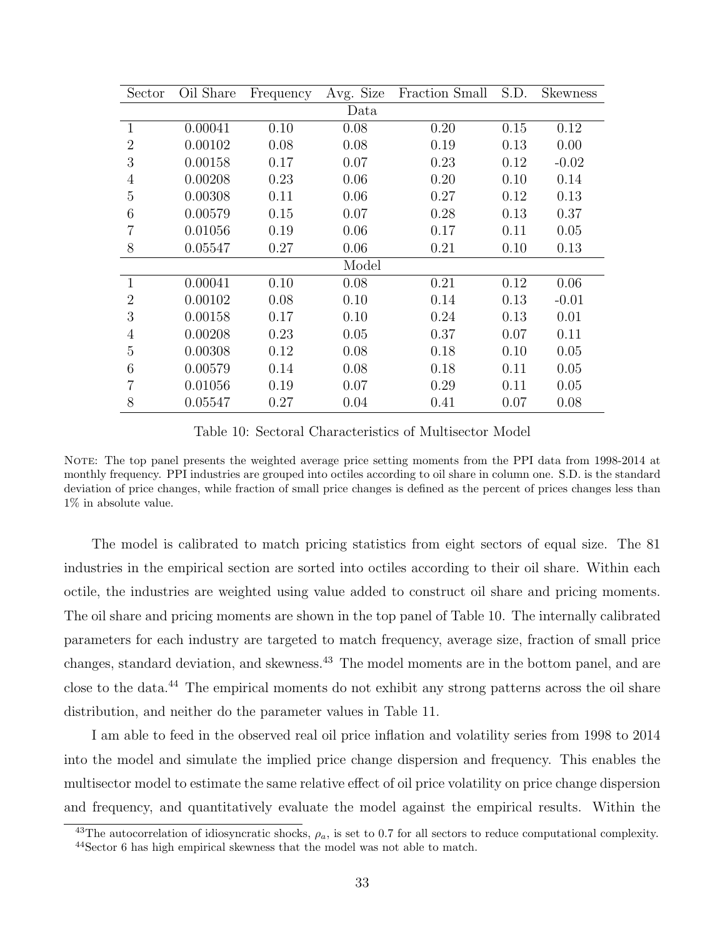<span id="page-34-0"></span>

| Sector         | Oil Share | Frequency | Avg. Size | Fraction Small | S.D. | <b>Skewness</b> |
|----------------|-----------|-----------|-----------|----------------|------|-----------------|
|                |           |           | Data      |                |      |                 |
| $\mathbf{1}$   | 0.00041   | 0.10      | 0.08      | 0.20           | 0.15 | 0.12            |
| $\overline{2}$ | 0.00102   | 0.08      | 0.08      | 0.19           | 0.13 | 0.00            |
| 3              | 0.00158   | 0.17      | 0.07      | 0.23           | 0.12 | $-0.02$         |
| $\overline{4}$ | 0.00208   | 0.23      | 0.06      | 0.20           | 0.10 | 0.14            |
| 5              | 0.00308   | 0.11      | 0.06      | 0.27           | 0.12 | 0.13            |
| 6              | 0.00579   | 0.15      | 0.07      | 0.28           | 0.13 | 0.37            |
| 7              | 0.01056   | 0.19      | 0.06      | 0.17           | 0.11 | 0.05            |
| 8              | 0.05547   | 0.27      | 0.06      | 0.21           | 0.10 | 0.13            |
|                |           |           | Model     |                |      |                 |
| $\mathbf{1}$   | 0.00041   | 0.10      | 0.08      | 0.21           | 0.12 | 0.06            |
| $\overline{2}$ | 0.00102   | 0.08      | 0.10      | 0.14           | 0.13 | $-0.01$         |
| 3              | 0.00158   | 0.17      | 0.10      | 0.24           | 0.13 | 0.01            |
| $\overline{4}$ | 0.00208   | 0.23      | 0.05      | 0.37           | 0.07 | 0.11            |
| 5              | 0.00308   | 0.12      | 0.08      | 0.18           | 0.10 | 0.05            |
| 6              | 0.00579   | 0.14      | 0.08      | 0.18           | 0.11 | 0.05            |
| 7              | 0.01056   | 0.19      | 0.07      | 0.29           | 0.11 | 0.05            |
| 8              | 0.05547   | 0.27      | 0.04      | 0.41           | 0.07 | 0.08            |

Table 10: Sectoral Characteristics of Multisector Model

NOTE: The top panel presents the weighted average price setting moments from the PPI data from 1998-2014 at monthly frequency. PPI industries are grouped into octiles according to oil share in column one. S.D. is the standard deviation of price changes, while fraction of small price changes is defined as the percent of prices changes less than 1% in absolute value.

The model is calibrated to match pricing statistics from eight sectors of equal size. The 81 industries in the empirical section are sorted into octiles according to their oil share. Within each octile, the industries are weighted using value added to construct oil share and pricing moments. The oil share and pricing moments are shown in the top panel of Table [10.](#page-34-0) The internally calibrated parameters for each industry are targeted to match frequency, average size, fraction of small price changes, standard deviation, and skewness.[43](#page-1-0) The model moments are in the bottom panel, and are close to the data.[44](#page-1-0) The empirical moments do not exhibit any strong patterns across the oil share distribution, and neither do the parameter values in Table [11.](#page-35-0)

I am able to feed in the observed real oil price inflation and volatility series from 1998 to 2014 into the model and simulate the implied price change dispersion and frequency. This enables the multisector model to estimate the same relative effect of oil price volatility on price change dispersion and frequency, and quantitatively evaluate the model against the empirical results. Within the

<sup>&</sup>lt;sup>43</sup>The autocorrelation of idiosyncratic shocks,  $\rho_a$ , is set to 0.7 for all sectors to reduce computational complexity. <sup>44</sup>Sector 6 has high empirical skewness that the model was not able to match.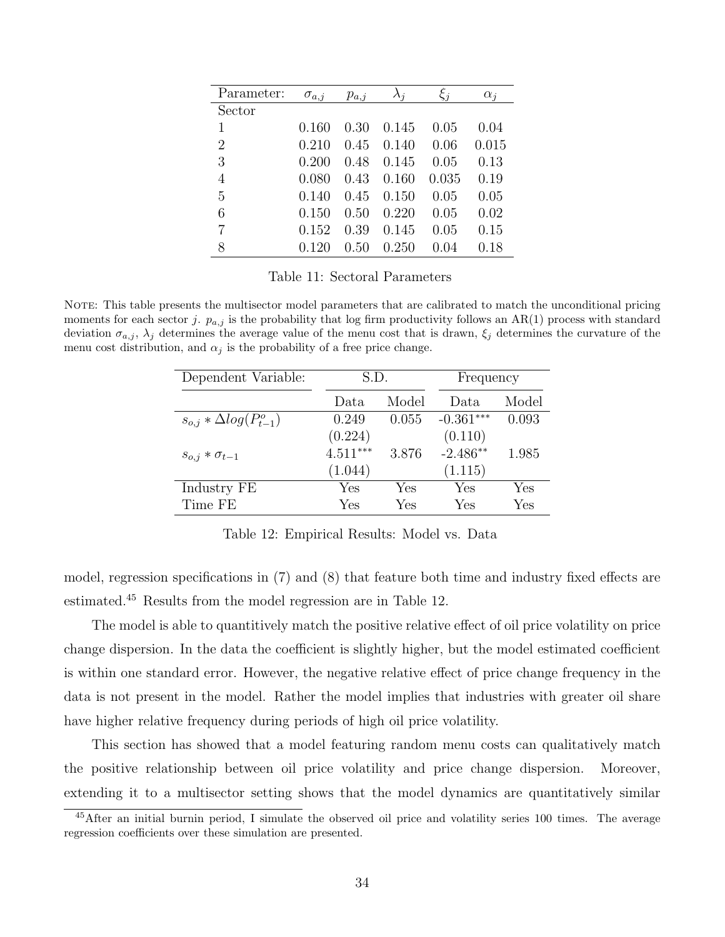<span id="page-35-0"></span>

| Parameter:     | $\sigma_{a,j}$ | $p_{a,j}$ | $\lambda_i$ | $\xi_j$ | $\alpha_i$ |
|----------------|----------------|-----------|-------------|---------|------------|
| Sector         |                |           |             |         |            |
| 1              | 0.160          | 0.30      | 0.145       | 0.05    | 0.04       |
| $\overline{2}$ | 0.210          | 0.45      | 0.140       | 0.06    | 0.015      |
| 3              | 0.200          | 0.48      | 0.145       | 0.05    | 0.13       |
| $\overline{4}$ | 0.080          | 0.43      | 0.160       | 0.035   | 0.19       |
| $\overline{5}$ | 0.140          | 0.45      | 0.150       | 0.05    | 0.05       |
| 6              | 0.150          | 0.50      | 0.220       | 0.05    | 0.02       |
| $\overline{7}$ | 0.152          | 0.39      | 0.145       | 0.05    | 0.15       |
| 8              | 0.120          | 0.50      | 0.250       | 0.04    | 0.18       |

Table 11: Sectoral Parameters

<span id="page-35-1"></span>NOTE: This table presents the multisector model parameters that are calibrated to match the unconditional pricing moments for each sector j.  $p_{a,j}$  is the probability that log firm productivity follows an AR(1) process with standard deviation  $\sigma_{a,j}$ ,  $\lambda_j$  determines the average value of the menu cost that is drawn,  $\xi_j$  determines the curvature of the menu cost distribution, and  $\alpha_j$  is the probability of a free price change.

| Dependent Variable:               | S.D.       |       | Frequency   |       |
|-----------------------------------|------------|-------|-------------|-------|
|                                   | Data.      | Model | Data        | Model |
| $s_{o,i} * \Delta log(P_{t-1}^o)$ | 0.249      | 0.055 | $-0.361***$ | 0.093 |
|                                   | (0.224)    |       | (0.110)     |       |
| $s_{o,j} * \sigma_{t-1}$          | $4.511***$ | 3.876 | $-2.486**$  | 1.985 |
|                                   | (1.044)    |       | (1.115)     |       |
| Industry FE                       | Yes        | Yes   | ${\rm Yes}$ | Yes   |
| Time FE                           | Yes        | Yes   | Yes         | Yes   |

Table 12: Empirical Results: Model vs. Data

model, regression specifications in [\(7\)](#page-20-0) and [\(8\)](#page-20-1) that feature both time and industry fixed effects are estimated.[45](#page-1-0) Results from the model regression are in Table [12.](#page-35-1)

The model is able to quantitively match the positive relative effect of oil price volatility on price change dispersion. In the data the coefficient is slightly higher, but the model estimated coefficient is within one standard error. However, the negative relative effect of price change frequency in the data is not present in the model. Rather the model implies that industries with greater oil share have higher relative frequency during periods of high oil price volatility.

This section has showed that a model featuring random menu costs can qualitatively match the positive relationship between oil price volatility and price change dispersion. Moreover, extending it to a multisector setting shows that the model dynamics are quantitatively similar

<sup>&</sup>lt;sup>45</sup>After an initial burnin period, I simulate the observed oil price and volatility series 100 times. The average regression coefficients over these simulation are presented.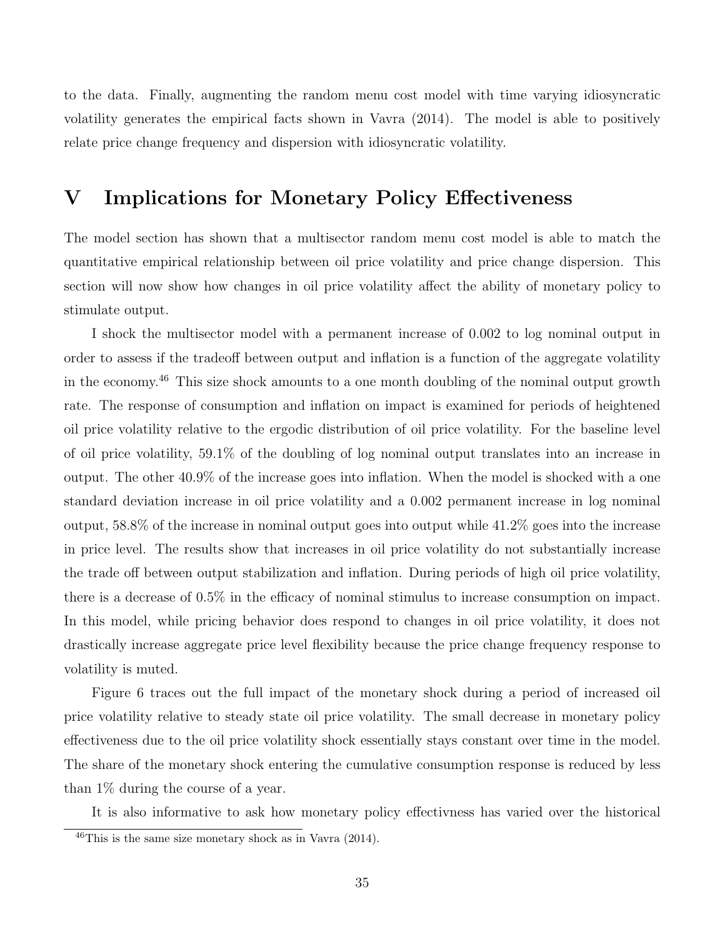to the data. Finally, augmenting the random menu cost model with time varying idiosyncratic volatility generates the empirical facts shown in [Vavra](#page-43-1) [\(2014\)](#page-43-1). The model is able to positively relate price change frequency and dispersion with idiosyncratic volatility.

# <span id="page-36-0"></span>V Implications for Monetary Policy Effectiveness

The model section has shown that a multisector random menu cost model is able to match the quantitative empirical relationship between oil price volatility and price change dispersion. This section will now show how changes in oil price volatility affect the ability of monetary policy to stimulate output.

I shock the multisector model with a permanent increase of 0.002 to log nominal output in order to assess if the tradeoff between output and inflation is a function of the aggregate volatility in the economy.[46](#page-1-0) This size shock amounts to a one month doubling of the nominal output growth rate. The response of consumption and inflation on impact is examined for periods of heightened oil price volatility relative to the ergodic distribution of oil price volatility. For the baseline level of oil price volatility, 59.1% of the doubling of log nominal output translates into an increase in output. The other 40.9% of the increase goes into inflation. When the model is shocked with a one standard deviation increase in oil price volatility and a 0.002 permanent increase in log nominal output, 58.8% of the increase in nominal output goes into output while 41.2% goes into the increase in price level. The results show that increases in oil price volatility do not substantially increase the trade off between output stabilization and inflation. During periods of high oil price volatility, there is a decrease of 0.5% in the efficacy of nominal stimulus to increase consumption on impact. In this model, while pricing behavior does respond to changes in oil price volatility, it does not drastically increase aggregate price level flexibility because the price change frequency response to volatility is muted.

Figure [6](#page-37-1) traces out the full impact of the monetary shock during a period of increased oil price volatility relative to steady state oil price volatility. The small decrease in monetary policy effectiveness due to the oil price volatility shock essentially stays constant over time in the model. The share of the monetary shock entering the cumulative consumption response is reduced by less than 1% during the course of a year.

It is also informative to ask how monetary policy effectivness has varied over the historical

 $\frac{46}{10}$ This is the same size monetary shock as in [Vavra](#page-43-1) [\(2014\)](#page-43-1).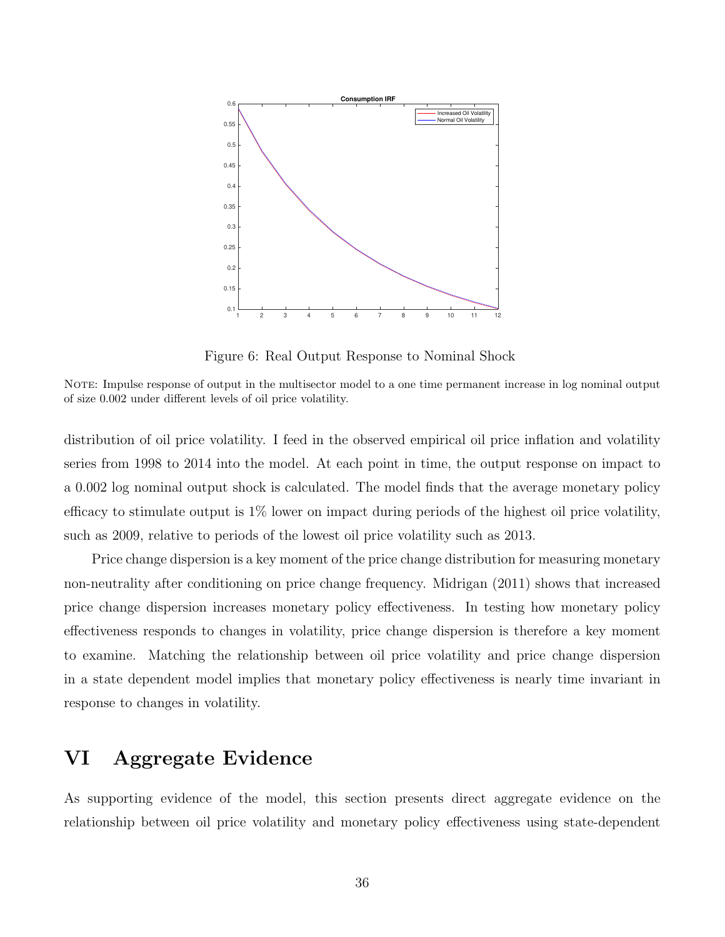<span id="page-37-1"></span>

Figure 6: Real Output Response to Nominal Shock

NOTE: Impulse response of output in the multisector model to a one time permanent increase in log nominal output of size 0.002 under different levels of oil price volatility.

distribution of oil price volatility. I feed in the observed empirical oil price inflation and volatility series from 1998 to 2014 into the model. At each point in time, the output response on impact to a 0.002 log nominal output shock is calculated. The model finds that the average monetary policy efficacy to stimulate output is  $1\%$  lower on impact during periods of the highest oil price volatility, such as 2009, relative to periods of the lowest oil price volatility such as 2013.

Price change dispersion is a key moment of the price change distribution for measuring monetary non-neutrality after conditioning on price change frequency. [Midrigan](#page-43-2) [\(2011\)](#page-43-2) shows that increased price change dispersion increases monetary policy effectiveness. In testing how monetary policy effectiveness responds to changes in volatility, price change dispersion is therefore a key moment to examine. Matching the relationship between oil price volatility and price change dispersion in a state dependent model implies that monetary policy effectiveness is nearly time invariant in response to changes in volatility.

# <span id="page-37-0"></span>VI Aggregate Evidence

As supporting evidence of the model, this section presents direct aggregate evidence on the relationship between oil price volatility and monetary policy effectiveness using state-dependent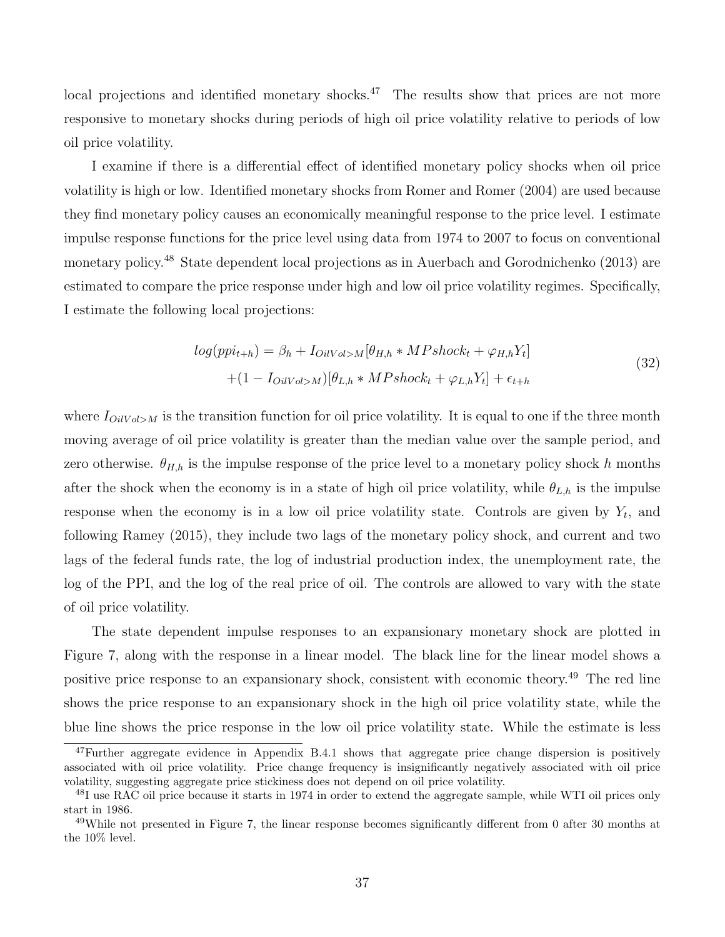local projections and identified monetary shocks.<sup>[47](#page-1-0)</sup> The results show that prices are not more responsive to monetary shocks during periods of high oil price volatility relative to periods of low oil price volatility.

I examine if there is a differential effect of identified monetary policy shocks when oil price volatility is high or low. Identified monetary shocks from [Romer and Romer](#page-43-11) [\(2004\)](#page-43-11) are used because they find monetary policy causes an economically meaningful response to the price level. I estimate impulse response functions for the price level using data from 1974 to 2007 to focus on conventional monetary policy.[48](#page-1-0) State dependent local projections as in [Auerbach and Gorodnichenko](#page-41-20) [\(2013\)](#page-41-20) are estimated to compare the price response under high and low oil price volatility regimes. Specifically, I estimate the following local projections:

$$
log(ppi_{t+h}) = \beta_h + I_{OilVol>M}[\theta_{H,h} * MPshock_t + \varphi_{H,h}Y_t]
$$
  
+(1 - I\_{OilVol>M})[\theta\_{L,h} \* MPshock\_t + \varphi\_{L,h}Y\_t] + \epsilon\_{t+h} (32)

where  $I_{OilVol>M}$  is the transition function for oil price volatility. It is equal to one if the three month moving average of oil price volatility is greater than the median value over the sample period, and zero otherwise.  $\theta_{H,h}$  is the impulse response of the price level to a monetary policy shock h months after the shock when the economy is in a state of high oil price volatility, while  $\theta_{L,h}$  is the impulse response when the economy is in a low oil price volatility state. Controls are given by  $Y_t$ , and following [Ramey](#page-43-12) [\(2015\)](#page-43-12), they include two lags of the monetary policy shock, and current and two lags of the federal funds rate, the log of industrial production index, the unemployment rate, the log of the PPI, and the log of the real price of oil. The controls are allowed to vary with the state of oil price volatility.

The state dependent impulse responses to an expansionary monetary shock are plotted in Figure [7,](#page-39-1) along with the response in a linear model. The black line for the linear model shows a positive price response to an expansionary shock, consistent with economic theory.[49](#page-1-0) The red line shows the price response to an expansionary shock in the high oil price volatility state, while the blue line shows the price response in the low oil price volatility state. While the estimate is less

<sup>&</sup>lt;sup>47</sup>Further aggregate evidence in Appendix [B.4.1](#page-66-1) shows that aggregate price change dispersion is positively associated with oil price volatility. Price change frequency is insignificantly negatively associated with oil price volatility, suggesting aggregate price stickiness does not depend on oil price volatility.

<sup>&</sup>lt;sup>48</sup>I use RAC oil price because it starts in 1974 in order to extend the aggregate sample, while WTI oil prices only start in 1986.

<sup>49</sup>While not presented in Figure [7,](#page-39-1) the linear response becomes significantly different from 0 after 30 months at the 10% level.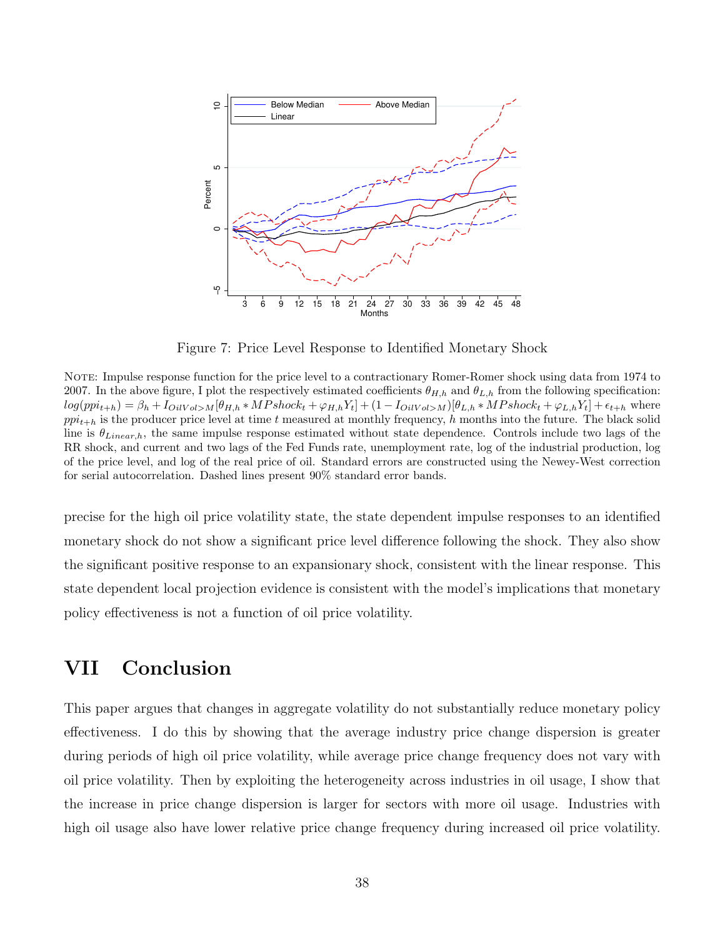<span id="page-39-1"></span>

Figure 7: Price Level Response to Identified Monetary Shock

NOTE: Impulse response function for the price level to a contractionary Romer-Romer shock using data from 1974 to 2007. In the above figure, I plot the respectively estimated coefficients  $\theta_{H,h}$  and  $\theta_{L,h}$  from the following specification:  $log(ppi_{t+h}) = \beta_h + I_{OilVol>M}[\theta_{H,h} * MPshock_t + \varphi_{H,h}Y_t] + (1 - I_{OilVol>M})[\theta_{L,h} * MPshock_t + \varphi_{L,h}Y_t] + \epsilon_{t+h}$  where  $ppi_{t+h}$  is the producer price level at time t measured at monthly frequency, h months into the future. The black solid line is  $\theta_{Linear,h}$ , the same impulse response estimated without state dependence. Controls include two lags of the RR shock, and current and two lags of the Fed Funds rate, unemployment rate, log of the industrial production, log of the price level, and log of the real price of oil. Standard errors are constructed using the Newey-West correction for serial autocorrelation. Dashed lines present 90% standard error bands.

precise for the high oil price volatility state, the state dependent impulse responses to an identified monetary shock do not show a significant price level difference following the shock. They also show the significant positive response to an expansionary shock, consistent with the linear response. This state dependent local projection evidence is consistent with the model's implications that monetary policy effectiveness is not a function of oil price volatility.

# <span id="page-39-0"></span>VII Conclusion

This paper argues that changes in aggregate volatility do not substantially reduce monetary policy effectiveness. I do this by showing that the average industry price change dispersion is greater during periods of high oil price volatility, while average price change frequency does not vary with oil price volatility. Then by exploiting the heterogeneity across industries in oil usage, I show that the increase in price change dispersion is larger for sectors with more oil usage. Industries with high oil usage also have lower relative price change frequency during increased oil price volatility.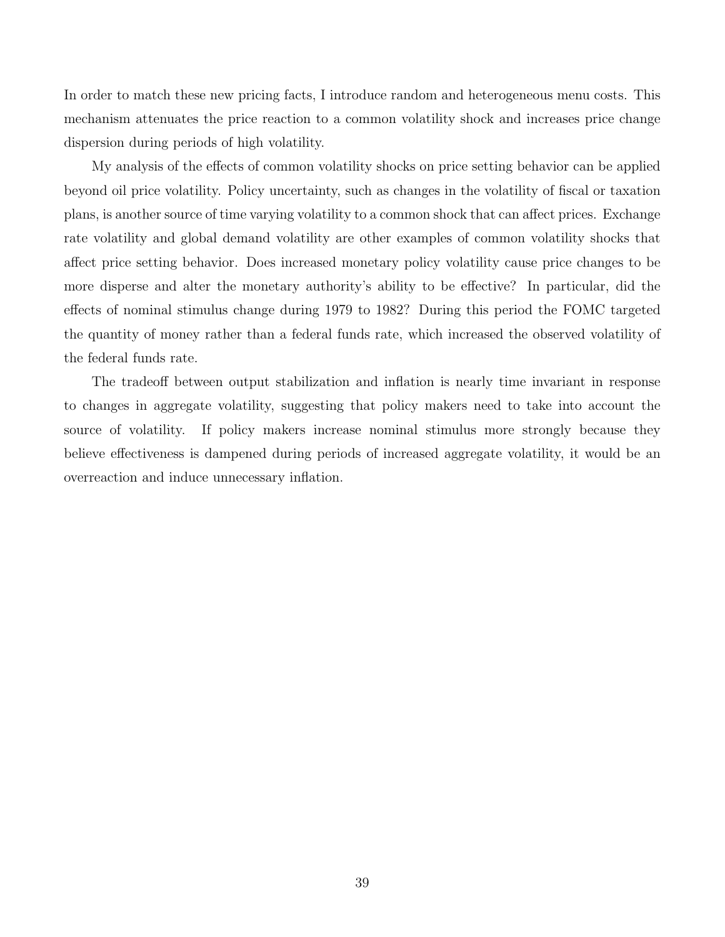In order to match these new pricing facts, I introduce random and heterogeneous menu costs. This mechanism attenuates the price reaction to a common volatility shock and increases price change dispersion during periods of high volatility.

My analysis of the effects of common volatility shocks on price setting behavior can be applied beyond oil price volatility. Policy uncertainty, such as changes in the volatility of fiscal or taxation plans, is another source of time varying volatility to a common shock that can affect prices. Exchange rate volatility and global demand volatility are other examples of common volatility shocks that affect price setting behavior. Does increased monetary policy volatility cause price changes to be more disperse and alter the monetary authority's ability to be effective? In particular, did the effects of nominal stimulus change during 1979 to 1982? During this period the FOMC targeted the quantity of money rather than a federal funds rate, which increased the observed volatility of the federal funds rate.

The tradeoff between output stabilization and inflation is nearly time invariant in response to changes in aggregate volatility, suggesting that policy makers need to take into account the source of volatility. If policy makers increase nominal stimulus more strongly because they believe effectiveness is dampened during periods of increased aggregate volatility, it would be an overreaction and induce unnecessary inflation.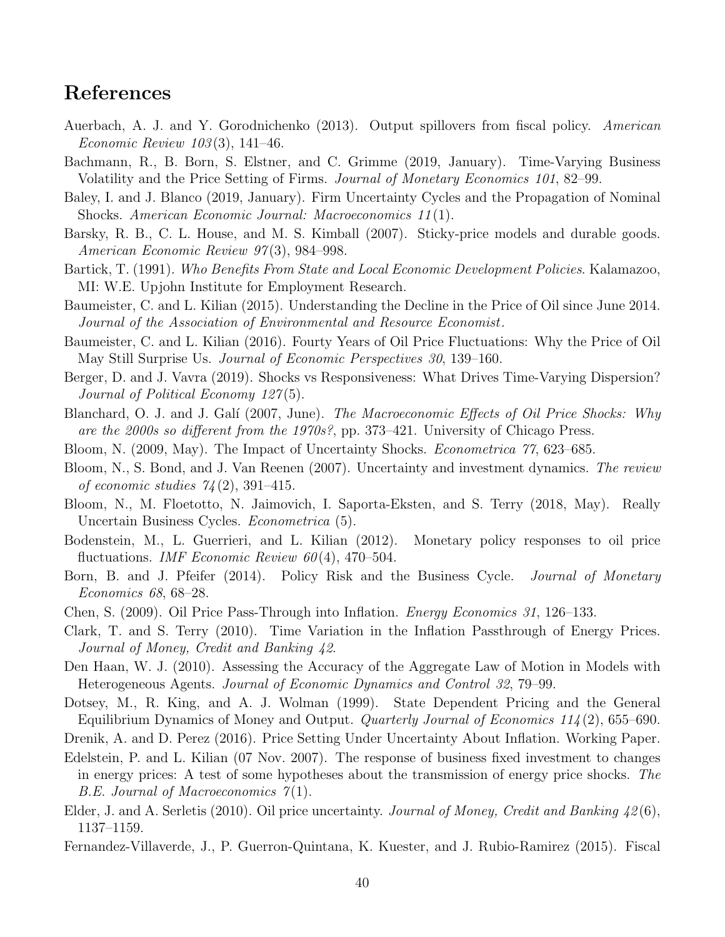# References

- <span id="page-41-20"></span>Auerbach, A. J. and Y. Gorodnichenko (2013). Output spillovers from fiscal policy. American Economic Review 103 (3), 141–46.
- <span id="page-41-5"></span>Bachmann, R., B. Born, S. Elstner, and C. Grimme (2019, January). Time-Varying Business Volatility and the Price Setting of Firms. Journal of Monetary Economics 101, 82–99.
- <span id="page-41-6"></span>Baley, I. and J. Blanco (2019, January). Firm Uncertainty Cycles and the Propagation of Nominal Shocks. American Economic Journal: Macroeconomics 11 (1).
- <span id="page-41-17"></span>Barsky, R. B., C. L. House, and M. S. Kimball (2007). Sticky-price models and durable goods. American Economic Review 97 (3), 984–998.
- <span id="page-41-0"></span>Bartick, T. (1991). Who Benefits From State and Local Economic Development Policies. Kalamazoo, MI: W.E. Upjohn Institute for Employment Research.
- <span id="page-41-14"></span>Baumeister, C. and L. Kilian (2015). Understanding the Decline in the Price of Oil since June 2014. Journal of the Association of Environmental and Resource Economist.
- <span id="page-41-21"></span>Baumeister, C. and L. Kilian (2016). Fourty Years of Oil Price Fluctuations: Why the Price of Oil May Still Surprise Us. Journal of Economic Perspectives 30, 139–160.
- <span id="page-41-8"></span>Berger, D. and J. Vavra (2019). Shocks vs Responsiveness: What Drives Time-Varying Dispersion? Journal of Political Economy 127(5).
- <span id="page-41-9"></span>Blanchard, O. J. and J. Galí (2007, June). The Macroeconomic Effects of Oil Price Shocks: Why are the 2000s so different from the 1970s?, pp. 373–421. University of Chicago Press.
- <span id="page-41-2"></span>Bloom, N. (2009, May). The Impact of Uncertainty Shocks. Econometrica 77, 623–685.
- <span id="page-41-16"></span>Bloom, N., S. Bond, and J. Van Reenen (2007). Uncertainty and investment dynamics. The review of economic studies  $74(2)$ , 391-415.
- <span id="page-41-3"></span>Bloom, N., M. Floetotto, N. Jaimovich, I. Saporta-Eksten, and S. Terry (2018, May). Really Uncertain Business Cycles. Econometrica (5).
- <span id="page-41-13"></span>Bodenstein, M., L. Guerrieri, and L. Kilian (2012). Monetary policy responses to oil price fluctuations. *IMF Economic Review 60*(4), 470–504.
- <span id="page-41-15"></span>Born, B. and J. Pfeifer (2014). Policy Risk and the Business Cycle. *Journal of Monetary* Economics 68, 68–28.
- <span id="page-41-11"></span>Chen, S. (2009). Oil Price Pass-Through into Inflation. Energy Economics 31, 126–133.
- <span id="page-41-10"></span>Clark, T. and S. Terry (2010). Time Variation in the Inflation Passthrough of Energy Prices. Journal of Money, Credit and Banking 42.
- <span id="page-41-19"></span>Den Haan, W. J. (2010). Assessing the Accuracy of the Aggregate Law of Motion in Models with Heterogeneous Agents. Journal of Economic Dynamics and Control 32, 79–99.
- <span id="page-41-1"></span>Dotsey, M., R. King, and A. J. Wolman (1999). State Dependent Pricing and the General Equilibrium Dynamics of Money and Output. Quarterly Journal of Economics 114 (2), 655–690.
- <span id="page-41-7"></span>Drenik, A. and D. Perez (2016). Price Setting Under Uncertainty About Inflation. Working Paper.
- <span id="page-41-18"></span>Edelstein, P. and L. Kilian (07 Nov. 2007). The response of business fixed investment to changes in energy prices: A test of some hypotheses about the transmission of energy price shocks. The  $B.E.$  Journal of Macroeconomics  $\gamma(1)$ .
- <span id="page-41-12"></span>Elder, J. and A. Serletis (2010). Oil price uncertainty. Journal of Money, Credit and Banking 42(6), 1137–1159.
- <span id="page-41-4"></span>Fernandez-Villaverde, J., P. Guerron-Quintana, K. Kuester, and J. Rubio-Ramirez (2015). Fiscal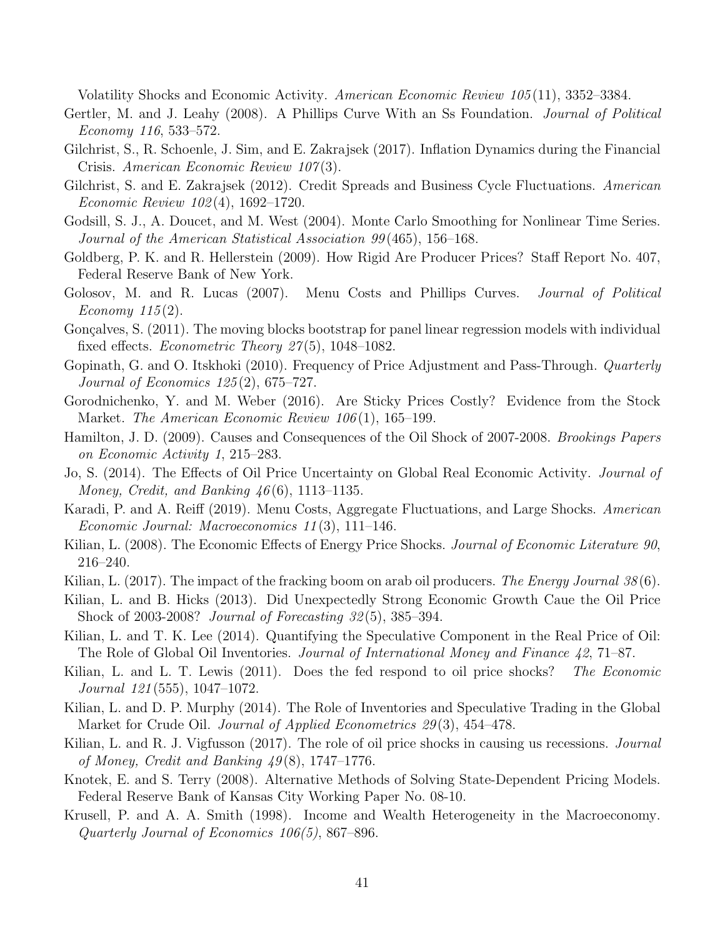Volatility Shocks and Economic Activity. American Economic Review 105 (11), 3352–3384.

- <span id="page-42-11"></span>Gertler, M. and J. Leahy (2008). A Phillips Curve With an Ss Foundation. *Journal of Political* Economy 116, 533–572.
- <span id="page-42-4"></span>Gilchrist, S., R. Schoenle, J. Sim, and E. Zakrajsek (2017). Inflation Dynamics during the Financial Crisis. American Economic Review 107(3).
- <span id="page-42-10"></span>Gilchrist, S. and E. Zakrajsek (2012). Credit Spreads and Business Cycle Fluctuations. American Economic Review 102 (4), 1692–1720.
- <span id="page-42-15"></span>Godsill, S. J., A. Doucet, and M. West (2004). Monte Carlo Smoothing for Nonlinear Time Series. Journal of the American Statistical Association 99 (465), 156–168.
- <span id="page-42-5"></span>Goldberg, P. K. and R. Hellerstein (2009). How Rigid Are Producer Prices? Staff Report No. 407, Federal Reserve Bank of New York.
- <span id="page-42-0"></span>Golosov, M. and R. Lucas (2007). Menu Costs and Phillips Curves. *Journal of Political* Economy  $115(2)$ .
- <span id="page-42-20"></span>Gonçalves, S. (2011). The moving blocks bootstrap for panel linear regression models with individual fixed effects. *Econometric Theory 27*(5), 1048–1082.
- <span id="page-42-7"></span>Gopinath, G. and O. Itskhoki (2010). Frequency of Price Adjustment and Pass-Through. *Quarterly* Journal of Economics 125 (2), 675–727.
- <span id="page-42-6"></span>Gorodnichenko, Y. and M. Weber (2016). Are Sticky Prices Costly? Evidence from the Stock Market. The American Economic Review 106(1), 165–199.
- <span id="page-42-8"></span>Hamilton, J. D. (2009). Causes and Consequences of the Oil Shock of 2007-2008. Brookings Papers on Economic Activity 1, 215–283.
- <span id="page-42-2"></span>Jo, S. (2014). The Effects of Oil Price Uncertainty on Global Real Economic Activity. Journal of Money, Credit, and Banking  $46(6)$ , 1113–1135.
- <span id="page-42-1"></span>Karadi, P. and A. Reiff (2019). Menu Costs, Aggregate Fluctuations, and Large Shocks. American Economic Journal: Macroeconomics 11 (3), 111–146.
- <span id="page-42-9"></span>Kilian, L. (2008). The Economic Effects of Energy Price Shocks. Journal of Economic Literature 90, 216–240.
- <span id="page-42-19"></span>Kilian, L. (2017). The impact of the fracking boom on arab oil producers. The Energy Journal 38(6).
- <span id="page-42-17"></span>Kilian, L. and B. Hicks (2013). Did Unexpectedly Strong Economic Growth Caue the Oil Price Shock of 2003-2008? Journal of Forecasting 32 (5), 385–394.
- <span id="page-42-18"></span>Kilian, L. and T. K. Lee (2014). Quantifying the Speculative Component in the Real Price of Oil: The Role of Global Oil Inventories. Journal of International Money and Finance 42, 71–87.
- <span id="page-42-3"></span>Kilian, L. and L. T. Lewis (2011). Does the fed respond to oil price shocks? The Economic Journal 121 (555), 1047–1072.
- <span id="page-42-16"></span>Kilian, L. and D. P. Murphy (2014). The Role of Inventories and Speculative Trading in the Global Market for Crude Oil. *Journal of Applied Econometrics 29*(3), 454–478.
- <span id="page-42-13"></span>Kilian, L. and R. J. Vigfusson (2017). The role of oil price shocks in causing us recessions. *Journal* of Money, Credit and Banking  $49(8)$ , 1747–1776.
- <span id="page-42-14"></span>Knotek, E. and S. Terry (2008). Alternative Methods of Solving State-Dependent Pricing Models. Federal Reserve Bank of Kansas City Working Paper No. 08-10.
- <span id="page-42-12"></span>Krusell, P. and A. A. Smith (1998). Income and Wealth Heterogeneity in the Macroeconomy. Quarterly Journal of Economics 106(5), 867–896.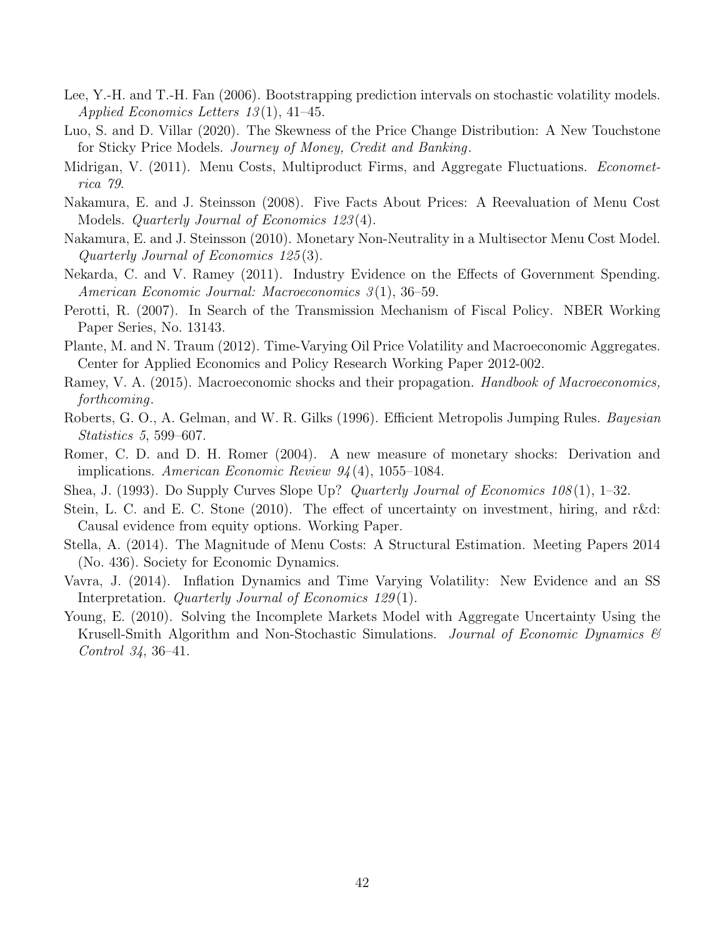- <span id="page-43-15"></span>Lee, Y.-H. and T.-H. Fan (2006). Bootstrapping prediction intervals on stochastic volatility models. Applied Economics Letters 13 (1), 41–45.
- <span id="page-43-0"></span>Luo, S. and D. Villar (2020). The Skewness of the Price Change Distribution: A New Touchstone for Sticky Price Models. Journey of Money, Credit and Banking.
- <span id="page-43-2"></span>Midrigan, V. (2011). Menu Costs, Multiproduct Firms, and Aggregate Fluctuations. *Economet*rica 79.
- <span id="page-43-5"></span>Nakamura, E. and J. Steinsson (2008). Five Facts About Prices: A Reevaluation of Menu Cost Models. Quarterly Journal of Economics 123 (4).
- <span id="page-43-3"></span>Nakamura, E. and J. Steinsson (2010). Monetary Non-Neutrality in a Multisector Menu Cost Model. Quarterly Journal of Economics 125 (3).
- <span id="page-43-9"></span>Nekarda, C. and V. Ramey (2011). Industry Evidence on the Effects of Government Spending. American Economic Journal: Macroeconomics 3 (1), 36–59.
- <span id="page-43-8"></span>Perotti, R. (2007). In Search of the Transmission Mechanism of Fiscal Policy. NBER Working Paper Series, No. 13143.
- <span id="page-43-6"></span>Plante, M. and N. Traum (2012). Time-Varying Oil Price Volatility and Macroeconomic Aggregates. Center for Applied Economics and Policy Research Working Paper 2012-002.
- <span id="page-43-12"></span>Ramey, V. A. (2015). Macroeconomic shocks and their propagation. *Handbook of Macroeconomics*, forthcoming.
- <span id="page-43-14"></span>Roberts, G. O., A. Gelman, and W. R. Gilks (1996). Efficient Metropolis Jumping Rules. Bayesian Statistics 5, 599–607.
- <span id="page-43-11"></span>Romer, C. D. and D. H. Romer (2004). A new measure of monetary shocks: Derivation and implications. American Economic Review  $94(4)$ , 1055–1084.
- <span id="page-43-7"></span>Shea, J. (1993). Do Supply Curves Slope Up? Quarterly Journal of Economics 108(1), 1–32.
- <span id="page-43-4"></span>Stein, L. C. and E. C. Stone (2010). The effect of uncertainty on investment, hiring, and r&d: Causal evidence from equity options. Working Paper.
- <span id="page-43-13"></span>Stella, A. (2014). The Magnitude of Menu Costs: A Structural Estimation. Meeting Papers 2014 (No. 436). Society for Economic Dynamics.
- <span id="page-43-1"></span>Vavra, J. (2014). Inflation Dynamics and Time Varying Volatility: New Evidence and an SS Interpretation. Quarterly Journal of Economics 129(1).
- <span id="page-43-10"></span>Young, E. (2010). Solving the Incomplete Markets Model with Aggregate Uncertainty Using the Krusell-Smith Algorithm and Non-Stochastic Simulations. Journal of Economic Dynamics  $\mathcal{B}$ Control 34, 36–41.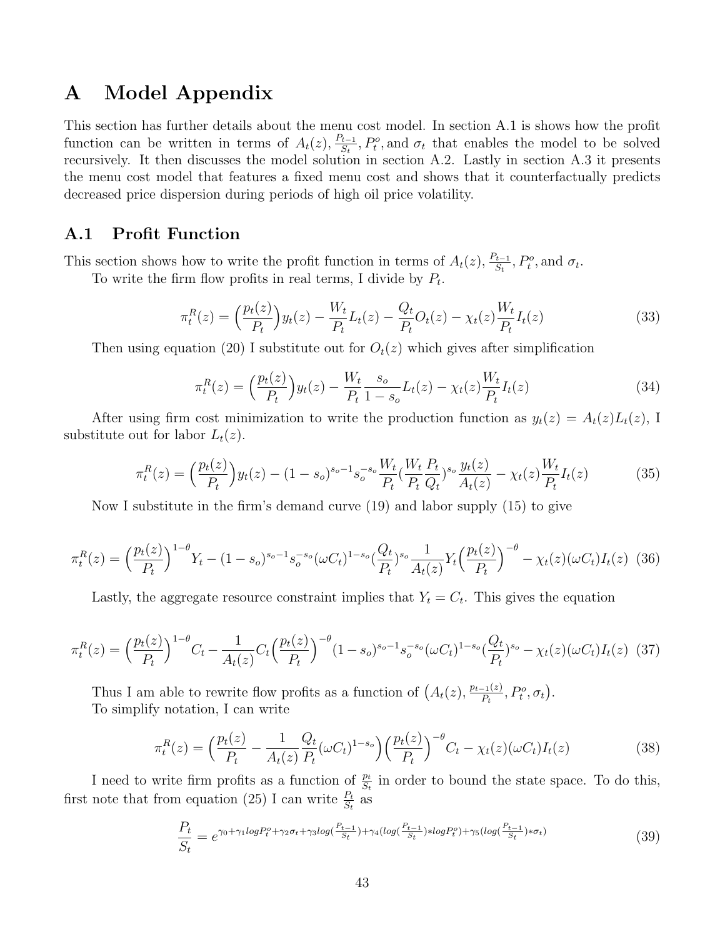# A Model Appendix

This section has further details about the menu cost model. In section [A.1](#page-44-0) is shows how the profit function can be written in terms of  $A_t(z)$ ,  $\frac{P_{t-1}}{S_t}$  $\frac{\mathcal{L}_{t-1}}{S_t}$ ,  $P_t^o$ , and  $\sigma_t$  that enables the model to be solved recursively. It then discusses the model solution in section [A.2.](#page-45-0) Lastly in section [A.3](#page-46-0) it presents the menu cost model that features a fixed menu cost and shows that it counterfactually predicts decreased price dispersion during periods of high oil price volatility.

### <span id="page-44-0"></span>A.1 Profit Function

This section shows how to write the profit function in terms of  $A_t(z)$ ,  $\frac{P_{t-1}}{S_t}$  $P_{\frac{t-1}{S_t}}^t$ ,  $P_t^o$ , and  $\sigma_t$ .

To write the firm flow profits in real terms, I divide by  $P_t$ .

$$
\pi_t^R(z) = \left(\frac{p_t(z)}{P_t}\right) y_t(z) - \frac{W_t}{P_t} L_t(z) - \frac{Q_t}{P_t} O_t(z) - \chi_t(z) \frac{W_t}{P_t} I_t(z) \tag{33}
$$

Then using equation [\(20\)](#page-27-1) I substitute out for  $O_t(z)$  which gives after simplification

$$
\pi_t^R(z) = \left(\frac{p_t(z)}{P_t}\right) y_t(z) - \frac{W_t}{P_t} \frac{s_o}{1 - s_o} L_t(z) - \chi_t(z) \frac{W_t}{P_t} I_t(z) \tag{34}
$$

After using firm cost minimization to write the production function as  $y_t(z) = A_t(z)L_t(z)$ , I substitute out for labor  $L_t(z)$ .

$$
\pi_t^R(z) = \left(\frac{p_t(z)}{P_t}\right) y_t(z) - (1 - s_o)^{s_o - 1} s_o^{-s_o} \frac{W_t}{P_t} \left(\frac{W_t}{P_t} \frac{P_t}{Q_t}\right)^{s_o} \frac{y_t(z)}{A_t(z)} - \chi_t(z) \frac{W_t}{P_t} I_t(z) \tag{35}
$$

Now I substitute in the firm's demand curve [\(19\)](#page-27-0) and labor supply [\(15\)](#page-26-1) to give

$$
\pi_t^R(z) = \left(\frac{p_t(z)}{P_t}\right)^{1-\theta} Y_t - (1-s_o)^{s_o-1} s_o^{-s_o} (\omega C_t)^{1-s_o} \left(\frac{Q_t}{P_t}\right)^{s_o} \frac{1}{A_t(z)} Y_t \left(\frac{p_t(z)}{P_t}\right)^{-\theta} - \chi_t(z) (\omega C_t) I_t(z) \tag{36}
$$

Lastly, the aggregate resource constraint implies that  $Y_t = C_t$ . This gives the equation

$$
\pi_t^R(z) = \left(\frac{p_t(z)}{P_t}\right)^{1-\theta} C_t - \frac{1}{A_t(z)} C_t \left(\frac{p_t(z)}{P_t}\right)^{-\theta} (1-s_o)^{s_o-1} s_o^{-s_o} (\omega C_t)^{1-s_o} \left(\frac{Q_t}{P_t}\right)^{s_o} - \chi_t(z) (\omega C_t) I_t(z) \tag{37}
$$

Thus I am able to rewrite flow profits as a function of  $(A_t(z), \frac{p_{t-1}(z)}{P_t})$  $\frac{(-1)(z)}{P_t}, P_t^o, \sigma_t\big).$ To simplify notation, I can write

$$
\pi_t^R(z) = \left(\frac{p_t(z)}{P_t} - \frac{1}{A_t(z)} \frac{Q_t}{P_t} (\omega C_t)^{1-s_o}\right) \left(\frac{p_t(z)}{P_t}\right)^{-\theta} C_t - \chi_t(z) (\omega C_t) I_t(z) \tag{38}
$$

I need to write firm profits as a function of  $\frac{p_t}{S_t}$  in order to bound the state space. To do this, first note that from equation [\(25\)](#page-28-0) I can write  $\frac{P_t}{S_t}$  as

$$
\frac{P_t}{S_t} = e^{\gamma_0 + \gamma_1 log P_t^o + \gamma_2 \sigma_t + \gamma_3 log(\frac{P_{t-1}}{S_t}) + \gamma_4 (log(\frac{P_{t-1}}{S_t}) \ast log P_t^o) + \gamma_5 (log(\frac{P_{t-1}}{S_t}) \ast \sigma_t)} \tag{39}
$$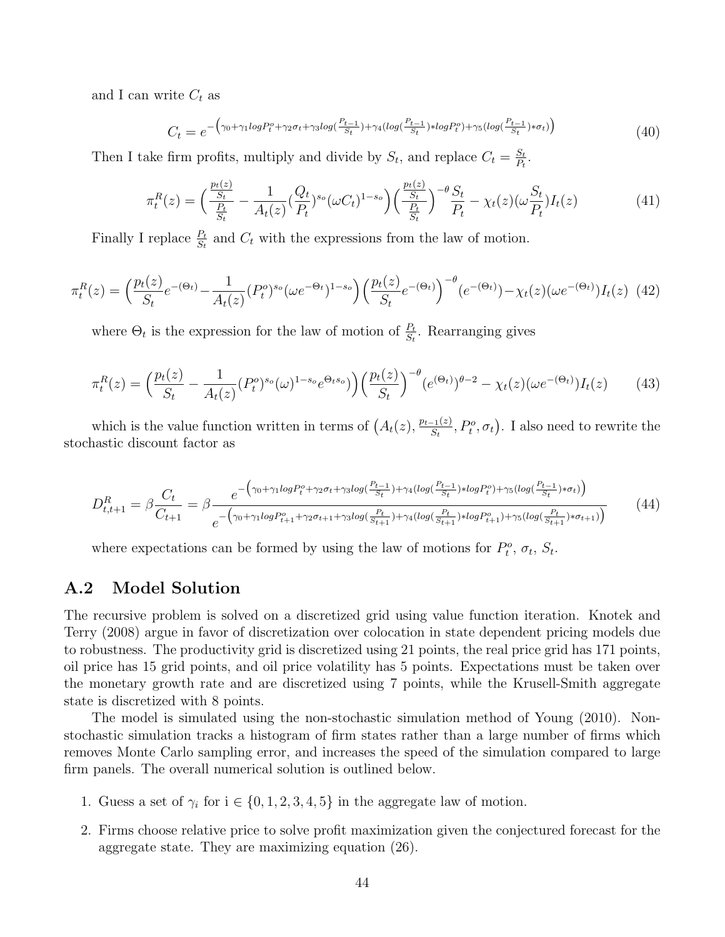and I can write  $C_t$  as

$$
C_t = e^{-\left(\gamma_0 + \gamma_1 log P_t^o + \gamma_2 \sigma_t + \gamma_3 log\left(\frac{P_{t-1}}{S_t}\right) + \gamma_4 (log\left(\frac{P_{t-1}}{S_t}\right) * log P_t^o) + \gamma_5 (log\left(\frac{P_{t-1}}{S_t}\right) * \sigma_t)\right)}
$$
(40)

Then I take firm profits, multiply and divide by  $S_t$ , and replace  $C_t = \frac{S_t}{P_t}$  $\frac{S_t}{P_t}$  .

$$
\pi_t^R(z) = \left(\frac{\frac{p_t(z)}{S_t}}{\frac{P_t}{S_t}} - \frac{1}{A_t(z)} \left(\frac{Q_t}{P_t}\right)^{s_o} (\omega C_t)^{1-s_o}\right) \left(\frac{\frac{p_t(z)}{S_t}}{\frac{P_t}{S_t}}\right)^{-\theta} \frac{S_t}{P_t} - \chi_t(z) (\omega \frac{S_t}{P_t}) I_t(z) \tag{41}
$$

Finally I replace  $\frac{P_t}{S_t}$  and  $C_t$  with the expressions from the law of motion.

$$
\pi_t^R(z) = \left(\frac{p_t(z)}{S_t}e^{-(\Theta_t)} - \frac{1}{A_t(z)}(P_t^o)^{s_o}(\omega e^{-\Theta_t})^{1-s_o}\right)\left(\frac{p_t(z)}{S_t}e^{-(\Theta_t)}\right)^{-\theta}(e^{-(\Theta_t)}) - \chi_t(z)(\omega e^{-(\Theta_t)})I_t(z)
$$
(42)

where  $\Theta_t$  is the expression for the law of motion of  $\frac{P_t}{S_t}$ . Rearranging gives

$$
\pi_t^R(z) = \left(\frac{p_t(z)}{S_t} - \frac{1}{A_t(z)} (P_t^o)^{s_o}(\omega)^{1 - s_o} e^{\Theta_t s_o}\right) \left(\frac{p_t(z)}{S_t}\right)^{-\theta} (e^{(\Theta_t)})^{\theta - 2} - \chi_t(z) (\omega e^{-(\Theta_t)}) I_t(z) \tag{43}
$$

which is the value function written in terms of  $(A_t(z), \frac{p_{t-1}(z)}{S_t})$  $\frac{C_{-1}(z)}{S_t}, P_t^o, \sigma_t$ . I also need to rewrite the stochastic discount factor as

$$
D_{t,t+1}^{R} = \beta \frac{C_{t}}{C_{t+1}} = \beta \frac{e^{-\left(\gamma_{0} + \gamma_{1} log P_{t}^{o} + \gamma_{2} \sigma_{t} + \gamma_{3} log\left(\frac{P_{t-1}}{S_{t}}\right) + \gamma_{4} (log\left(\frac{P_{t-1}}{S_{t}}\right) * log P_{t}^{o}) + \gamma_{5} (log\left(\frac{P_{t-1}}{S_{t}}\right) * \sigma_{t})\right)}}{e^{-\left(\gamma_{0} + \gamma_{1} log P_{t+1}^{o} + \gamma_{2} \sigma_{t+1} + \gamma_{3} log\left(\frac{P_{t}}{S_{t+1}}\right) + \gamma_{4} (log\left(\frac{P_{t}}{S_{t+1}}\right) * log P_{t+1}^{o}) + \gamma_{5} (log\left(\frac{P_{t}}{S_{t+1}}\right) * \sigma_{t+1})\right)}}
$$
(44)

where expectations can be formed by using the law of motions for  $P_t^o$ ,  $\sigma_t$ ,  $S_t$ .

#### <span id="page-45-0"></span>A.2 Model Solution

The recursive problem is solved on a discretized grid using value function iteration. [Knotek and](#page-42-14) [Terry](#page-42-14) [\(2008\)](#page-42-14) argue in favor of discretization over colocation in state dependent pricing models due to robustness. The productivity grid is discretized using 21 points, the real price grid has 171 points, oil price has 15 grid points, and oil price volatility has 5 points. Expectations must be taken over the monetary growth rate and are discretized using 7 points, while the Krusell-Smith aggregate state is discretized with 8 points.

The model is simulated using the non-stochastic simulation method of [Young](#page-43-10) [\(2010\)](#page-43-10). Nonstochastic simulation tracks a histogram of firm states rather than a large number of firms which removes Monte Carlo sampling error, and increases the speed of the simulation compared to large firm panels. The overall numerical solution is outlined below.

- 1. Guess a set of  $\gamma_i$  for  $i \in \{0, 1, 2, 3, 4, 5\}$  in the aggregate law of motion.
- 2. Firms choose relative price to solve profit maximization given the conjectured forecast for the aggregate state. They are maximizing equation [\(26\)](#page-28-1).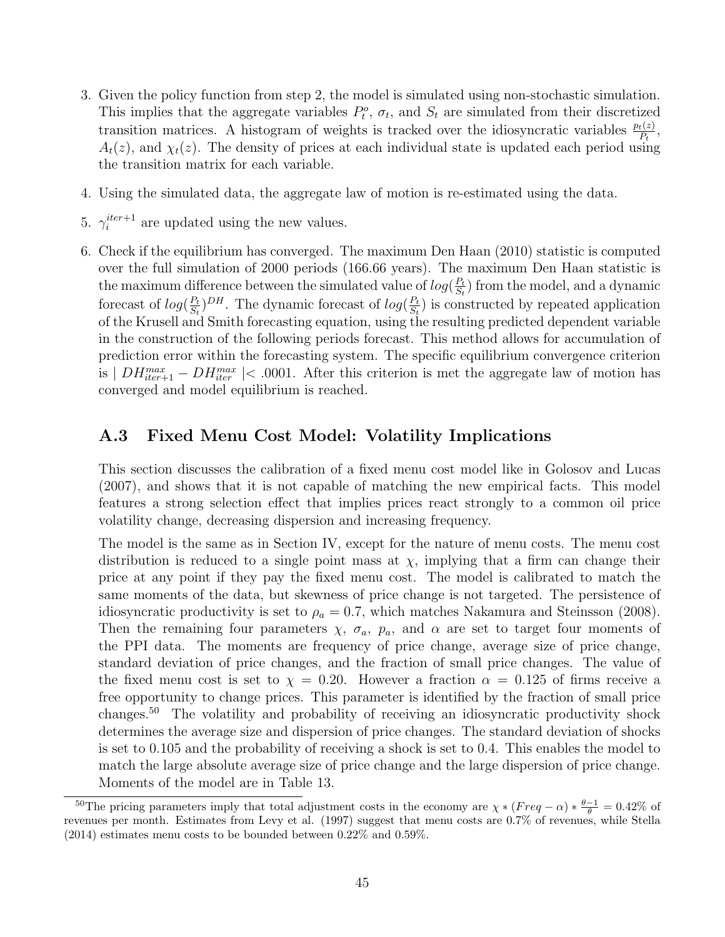- 3. Given the policy function from step 2, the model is simulated using non-stochastic simulation. This implies that the aggregate variables  $P_t^o$ ,  $\sigma_t$ , and  $S_t$  are simulated from their discretized transition matrices. A histogram of weights is tracked over the idiosyncratic variables  $\frac{p_t(z)}{P_t}$ ,  $A_t(z)$ , and  $\chi_t(z)$ . The density of prices at each individual state is updated each period using the transition matrix for each variable.
- 4. Using the simulated data, the aggregate law of motion is re-estimated using the data.
- 5.  $\gamma_i^{iter+1}$  $i^{iter+1}$  are updated using the new values.
- 6. Check if the equilibrium has converged. The maximum [Den Haan](#page-41-19) [\(2010\)](#page-41-19) statistic is computed over the full simulation of 2000 periods (166.66 years). The maximum Den Haan statistic is the maximum difference between the simulated value of  $log(\frac{P_t}{S_t})$  $\frac{P_t}{S_t}$ ) from the model, and a dynamic forecast of  $log(\frac{P_t}{S_t})$  $\frac{P_t}{S_t}$ )<sup>DH</sup>. The dynamic forecast of  $log(\frac{P_t}{S_t})$  $\frac{P_t}{S_t}$ ) is constructed by repeated application of the Krusell and Smith forecasting equation, using the resulting predicted dependent variable in the construction of the following periods forecast. This method allows for accumulation of prediction error within the forecasting system. The specific equilibrium convergence criterion is  $|DH_{iter+1}^{max} - DH_{iter}^{max}| < .0001$ . After this criterion is met the aggregate law of motion has converged and model equilibrium is reached.

# <span id="page-46-0"></span>A.3 Fixed Menu Cost Model: Volatility Implications

This section discusses the calibration of a fixed menu cost model like in [Golosov and Lucas](#page-42-0) [\(2007\)](#page-42-0), and shows that it is not capable of matching the new empirical facts. This model features a strong selection effect that implies prices react strongly to a common oil price volatility change, decreasing dispersion and increasing frequency.

The model is the same as in Section [IV,](#page-24-0) except for the nature of menu costs. The menu cost distribution is reduced to a single point mass at  $\chi$ , implying that a firm can change their price at any point if they pay the fixed menu cost. The model is calibrated to match the same moments of the data, but skewness of price change is not targeted. The persistence of idiosyncratic productivity is set to  $\rho_a = 0.7$ , which matches [Nakamura and Steinsson](#page-43-5) [\(2008\)](#page-43-5). Then the remaining four parameters  $\chi$ ,  $\sigma_a$ ,  $p_a$ , and  $\alpha$  are set to target four moments of the PPI data. The moments are frequency of price change, average size of price change, standard deviation of price changes, and the fraction of small price changes. The value of the fixed menu cost is set to  $\chi = 0.20$ . However a fraction  $\alpha = 0.125$  of firms receive a free opportunity to change prices. This parameter is identified by the fraction of small price changes.[50](#page-1-0) The volatility and probability of receiving an idiosyncratic productivity shock determines the average size and dispersion of price changes. The standard deviation of shocks is set to 0.105 and the probability of receiving a shock is set to 0.4. This enables the model to match the large absolute average size of price change and the large dispersion of price change. Moments of the model are in Table [13.](#page-47-1)

<sup>&</sup>lt;sup>50</sup>The pricing parameters imply that total adjustment costs in the economy are  $\chi * (Freq - \alpha) * \frac{\theta - 1}{\theta} = 0.42\%$  of revenues per month. Estimates from Levy et al. (1997) suggest that menu costs are 0.7% of revenues, while [Stella](#page-43-13) [\(2014\)](#page-43-13) estimates menu costs to be bounded between 0.22% and 0.59%.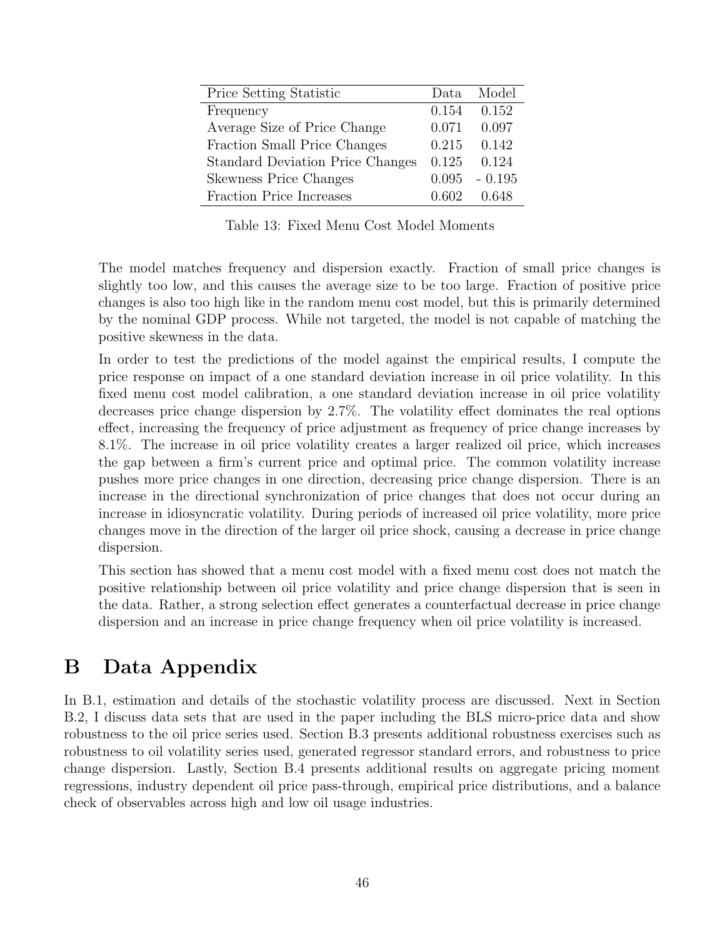<span id="page-47-1"></span>

| Price Setting Statistic                 | Data. | Model    |
|-----------------------------------------|-------|----------|
| Frequency                               | 0.154 | 0.152    |
| Average Size of Price Change            | 0.071 | 0.097    |
| Fraction Small Price Changes            | 0.215 | 0.142    |
| <b>Standard Deviation Price Changes</b> | 0.125 | 0.124    |
| <b>Skewness Price Changes</b>           | 0.095 | $-0.195$ |
| <b>Fraction Price Increases</b>         | 0.602 | 0.648    |

Table 13: Fixed Menu Cost Model Moments

The model matches frequency and dispersion exactly. Fraction of small price changes is slightly too low, and this causes the average size to be too large. Fraction of positive price changes is also too high like in the random menu cost model, but this is primarily determined by the nominal GDP process. While not targeted, the model is not capable of matching the positive skewness in the data.

In order to test the predictions of the model against the empirical results, I compute the price response on impact of a one standard deviation increase in oil price volatility. In this fixed menu cost model calibration, a one standard deviation increase in oil price volatility decreases price change dispersion by 2.7%. The volatility effect dominates the real options effect, increasing the frequency of price adjustment as frequency of price change increases by 8.1%. The increase in oil price volatility creates a larger realized oil price, which increases the gap between a firm's current price and optimal price. The common volatility increase pushes more price changes in one direction, decreasing price change dispersion. There is an increase in the directional synchronization of price changes that does not occur during an increase in idiosyncratic volatility. During periods of increased oil price volatility, more price changes move in the direction of the larger oil price shock, causing a decrease in price change dispersion.

This section has showed that a menu cost model with a fixed menu cost does not match the positive relationship between oil price volatility and price change dispersion that is seen in the data. Rather, a strong selection effect generates a counterfactual decrease in price change dispersion and an increase in price change frequency when oil price volatility is increased.

# <span id="page-47-0"></span>B Data Appendix

In [B.1,](#page-48-0) estimation and details of the stochastic volatility process are discussed. Next in Section [B.2,](#page-51-1) I discuss data sets that are used in the paper including the BLS micro-price data and show robustness to the oil price series used. Section [B.3](#page-57-2) presents additional robustness exercises such as robustness to oil volatility series used, generated regressor standard errors, and robustness to price change dispersion. Lastly, Section [B.4](#page-66-2) presents additional results on aggregate pricing moment regressions, industry dependent oil price pass-through, empirical price distributions, and a balance check of observables across high and low oil usage industries.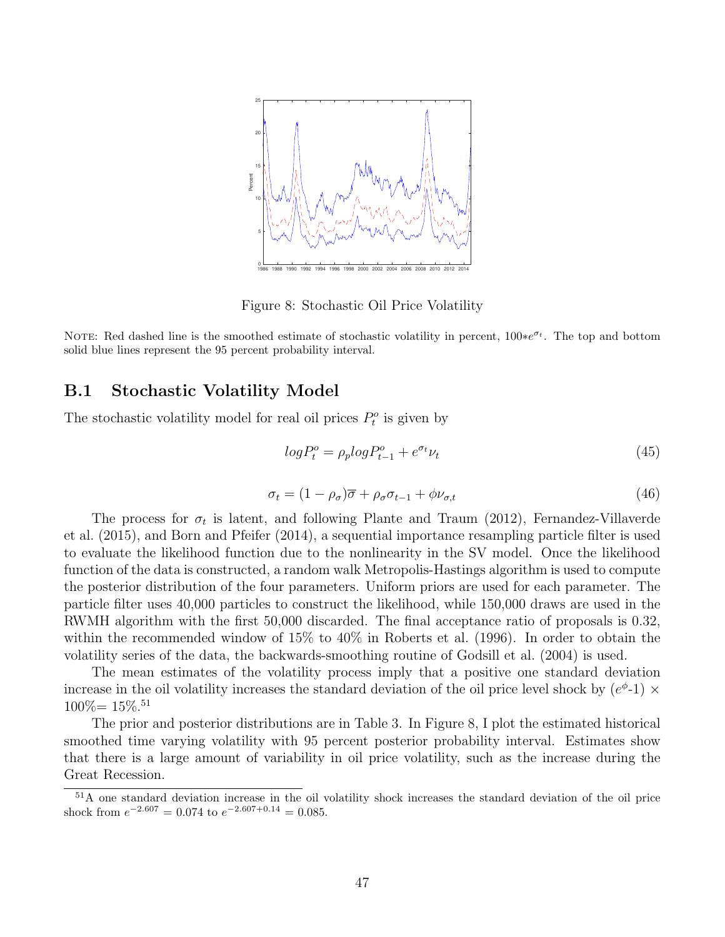<span id="page-48-1"></span>

Figure 8: Stochastic Oil Price Volatility

NOTE: Red dashed line is the smoothed estimate of stochastic volatility in percent,  $100*e^{\sigma_t}$ . The top and bottom solid blue lines represent the 95 percent probability interval.

### <span id="page-48-0"></span>B.1 Stochastic Volatility Model

The stochastic volatility model for real oil prices  $P_t^o$  is given by

$$
log P_t^o = \rho_p log P_{t-1}^o + e^{\sigma_t} \nu_t \tag{45}
$$

<span id="page-48-2"></span>
$$
\sigma_t = (1 - \rho_\sigma)\overline{\sigma} + \rho_\sigma \sigma_{t-1} + \phi \nu_{\sigma, t} \tag{46}
$$

The process for  $\sigma_t$  is latent, and following [Plante and Traum](#page-43-6) [\(2012\)](#page-43-6), [Fernandez-Villaverde](#page-41-4) [et al.](#page-41-4) [\(2015\)](#page-41-4), and [Born and Pfeifer](#page-41-15) [\(2014\)](#page-41-15), a sequential importance resampling particle filter is used to evaluate the likelihood function due to the nonlinearity in the SV model. Once the likelihood function of the data is constructed, a random walk Metropolis-Hastings algorithm is used to compute the posterior distribution of the four parameters. Uniform priors are used for each parameter. The particle filter uses 40,000 particles to construct the likelihood, while 150,000 draws are used in the RWMH algorithm with the first 50,000 discarded. The final acceptance ratio of proposals is 0.32, within the recommended window of 15% to 40% in [Roberts et al.](#page-43-14) [\(1996\)](#page-43-14). In order to obtain the volatility series of the data, the backwards-smoothing routine of [Godsill et al.](#page-42-15) [\(2004\)](#page-42-15) is used.

The mean estimates of the volatility process imply that a positive one standard deviation increase in the oil volatility increases the standard deviation of the oil price level shock by  $(e^{\phi} - 1) \times$  $100\% = 15\%.$ <sup>[51](#page-1-0)</sup>

The prior and posterior distributions are in Table [3.](#page-14-0) In Figure [8,](#page-48-1) I plot the estimated historical smoothed time varying volatility with 95 percent posterior probability interval. Estimates show that there is a large amount of variability in oil price volatility, such as the increase during the Great Recession.

<sup>51</sup>A one standard deviation increase in the oil volatility shock increases the standard deviation of the oil price shock from  $e^{-2.607} = 0.074$  to  $e^{-2.607 + 0.14} = 0.085$ .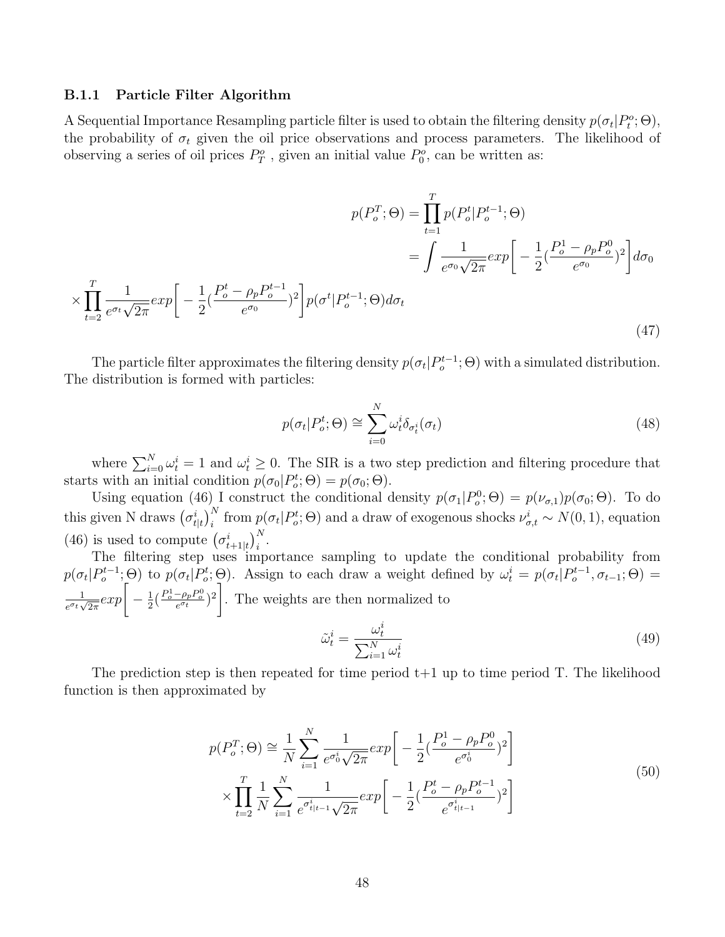#### B.1.1 Particle Filter Algorithm

A Sequential Importance Resampling particle filter is used to obtain the filtering density  $p(\sigma_t|P_t^o;\Theta)$ , the probability of  $\sigma_t$  given the oil price observations and process parameters. The likelihood of observing a series of oil prices  $P_T^o$ , given an initial value  $P_0^o$ , can be written as:

$$
p(P_o^T; \Theta) = \prod_{t=1}^T p(P_o^t | P_o^{t-1}; \Theta)
$$
  

$$
= \int \frac{1}{e^{\sigma_0} \sqrt{2\pi}} exp\left[ -\frac{1}{2} (\frac{P_o^t - \rho_p P_o^{t-1}}{e^{\sigma_0}})^2 \right] d\sigma_0
$$
  

$$
\times \prod_{t=2}^T \frac{1}{e^{\sigma_t} \sqrt{2\pi}} exp\left[ -\frac{1}{2} (\frac{P_o^t - \rho_p P_o^{t-1}}{e^{\sigma_0}})^2 \right] p(\sigma^t | P_o^{t-1}; \Theta) d\sigma_t
$$
 (47)

The particle filter approximates the filtering density  $p(\sigma_t|P_o^{t-1};\Theta)$  with a simulated distribution. The distribution is formed with particles:

<span id="page-49-0"></span>
$$
p(\sigma_t|P_o^t; \Theta) \cong \sum_{i=0}^N \omega_t^i \delta_{\sigma_t^i}(\sigma_t)
$$
\n(48)

where  $\sum_{i=0}^{N} \omega_i^i = 1$  and  $\omega_i^i \geq 0$ . The SIR is a two step prediction and filtering procedure that starts with an initial condition  $p(\sigma_0|P_o^t; \Theta) = p(\sigma_0; \Theta)$ .

Using equation [\(46\)](#page-48-2) I construct the conditional density  $p(\sigma_1|P_o^0;\Theta) = p(\nu_{\sigma,1})p(\sigma_0;\Theta)$ . To do this given N draws  $(\sigma_{t|t}^i)_i^N$  from  $p(\sigma_t|P_o^t;\Theta)$  and a draw of exogenous shocks  $\nu_{\sigma,t}^i \sim N(0, 1)$ , equation [\(46\)](#page-48-2) is used to compute  $(\sigma_{t+1|t}^i)_{i}^N$ .

The filtering step uses importance sampling to update the conditional probability from  $p(\sigma_t|P_o^{t-1};\Theta)$  to  $p(\sigma_t|P_o^{t};\Theta)$ . Assign to each draw a weight defined by  $\omega_t^i = p(\sigma_t|P_o^{t-1},\sigma_{t-1};\Theta)$ 1  $\frac{1}{e^{\sigma_t}\sqrt{2\pi}}exp\Big[-\frac{1}{2}\Big]$  $\frac{1}{2} \left( \frac{P_o^1 - \rho_p P_o^0}{e^{\sigma_t}} \right)^2$ . The weights are then normalized to i

$$
\tilde{\omega}_t^i = \frac{\omega_t^i}{\sum_{i=1}^N \omega_t^i} \tag{49}
$$

The prediction step is then repeated for time period  $t+1$  up to time period T. The likelihood function is then approximated by

$$
p(P_o^T; \Theta) \cong \frac{1}{N} \sum_{i=1}^N \frac{1}{e^{\sigma_0^i} \sqrt{2\pi}} exp\left[ -\frac{1}{2} (\frac{P_o^1 - \rho_p P_o^0}{e^{\sigma_0^i}})^2 \right]
$$
  

$$
\times \prod_{t=2}^T \frac{1}{N} \sum_{i=1}^N \frac{1}{e^{\sigma_{t|t-1}^i} \sqrt{2\pi}} exp\left[ -\frac{1}{2} (\frac{P_o^t - \rho_p P_o^{t-1}}{e^{\sigma_{t|t-1}^i}})^2 \right]
$$
(50)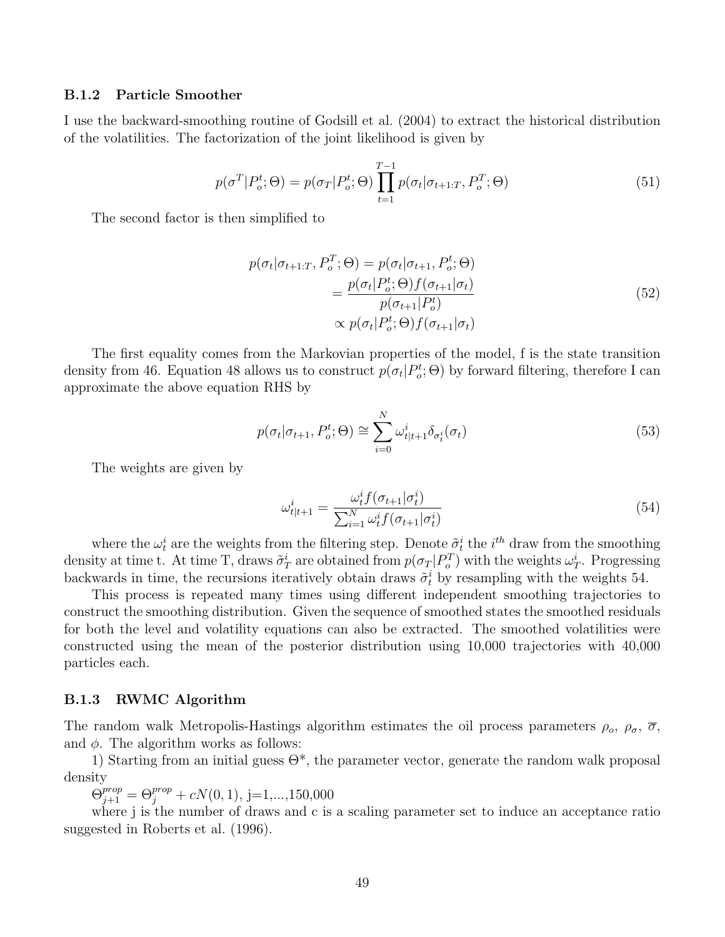#### B.1.2 Particle Smoother

I use the backward-smoothing routine of [Godsill et al.](#page-42-15) [\(2004\)](#page-42-15) to extract the historical distribution of the volatilities. The factorization of the joint likelihood is given by

$$
p(\sigma^T | P_o^t; \Theta) = p(\sigma_T | P_o^t; \Theta) \prod_{t=1}^{T-1} p(\sigma_t | \sigma_{t+1:T}, P_o^T; \Theta)
$$
\n(51)

The second factor is then simplified to

$$
p(\sigma_t | \sigma_{t+1:T}, P_o^T; \Theta) = p(\sigma_t | \sigma_{t+1}, P_o^t; \Theta)
$$
  
= 
$$
\frac{p(\sigma_t | P_o^t; \Theta) f(\sigma_{t+1} | \sigma_t)}{p(\sigma_{t+1} | P_o^t)}
$$
  

$$
\propto p(\sigma_t | P_o^t; \Theta) f(\sigma_{t+1} | \sigma_t)
$$
 (52)

The first equality comes from the Markovian properties of the model, f is the state transition density from [46.](#page-48-2) Equation [48](#page-49-0) allows us to construct  $p(\sigma_t|P_o^t;\Theta)$  by forward filtering, therefore I can approximate the above equation RHS by

$$
p(\sigma_t|\sigma_{t+1}, P_o^t; \Theta) \cong \sum_{i=0}^N \omega_{t|t+1}^i \delta_{\sigma_t^i}(\sigma_t)
$$
\n(53)

The weights are given by

<span id="page-50-0"></span>
$$
\omega_{t|t+1}^i = \frac{\omega_t^i f(\sigma_{t+1}|\sigma_t^i)}{\sum_{i=1}^N \omega_t^i f(\sigma_{t+1}|\sigma_t^i)}
$$
(54)

where the  $\omega_t^i$  are the weights from the filtering step. Denote  $\tilde{\sigma}_t^i$  the  $i^{th}$  draw from the smoothing density at time t. At time T, draws  $\tilde{\sigma}_T^i$  are obtained from  $p(\sigma_T|P_o^T)$  with the weights  $\omega_T^i$ . Progressing backwards in time, the recursions iteratively obtain draws  $\tilde{\sigma}_t^i$  by resampling with the weights [54.](#page-50-0)

This process is repeated many times using different independent smoothing trajectories to construct the smoothing distribution. Given the sequence of smoothed states the smoothed residuals for both the level and volatility equations can also be extracted. The smoothed volatilities were constructed using the mean of the posterior distribution using 10,000 trajectories with 40,000 particles each.

#### B.1.3 RWMC Algorithm

The random walk Metropolis-Hastings algorithm estimates the oil process parameters  $\rho_o$ ,  $\rho_{\sigma}$ ,  $\overline{\sigma}$ , and  $\phi$ . The algorithm works as follows:

1) Starting from an initial guess  $\Theta^*$ , the parameter vector, generate the random walk proposal density

 $\Theta_{j+1}^{prop} = \Theta_j^{prop} + cN(0, 1), j=1,...,150,000$ 

where j is the number of draws and c is a scaling parameter set to induce an acceptance ratio suggested in [Roberts et al.](#page-43-14) [\(1996\)](#page-43-14).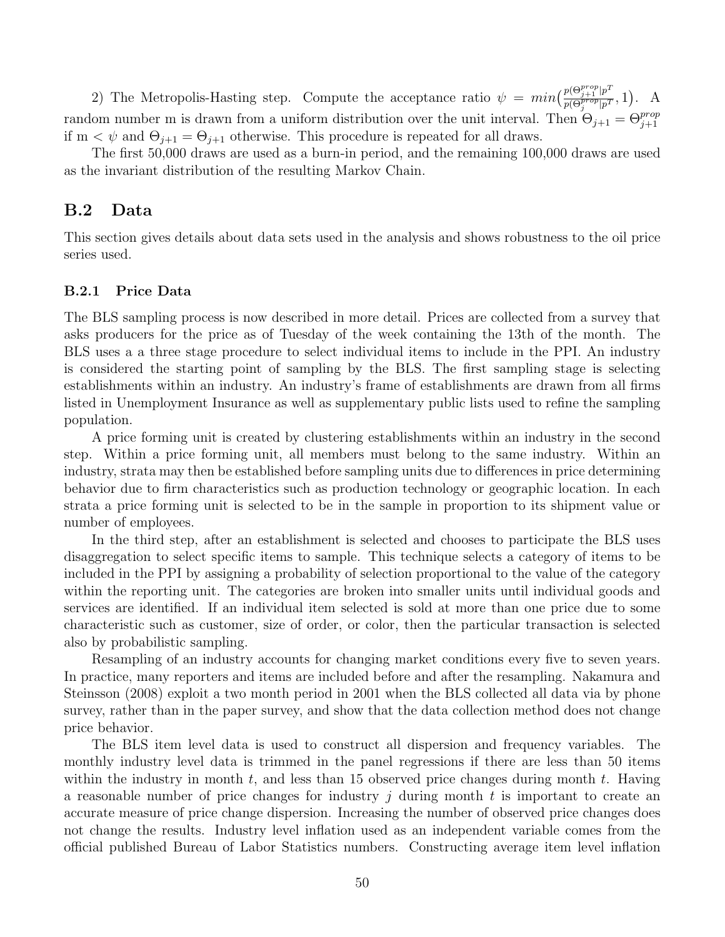2) The Metropolis-Hasting step. Compute the acceptance ratio  $\psi = min \left( \frac{p(\Theta_{j+1}^{prop})p^T}{p(\Theta_{j}^{prop})_{p,T}} \right)$  $\frac{p(\Theta_{j+1}^{r}|p^r)}{p(\Theta_j^{prop}|p^T}, 1)$ . A random number m is drawn from a uniform distribution over the unit interval. Then  $\Theta_{j+1} = \Theta_{j+1}^{prop}$ if  $m < \psi$  and  $\Theta_{j+1} = \Theta_{j+1}$  otherwise. This procedure is repeated for all draws.

The first 50,000 draws are used as a burn-in period, and the remaining 100,000 draws are used as the invariant distribution of the resulting Markov Chain.

### <span id="page-51-1"></span>B.2 Data

This section gives details about data sets used in the analysis and shows robustness to the oil price series used.

#### <span id="page-51-0"></span>B.2.1 Price Data

The BLS sampling process is now described in more detail. Prices are collected from a survey that asks producers for the price as of Tuesday of the week containing the 13th of the month. The BLS uses a a three stage procedure to select individual items to include in the PPI. An industry is considered the starting point of sampling by the BLS. The first sampling stage is selecting establishments within an industry. An industry's frame of establishments are drawn from all firms listed in Unemployment Insurance as well as supplementary public lists used to refine the sampling population.

A price forming unit is created by clustering establishments within an industry in the second step. Within a price forming unit, all members must belong to the same industry. Within an industry, strata may then be established before sampling units due to differences in price determining behavior due to firm characteristics such as production technology or geographic location. In each strata a price forming unit is selected to be in the sample in proportion to its shipment value or number of employees.

In the third step, after an establishment is selected and chooses to participate the BLS uses disaggregation to select specific items to sample. This technique selects a category of items to be included in the PPI by assigning a probability of selection proportional to the value of the category within the reporting unit. The categories are broken into smaller units until individual goods and services are identified. If an individual item selected is sold at more than one price due to some characteristic such as customer, size of order, or color, then the particular transaction is selected also by probabilistic sampling.

Resampling of an industry accounts for changing market conditions every five to seven years. In practice, many reporters and items are included before and after the resampling. [Nakamura and](#page-43-5) [Steinsson](#page-43-5) [\(2008\)](#page-43-5) exploit a two month period in 2001 when the BLS collected all data via by phone survey, rather than in the paper survey, and show that the data collection method does not change price behavior.

The BLS item level data is used to construct all dispersion and frequency variables. The monthly industry level data is trimmed in the panel regressions if there are less than 50 items within the industry in month  $t$ , and less than 15 observed price changes during month  $t$ . Having a reasonable number of price changes for industry  $j$  during month  $t$  is important to create an accurate measure of price change dispersion. Increasing the number of observed price changes does not change the results. Industry level inflation used as an independent variable comes from the official published Bureau of Labor Statistics numbers. Constructing average item level inflation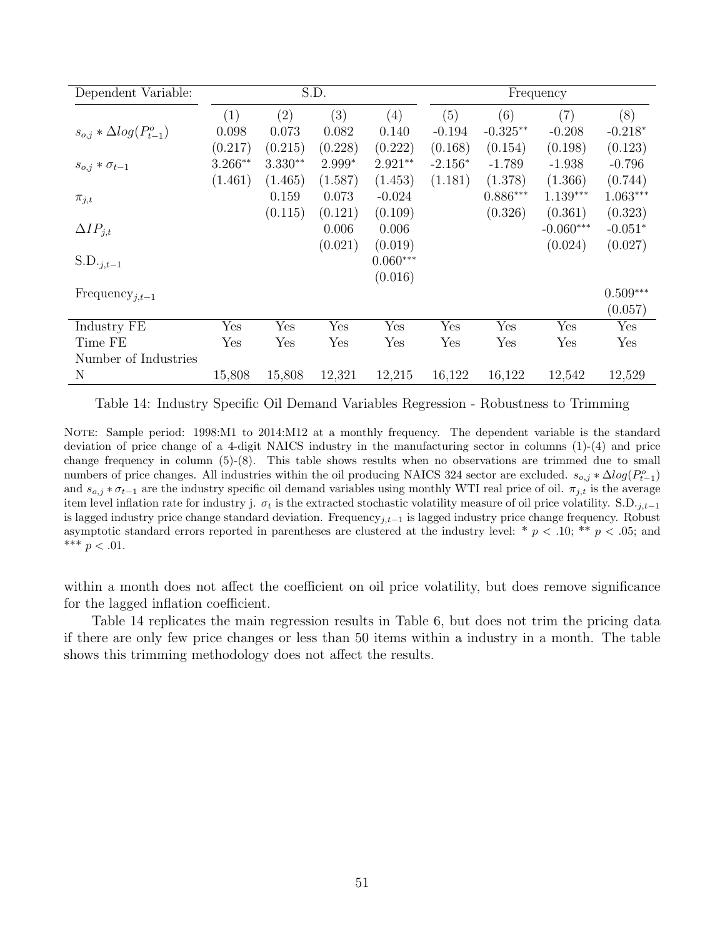<span id="page-52-0"></span>

| Dependent Variable:               |              |           | S.D.    |            |           |            | Frequency   |            |
|-----------------------------------|--------------|-----------|---------|------------|-----------|------------|-------------|------------|
|                                   | (1)          | (2)       | (3)     | (4)        | (5)       | (6)        | (7)         | (8)        |
| $s_{o,i} * \Delta log(P_{t-1}^o)$ | 0.098        | 0.073     | 0.082   | 0.140      | $-0.194$  | $-0.325**$ | $-0.208$    | $-0.218*$  |
|                                   | (0.217)      | (0.215)   | (0.228) | (0.222)    | (0.168)   | (0.154)    | (0.198)     | (0.123)    |
| $s_{o,j} * \sigma_{t-1}$          | $3.266**$    | $3.330**$ | 2.999*  | $2.921**$  | $-2.156*$ | $-1.789$   | $-1.938$    | $-0.796$   |
|                                   | (1.461)      | (1.465)   | (1.587) | (1.453)    | (1.181)   | (1.378)    | (1.366)     | (0.744)    |
| $\pi_{j,t}$                       |              | 0.159     | 0.073   | $-0.024$   |           | $0.886***$ | $1.139***$  | $1.063***$ |
|                                   |              | (0.115)   | (0.121) | (0.109)    |           | (0.326)    | (0.361)     | (0.323)    |
| $\Delta IP_{j,t}$                 |              |           | 0.006   | 0.006      |           |            | $-0.060***$ | $-0.051*$  |
|                                   |              |           | (0.021) | (0.019)    |           |            | (0.024)     | (0.027)    |
| $S.D._{j,t-1}$                    |              |           |         | $0.060***$ |           |            |             |            |
|                                   |              |           |         | (0.016)    |           |            |             |            |
| Frequency <sub>j,t-1</sub>        |              |           |         |            |           |            |             | $0.509***$ |
|                                   |              |           |         |            |           |            |             | (0.057)    |
| Industry FE                       | Yes          | Yes       | Yes     | Yes        | Yes       | Yes        | Yes         | Yes        |
| Time FE                           | $_{\rm Yes}$ | Yes       | Yes     | Yes        | Yes       | Yes        | Yes         | Yes        |
| Number of Industries              |              |           |         |            |           |            |             |            |
| N                                 | 15,808       | 15,808    | 12,321  | 12,215     | 16,122    | 16,122     | 12,542      | 12,529     |

Table 14: Industry Specific Oil Demand Variables Regression - Robustness to Trimming

NOTE: Sample period: 1998:M1 to 2014:M12 at a monthly frequency. The dependent variable is the standard deviation of price change of a 4-digit NAICS industry in the manufacturing sector in columns (1)-(4) and price change frequency in column (5)-(8). This table shows results when no observations are trimmed due to small numbers of price changes. All industries within the oil producing NAICS 324 sector are excluded.  $s_{o,j} * \Delta log(P_{t-1}^o)$ and  $s_{0,i} * \sigma_{t-1}$  are the industry specific oil demand variables using monthly WTI real price of oil.  $\pi_{i,t}$  is the average item level inflation rate for industry j.  $\sigma_t$  is the extracted stochastic volatility measure of oil price volatility. S.D.<sub>j,t−1</sub> is lagged industry price change standard deviation. Frequency<sub>j,t−1</sub> is lagged industry price change frequency. Robust asymptotic standard errors reported in parentheses are clustered at the industry level: \*  $p < .10$ ; \*\*  $p < .05$ ; and \*\*\*  $p < .01$ .

within a month does not affect the coefficient on oil price volatility, but does remove significance for the lagged inflation coefficient.

Table [14](#page-52-0) replicates the main regression results in Table [6,](#page-21-0) but does not trim the pricing data if there are only few price changes or less than 50 items within a industry in a month. The table shows this trimming methodology does not affect the results.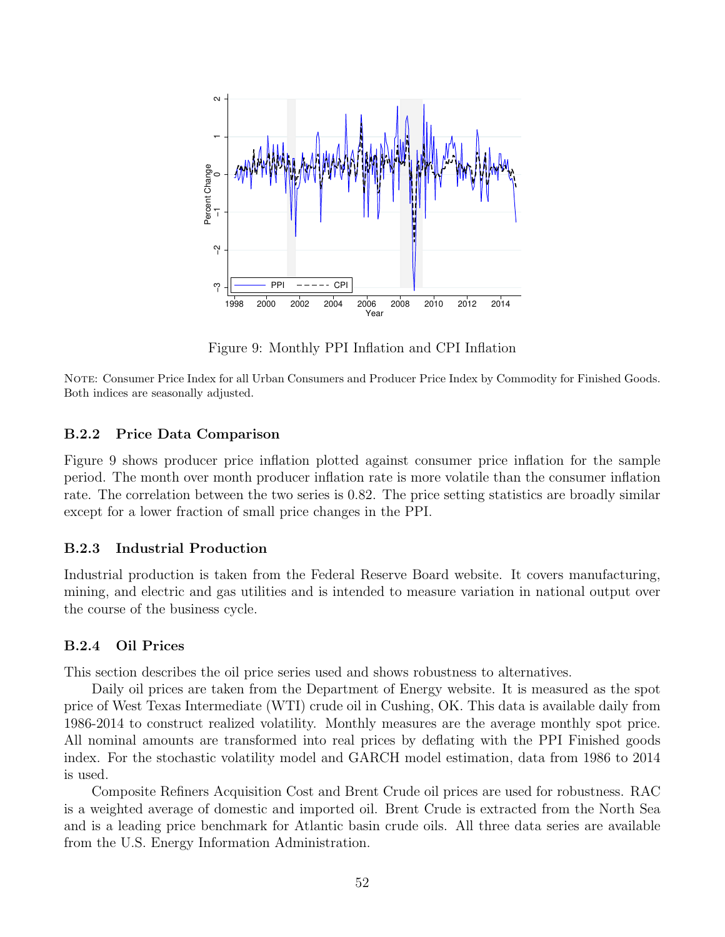<span id="page-53-2"></span>

Figure 9: Monthly PPI Inflation and CPI Inflation

NOTE: Consumer Price Index for all Urban Consumers and Producer Price Index by Commodity for Finished Goods. Both indices are seasonally adjusted.

#### <span id="page-53-0"></span>B.2.2 Price Data Comparison

Figure [9](#page-53-2) shows producer price inflation plotted against consumer price inflation for the sample period. The month over month producer inflation rate is more volatile than the consumer inflation rate. The correlation between the two series is 0.82. The price setting statistics are broadly similar except for a lower fraction of small price changes in the PPI.

#### B.2.3 Industrial Production

Industrial production is taken from the Federal Reserve Board website. It covers manufacturing, mining, and electric and gas utilities and is intended to measure variation in national output over the course of the business cycle.

#### <span id="page-53-1"></span>B.2.4 Oil Prices

This section describes the oil price series used and shows robustness to alternatives.

Daily oil prices are taken from the Department of Energy website. It is measured as the spot price of West Texas Intermediate (WTI) crude oil in Cushing, OK. This data is available daily from 1986-2014 to construct realized volatility. Monthly measures are the average monthly spot price. All nominal amounts are transformed into real prices by deflating with the PPI Finished goods index. For the stochastic volatility model and GARCH model estimation, data from 1986 to 2014 is used.

Composite Refiners Acquisition Cost and Brent Crude oil prices are used for robustness. RAC is a weighted average of domestic and imported oil. Brent Crude is extracted from the North Sea and is a leading price benchmark for Atlantic basin crude oils. All three data series are available from the U.S. Energy Information Administration.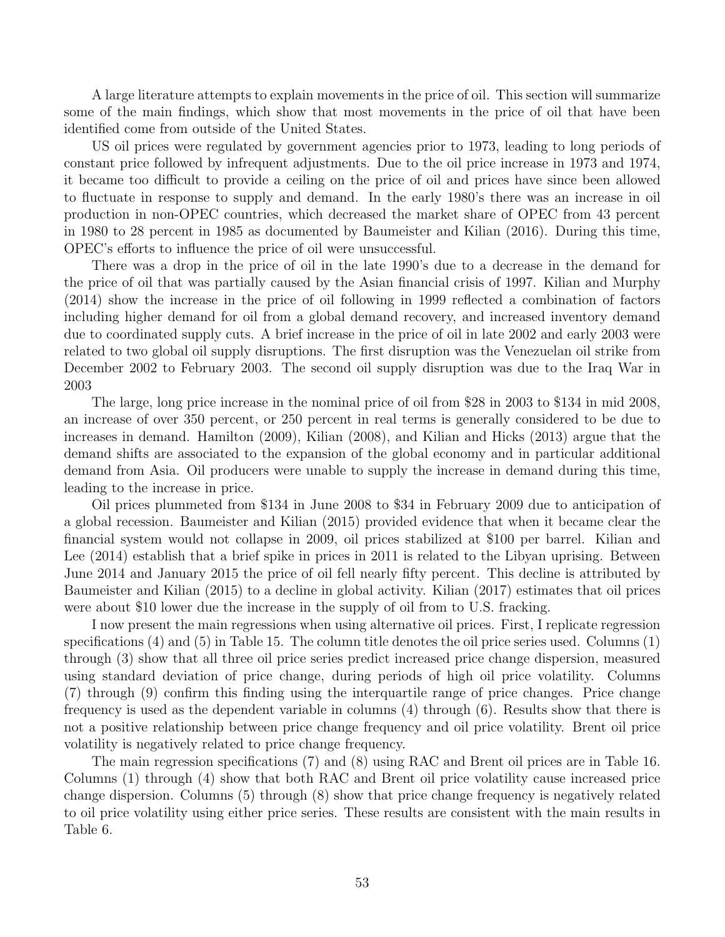A large literature attempts to explain movements in the price of oil. This section will summarize some of the main findings, which show that most movements in the price of oil that have been identified come from outside of the United States.

US oil prices were regulated by government agencies prior to 1973, leading to long periods of constant price followed by infrequent adjustments. Due to the oil price increase in 1973 and 1974, it became too difficult to provide a ceiling on the price of oil and prices have since been allowed to fluctuate in response to supply and demand. In the early 1980's there was an increase in oil production in non-OPEC countries, which decreased the market share of OPEC from 43 percent in 1980 to 28 percent in 1985 as documented by [Baumeister and Kilian](#page-41-21) [\(2016\)](#page-41-21). During this time, OPEC's efforts to influence the price of oil were unsuccessful.

There was a drop in the price of oil in the late 1990's due to a decrease in the demand for the price of oil that was partially caused by the Asian financial crisis of 1997. [Kilian and Murphy](#page-42-16) [\(2014\)](#page-42-16) show the increase in the price of oil following in 1999 reflected a combination of factors including higher demand for oil from a global demand recovery, and increased inventory demand due to coordinated supply cuts. A brief increase in the price of oil in late 2002 and early 2003 were related to two global oil supply disruptions. The first disruption was the Venezuelan oil strike from December 2002 to February 2003. The second oil supply disruption was due to the Iraq War in 2003

The large, long price increase in the nominal price of oil from \$28 in 2003 to \$134 in mid 2008, an increase of over 350 percent, or 250 percent in real terms is generally considered to be due to increases in demand. [Hamilton](#page-42-8) [\(2009\)](#page-42-8), [Kilian](#page-42-9) [\(2008\)](#page-42-9), and [Kilian and Hicks](#page-42-17) [\(2013\)](#page-42-17) argue that the demand shifts are associated to the expansion of the global economy and in particular additional demand from Asia. Oil producers were unable to supply the increase in demand during this time, leading to the increase in price.

Oil prices plummeted from \$134 in June 2008 to \$34 in February 2009 due to anticipation of a global recession. [Baumeister and Kilian](#page-41-14) [\(2015\)](#page-41-14) provided evidence that when it became clear the financial system would not collapse in 2009, oil prices stabilized at \$100 per barrel. [Kilian and](#page-42-18) [Lee](#page-42-18) [\(2014\)](#page-42-18) establish that a brief spike in prices in 2011 is related to the Libyan uprising. Between June 2014 and January 2015 the price of oil fell nearly fifty percent. This decline is attributed by [Baumeister and Kilian](#page-41-14) [\(2015\)](#page-41-14) to a decline in global activity. [Kilian](#page-42-19) [\(2017\)](#page-42-19) estimates that oil prices were about \$10 lower due the increase in the supply of oil from to U.S. fracking.

I now present the main regressions when using alternative oil prices. First, I replicate regression specifications [\(4\)](#page-15-0) and [\(5\)](#page-15-1) in Table [15.](#page-55-0) The column title denotes the oil price series used. Columns (1) through (3) show that all three oil price series predict increased price change dispersion, measured using standard deviation of price change, during periods of high oil price volatility. Columns (7) through (9) confirm this finding using the interquartile range of price changes. Price change frequency is used as the dependent variable in columns (4) through (6). Results show that there is not a positive relationship between price change frequency and oil price volatility. Brent oil price volatility is negatively related to price change frequency.

The main regression specifications [\(7\)](#page-20-0) and [\(8\)](#page-20-1) using RAC and Brent oil prices are in Table [16.](#page-55-1) Columns (1) through (4) show that both RAC and Brent oil price volatility cause increased price change dispersion. Columns (5) through (8) show that price change frequency is negatively related to oil price volatility using either price series. These results are consistent with the main results in Table [6.](#page-21-0)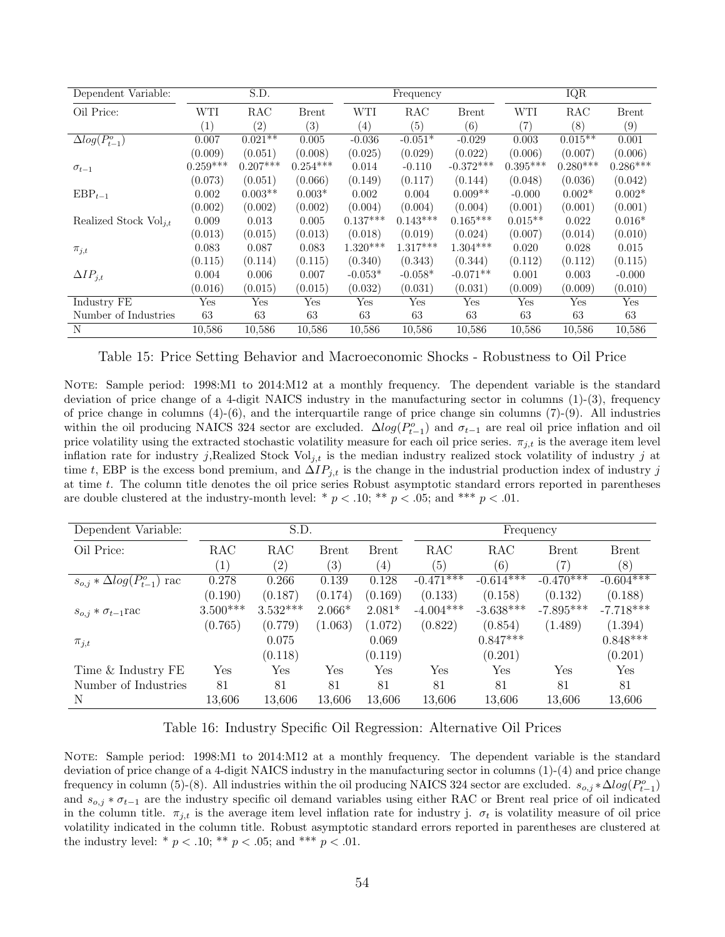<span id="page-55-0"></span>

| Dependent Variable:        | S.D.       |                   |              |            | Frequency  |              | <b>IQR</b> |            |              |
|----------------------------|------------|-------------------|--------------|------------|------------|--------------|------------|------------|--------------|
| Oil Price:                 | WTI        | RAC               | <b>Brent</b> | <b>WTI</b> | RAC        | <b>Brent</b> | <b>WTI</b> | RAC        | <b>Brent</b> |
|                            | (1)        | $\left( 2\right)$ | (3)          | (4)        | (5)        | (6)          | (7)        | (8)        | (9)          |
| $\Delta log(P_{t-1}^o)$    | 0.007      | $0.021**$         | 0.005        | $-0.036$   | $-0.051*$  | $-0.029$     | 0.003      | $0.015**$  | 0.001        |
|                            | (0.009)    | (0.051)           | (0.008)      | (0.025)    | (0.029)    | (0.022)      | (0.006)    | (0.007)    | (0.006)      |
| $\sigma_{t-1}$             | $0.259***$ | $0.207***$        | $0.254***$   | 0.014      | $-0.110$   | $-0.372***$  | $0.395***$ | $0.280***$ | $0.286***$   |
|                            | (0.073)    | (0.051)           | (0.066)      | (0.149)    | (0.117)    | (0.144)      | (0.048)    | (0.036)    | (0.042)      |
| $EBP_{t-1}$                | 0.002      | $0.003**$         | $0.003*$     | 0.002      | 0.004      | $0.009**$    | $-0.000$   | $0.002*$   | $0.002*$     |
|                            | (0.002)    | (0.002)           | (0.002)      | (0.004)    | (0.004)    | (0.004)      | (0.001)    | (0.001)    | (0.001)      |
| Realized Stock $Vol_{i,t}$ | 0.009      | 0.013             | 0.005        | $0.137***$ | $0.143***$ | $0.165***$   | $0.015**$  | 0.022      | $0.016*$     |
|                            | (0.013)    | (0.015)           | (0.013)      | (0.018)    | (0.019)    | (0.024)      | (0.007)    | (0.014)    | (0.010)      |
| $\pi_{j,t}$                | 0.083      | 0.087             | 0.083        | $1.320***$ | $1.317***$ | $1.304***$   | 0.020      | 0.028      | 0.015        |
|                            | (0.115)    | (0.114)           | (0.115)      | (0.340)    | (0.343)    | (0.344)      | (0.112)    | (0.112)    | (0.115)      |
| $\Delta IP_{j,t}$          | 0.004      | 0.006             | 0.007        | $-0.053*$  | $-0.058*$  | $-0.071**$   | 0.001      | 0.003      | $-0.000$     |
|                            | (0.016)    | (0.015)           | (0.015)      | (0.032)    | (0.031)    | (0.031)      | (0.009)    | (0.009)    | (0.010)      |
| Industry FE                | Yes        | Yes               | Yes          | Yes        | Yes        | Yes          | Yes        | Yes        | Yes          |
| Number of Industries       | 63         | 63                | 63           | 63         | 63         | 63           | 63         | 63         | 63           |
| N                          | 10,586     | 10,586            | 10,586       | 10.586     | 10,586     | 10,586       | 10,586     | 10,586     | 10,586       |

Table 15: Price Setting Behavior and Macroeconomic Shocks - Robustness to Oil Price

NOTE: Sample period: 1998:M1 to 2014:M12 at a monthly frequency. The dependent variable is the standard deviation of price change of a 4-digit NAICS industry in the manufacturing sector in columns (1)-(3), frequency of price change in columns  $(4)-(6)$ , and the interquartile range of price change sin columns  $(7)-(9)$ . All industries within the oil producing NAICS 324 sector are excluded.  $\Delta log(P_{t-1}^o)$  and  $\sigma_{t-1}$  are real oil price inflation and oil price volatility using the extracted stochastic volatility measure for each oil price series.  $\pi_{j,t}$  is the average item level inflation rate for industry j,Realized Stock Vol<sub>j,t</sub> is the median industry realized stock volatility of industry j at time t, EBP is the excess bond premium, and  $\Delta IP_{j,t}$  is the change in the industrial production index of industry j at time t. The column title denotes the oil price series Robust asymptotic standard errors reported in parentheses are double clustered at the industry-month level: \*  $p < .10$ ; \*\*  $p < .05$ ; and \*\*\*  $p < .01$ .

<span id="page-55-1"></span>

| Dependent Variable:                   |                   | S.D.       |                   |                   | Frequency    |             |              |              |
|---------------------------------------|-------------------|------------|-------------------|-------------------|--------------|-------------|--------------|--------------|
| Oil Price:                            | <b>RAC</b>        | RAC        | <b>Brent</b>      | <b>Brent</b>      | <b>RAC</b>   | RAC         | <b>Brent</b> | <b>Brent</b> |
|                                       | $\left( 1\right)$ | (2)        | $\left( 3\right)$ | $\left( 4\right)$ | (5)          | (6)         | (7)          | (8)          |
| $s_{o,j} * \Delta log(P_{t-1}^o)$ rac | 0.278             | 0.266      | 0.139             | 0.128             | $-0.471$ *** | $-0.614***$ | $-0.470***$  | $-0.604***$  |
|                                       | (0.190)           | (0.187)    | (0.174)           | (0.169)           | (0.133)      | (0.158)     | (0.132)      | (0.188)      |
| $s_{o,i} * \sigma_{t-1}$ rac          | $3.500***$        | $3.532***$ | $2.066*$          | $2.081*$          | $-4.004***$  | $-3.638***$ | $-7.895***$  | $-7.718***$  |
|                                       | (0.765)           | (0.779)    | (1.063)           | (1.072)           | (0.822)      | (0.854)     | (1.489)      | (1.394)      |
| $\pi_{j,t}$                           |                   | 0.075      |                   | 0.069             |              | $0.847***$  |              | $0.848***$   |
|                                       |                   | (0.118)    |                   | (0.119)           |              | (0.201)     |              | (0.201)      |
| Time & Industry FE                    | Yes               | Yes        | Yes               | Yes               | Yes          | Yes         | Yes          | <b>Yes</b>   |
| Number of Industries                  | 81                | 81         | 81                | 81                | 81           | 81          | 81           | 81           |
| Ν                                     | 13,606            | 13,606     | 13,606            | 13,606            | 13,606       | 13,606      | 13,606       | 13,606       |

#### Table 16: Industry Specific Oil Regression: Alternative Oil Prices

NOTE: Sample period: 1998:M1 to 2014:M12 at a monthly frequency. The dependent variable is the standard deviation of price change of a 4-digit NAICS industry in the manufacturing sector in columns (1)-(4) and price change frequency in column (5)-(8). All industries within the oil producing NAICS 324 sector are excluded.  $s_{o,j} * \Delta log(P_{t-1}^o)$ and  $s_{o,j} * \sigma_{t-1}$  are the industry specific oil demand variables using either RAC or Brent real price of oil indicated in the column title.  $\pi_{j,t}$  is the average item level inflation rate for industry j.  $\sigma_t$  is volatility measure of oil price volatility indicated in the column title. Robust asymptotic standard errors reported in parentheses are clustered at the industry level: \*  $p < .10$ ; \*\*  $p < .05$ ; and \*\*\*  $p < .01$ .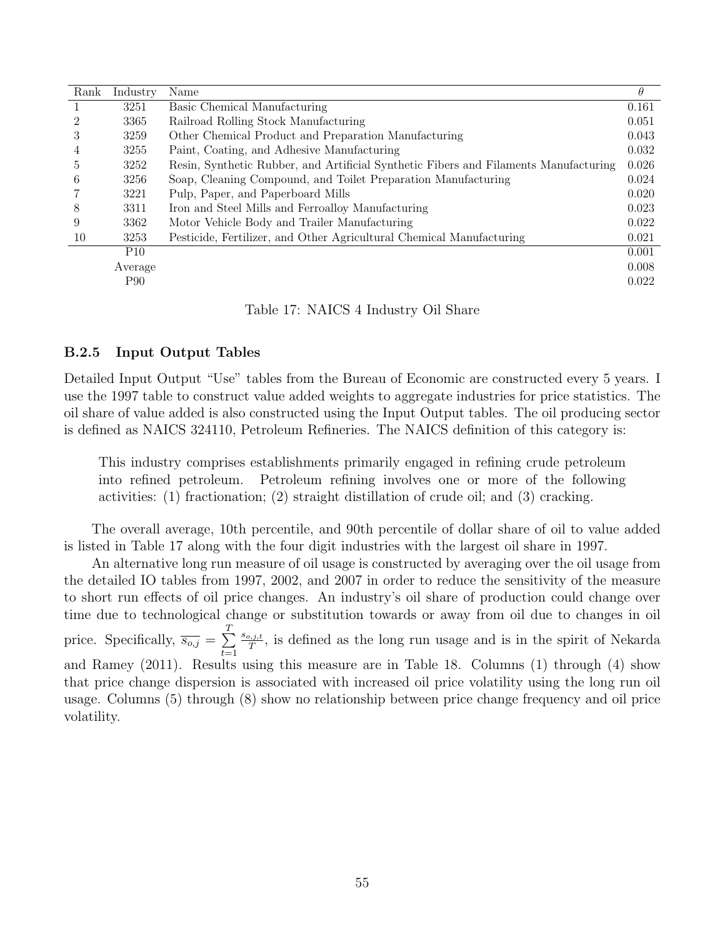<span id="page-56-0"></span>

| Rank | Industry        | Name                                                                                 | $\theta$ |
|------|-----------------|--------------------------------------------------------------------------------------|----------|
|      | 3251            | Basic Chemical Manufacturing                                                         | 0.161    |
| 2    | 3365            | Railroad Rolling Stock Manufacturing                                                 | 0.051    |
| 3    | 3259            | Other Chemical Product and Preparation Manufacturing                                 | 0.043    |
| 4    | 3255            | Paint, Coating, and Adhesive Manufacturing                                           | 0.032    |
| 5.   | 3252            | Resin, Synthetic Rubber, and Artificial Synthetic Fibers and Filaments Manufacturing | 0.026    |
| 6    | 3256            | Soap, Cleaning Compound, and Toilet Preparation Manufacturing                        | 0.024    |
|      | 3221            | Pulp, Paper, and Paperboard Mills                                                    | 0.020    |
| 8    | 3311            | Iron and Steel Mills and Ferroalloy Manufacturing                                    | 0.023    |
| 9    | 3362            | Motor Vehicle Body and Trailer Manufacturing                                         | 0.022    |
| 10   | 3253            | Pesticide, Fertilizer, and Other Agricultural Chemical Manufacturing                 | 0.021    |
|      | P <sub>10</sub> |                                                                                      | 0.001    |
|      | Average         |                                                                                      | 0.008    |
|      | P <sub>90</sub> |                                                                                      | 0.022    |

Table 17: NAICS 4 Industry Oil Share

#### B.2.5 Input Output Tables

Detailed Input Output "Use" tables from the Bureau of Economic are constructed every 5 years. I use the 1997 table to construct value added weights to aggregate industries for price statistics. The oil share of value added is also constructed using the Input Output tables. The oil producing sector is defined as NAICS 324110, Petroleum Refineries. The NAICS definition of this category is:

This industry comprises establishments primarily engaged in refining crude petroleum into refined petroleum. Petroleum refining involves one or more of the following activities: (1) fractionation; (2) straight distillation of crude oil; and (3) cracking.

The overall average, 10th percentile, and 90th percentile of dollar share of oil to value added is listed in Table [17](#page-56-0) along with the four digit industries with the largest oil share in 1997.

An alternative long run measure of oil usage is constructed by averaging over the oil usage from the detailed IO tables from 1997, 2002, and 2007 in order to reduce the sensitivity of the measure to short run effects of oil price changes. An industry's oil share of production could change over time due to technological change or substitution towards or away from oil due to changes in oil price. Specifically,  $\overline{s_{o,j}} = \sum^{T}$  $t=1$  $s_{o,j,t}$ <sup>2,*i,t*</sup>, is defined as the long run usage and is in the spirit of [Nekarda](#page-43-9) [and Ramey](#page-43-9) [\(2011\)](#page-43-9). Results using this measure are in Table [18.](#page-57-1) Columns (1) through (4) show that price change dispersion is associated with increased oil price volatility using the long run oil usage. Columns (5) through (8) show no relationship between price change frequency and oil price volatility.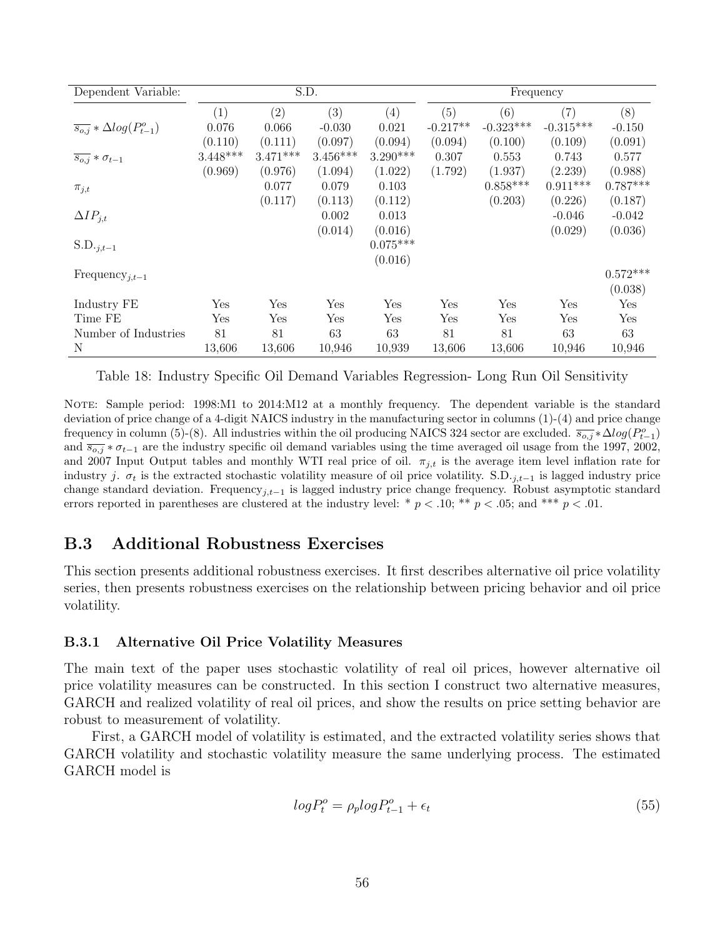<span id="page-57-1"></span>

| Dependent Variable:                          |            | S.D.       |            |            |            | Frequency   |             |            |
|----------------------------------------------|------------|------------|------------|------------|------------|-------------|-------------|------------|
|                                              | (1)        | (2)        | (3)        | (4)        | (5)        | (6)         | (7)         | (8)        |
| $\overline{s_{o,j}} * \Delta log(P_{t-1}^o)$ | 0.076      | 0.066      | $-0.030$   | 0.021      | $-0.217**$ | $-0.323***$ | $-0.315***$ | $-0.150$   |
|                                              | (0.110)    | (0.111)    | (0.097)    | (0.094)    | (0.094)    | (0.100)     | (0.109)     | (0.091)    |
| $\overline{s_{o,j}} * \sigma_{t-1}$          | $3.448***$ | $3.471***$ | $3.456***$ | $3.290***$ | 0.307      | 0.553       | 0.743       | 0.577      |
|                                              | (0.969)    | (0.976)    | (1.094)    | (1.022)    | (1.792)    | (1.937)     | (2.239)     | (0.988)    |
| $\pi_{j,t}$                                  |            | 0.077      | 0.079      | 0.103      |            | $0.858***$  | $0.911***$  | $0.787***$ |
|                                              |            | (0.117)    | (0.113)    | (0.112)    |            | (0.203)     | (0.226)     | (0.187)    |
| $\Delta IP_{j,t}$                            |            |            | 0.002      | 0.013      |            |             | $-0.046$    | $-0.042$   |
|                                              |            |            | (0.014)    | (0.016)    |            |             | (0.029)     | (0.036)    |
| $S.D._{j,t-1}$                               |            |            |            | $0.075***$ |            |             |             |            |
|                                              |            |            |            | (0.016)    |            |             |             |            |
| Frequency <sub>j,t-1</sub>                   |            |            |            |            |            |             |             | $0.572***$ |
|                                              |            |            |            |            |            |             |             | (0.038)    |
| Industry FE                                  | Yes        | Yes        | Yes        | Yes        | Yes        | Yes         | Yes         | Yes        |
| Time FE                                      | Yes        | Yes        | Yes        | Yes        | Yes        | Yes         | Yes         | Yes        |
| Number of Industries                         | 81         | 81         | 63         | 63         | 81         | 81          | 63          | 63         |
| N                                            | 13,606     | 13,606     | 10,946     | 10,939     | 13,606     | 13,606      | 10,946      | 10,946     |

Table 18: Industry Specific Oil Demand Variables Regression- Long Run Oil Sensitivity

NOTE: Sample period: 1998:M1 to 2014:M12 at a monthly frequency. The dependent variable is the standard deviation of price change of a 4-digit NAICS industry in the manufacturing sector in columns (1)-(4) and price change frequency in column (5)-(8). All industries within the oil producing NAICS 324 sector are excluded.  $\overline{s_{o,j}} * \Delta log(P_{t-1}^o)$ and  $\overline{s_{o,j}} * \sigma_{t-1}$  are the industry specific oil demand variables using the time averaged oil usage from the 1997, 2002, and 2007 Input Output tables and monthly WTI real price of oil.  $\pi_{j,t}$  is the average item level inflation rate for industry j.  $\sigma_t$  is the extracted stochastic volatility measure of oil price volatility. S.D.<sub>j,t−1</sub> is lagged industry price change standard deviation. Frequency<sub>i,t−1</sub> is lagged industry price change frequency. Robust asymptotic standard errors reported in parentheses are clustered at the industry level: \*  $p < .10$ ; \*\*  $p < .05$ ; and \*\*\*  $p < .01$ .

# <span id="page-57-2"></span>B.3 Additional Robustness Exercises

This section presents additional robustness exercises. It first describes alternative oil price volatility series, then presents robustness exercises on the relationship between pricing behavior and oil price volatility.

#### <span id="page-57-0"></span>B.3.1 Alternative Oil Price Volatility Measures

The main text of the paper uses stochastic volatility of real oil prices, however alternative oil price volatility measures can be constructed. In this section I construct two alternative measures, GARCH and realized volatility of real oil prices, and show the results on price setting behavior are robust to measurement of volatility.

First, a GARCH model of volatility is estimated, and the extracted volatility series shows that GARCH volatility and stochastic volatility measure the same underlying process. The estimated GARCH model is

$$
log P_t^o = \rho_p log P_{t-1}^o + \epsilon_t \tag{55}
$$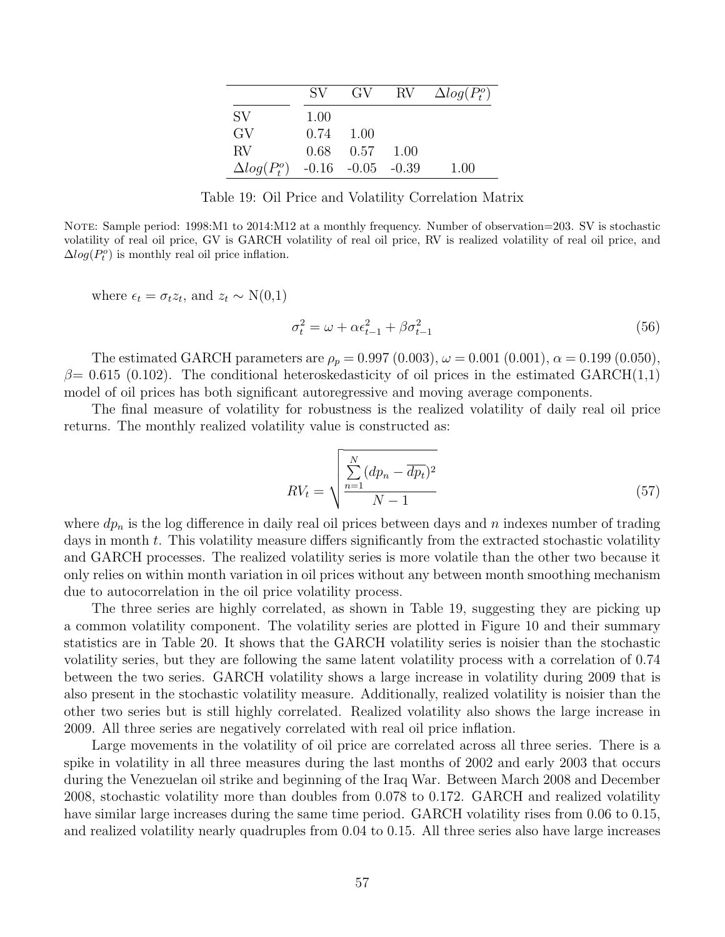|                     | SV.  | GV.                     | $\rm RV$ | $\Delta log(P_t^o)$ |
|---------------------|------|-------------------------|----------|---------------------|
| SV.                 | 1.00 |                         |          |                     |
| GV                  | 0.74 | 1.00                    |          |                     |
| RV                  |      | $0.68$ 0.57             | 1.00     |                     |
| $\Delta log(P_t^o)$ |      | $-0.16$ $-0.05$ $-0.39$ |          | 1.00                |

Table 19: Oil Price and Volatility Correlation Matrix

<span id="page-58-0"></span>NOTE: Sample period: 1998:M1 to 2014:M12 at a monthly frequency. Number of observation=203. SV is stochastic volatility of real oil price, GV is GARCH volatility of real oil price, RV is realized volatility of real oil price, and  $\Delta log(P_t^o)$  is monthly real oil price inflation.

where  $\epsilon_t = \sigma_t z_t$ , and  $z_t \sim N(0,1)$ 

$$
\sigma_t^2 = \omega + \alpha \epsilon_{t-1}^2 + \beta \sigma_{t-1}^2 \tag{56}
$$

The estimated GARCH parameters are  $\rho_p = 0.997 (0.003), \omega = 0.001 (0.001), \alpha = 0.199 (0.050),$  $\beta$ = 0.615 (0.102). The conditional heteroskedasticity of oil prices in the estimated GARCH(1,1) model of oil prices has both significant autoregressive and moving average components.

The final measure of volatility for robustness is the realized volatility of daily real oil price returns. The monthly realized volatility value is constructed as:

$$
RV_t = \sqrt{\frac{\sum_{n=1}^{N} (dp_n - \overline{dp_t})^2}{N - 1}}
$$
\n
$$
(57)
$$

where  $dp_n$  is the log difference in daily real oil prices between days and n indexes number of trading days in month t. This volatility measure differs significantly from the extracted stochastic volatility and GARCH processes. The realized volatility series is more volatile than the other two because it only relies on within month variation in oil prices without any between month smoothing mechanism due to autocorrelation in the oil price volatility process.

The three series are highly correlated, as shown in Table [19,](#page-58-0) suggesting they are picking up a common volatility component. The volatility series are plotted in Figure [10](#page-59-0) and their summary statistics are in Table [20.](#page-59-1) It shows that the GARCH volatility series is noisier than the stochastic volatility series, but they are following the same latent volatility process with a correlation of 0.74 between the two series. GARCH volatility shows a large increase in volatility during 2009 that is also present in the stochastic volatility measure. Additionally, realized volatility is noisier than the other two series but is still highly correlated. Realized volatility also shows the large increase in 2009. All three series are negatively correlated with real oil price inflation.

Large movements in the volatility of oil price are correlated across all three series. There is a spike in volatility in all three measures during the last months of 2002 and early 2003 that occurs during the Venezuelan oil strike and beginning of the Iraq War. Between March 2008 and December 2008, stochastic volatility more than doubles from 0.078 to 0.172. GARCH and realized volatility have similar large increases during the same time period. GARCH volatility rises from 0.06 to 0.15, and realized volatility nearly quadruples from 0.04 to 0.15. All three series also have large increases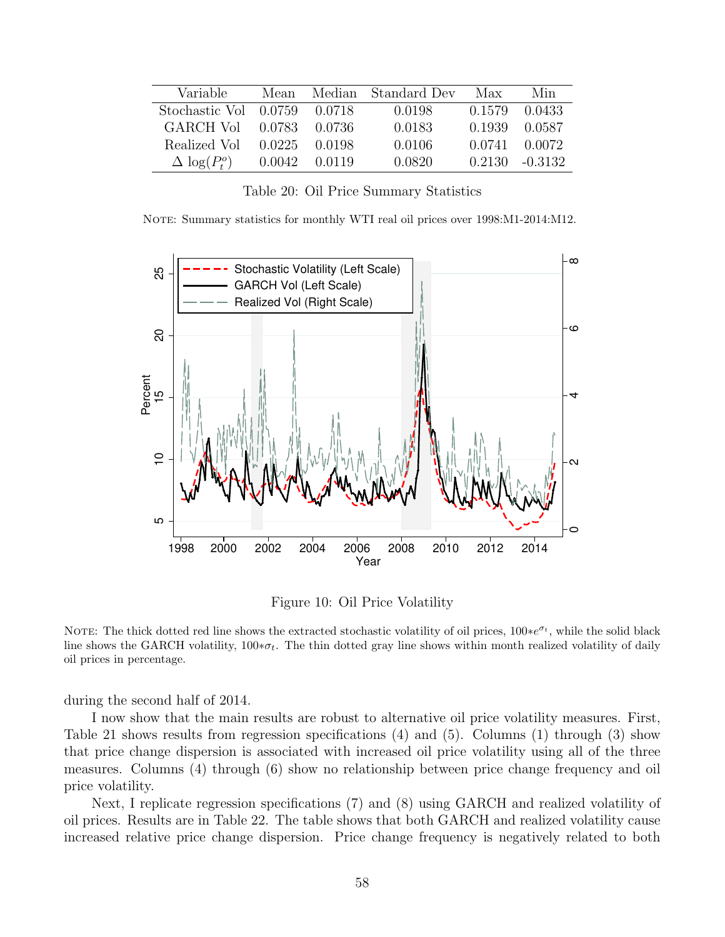<span id="page-59-1"></span>

| Variable                         | Mean   | Median | Standard Dev | Max    | Min     |
|----------------------------------|--------|--------|--------------|--------|---------|
| Stochastic Vol 0.0759            |        | 0.0718 | 0.0198       | 0.1579 | 0.0433  |
| GARCH Vol                        | 0.0783 | 0.0736 | 0.0183       | 0.1939 | 0.0587  |
| Realized Vol                     | 0.0225 | 0.0198 | 0.0106       | 0.0741 | 0.0072  |
| $\Delta \log(P_{\rm t}^{\rm o})$ | 0.0042 | 0.0119 | 0.0820       | 0.2130 | -0.3132 |

Table 20: Oil Price Summary Statistics

NOTE: Summary statistics for monthly WTI real oil prices over 1998:M1-2014:M12.

<span id="page-59-0"></span>

Figure 10: Oil Price Volatility

NOTE: The thick dotted red line shows the extracted stochastic volatility of oil prices, 100∗e<sup>σt</sup>, while the solid black line shows the GARCH volatility,  $100 * \sigma_t$ . The thin dotted gray line shows within month realized volatility of daily oil prices in percentage.

during the second half of 2014.

I now show that the main results are robust to alternative oil price volatility measures. First, Table [21](#page-60-0) shows results from regression specifications [\(4\)](#page-15-0) and [\(5\)](#page-15-1). Columns (1) through (3) show that price change dispersion is associated with increased oil price volatility using all of the three measures. Columns (4) through (6) show no relationship between price change frequency and oil price volatility.

Next, I replicate regression specifications [\(7\)](#page-20-0) and [\(8\)](#page-20-1) using GARCH and realized volatility of oil prices. Results are in Table [22.](#page-61-0) The table shows that both GARCH and realized volatility cause increased relative price change dispersion. Price change frequency is negatively related to both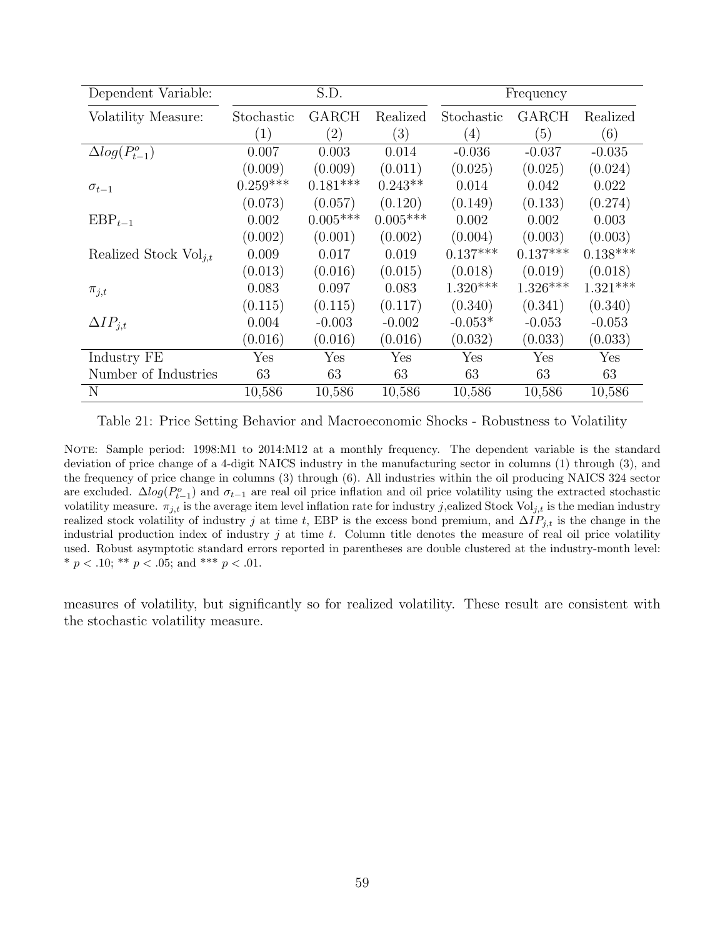<span id="page-60-0"></span>

| Dependent Variable:        |            | S.D.              |            |            | Frequency            |            |
|----------------------------|------------|-------------------|------------|------------|----------------------|------------|
| Volatility Measure:        | Stochastic | <b>GARCH</b>      | Realized   | Stochastic | <b>GARCH</b>         | Realized   |
|                            | (1)        | $\left( 2\right)$ | (3)        | (4)        | (5)                  | (6)        |
| $\Delta log(P_{t-1}^o)$    | 0.007      | 0.003             | 0.014      | $-0.036$   | $-0.037$             | $-0.035$   |
|                            | (0.009)    | (0.009)           | (0.011)    | (0.025)    | (0.025)              | (0.024)    |
| $\sigma_{t-1}$             | $0.259***$ | $0.181***$        | $0.243**$  | 0.014      | 0.042                | 0.022      |
|                            | (0.073)    | (0.057)           | (0.120)    | (0.149)    | (0.133)              | (0.274)    |
| $EBP_{t-1}$                | 0.002      | $0.005***$        | $0.005***$ | 0.002      | 0.002                | 0.003      |
|                            | (0.002)    | (0.001)           | (0.002)    | (0.004)    | (0.003)              | (0.003)    |
| Realized Stock $Vol_{i,t}$ | 0.009      | 0.017             | 0.019      | $0.137***$ | $0.137***$           | $0.138***$ |
|                            | (0.013)    | (0.016)           | (0.015)    | (0.018)    | (0.019)              | (0.018)    |
| $\pi_{j,t}$                | 0.083      | 0.097             | 0.083      | $1.320***$ | $1.326***$           | $1.321***$ |
|                            | (0.115)    | (0.115)           | (0.117)    | (0.340)    | (0.341)              | (0.340)    |
| $\Delta IP_{i,t}$          | 0.004      | $-0.003$          | $-0.002$   | $-0.053*$  | $-0.053$             | $-0.053$   |
|                            | (0.016)    | (0.016)           | (0.016)    | (0.032)    | (0.033)              | (0.033)    |
| Industry FE                | Yes        | Yes               | Yes        | Yes        | $\operatorname{Yes}$ | Yes        |
| Number of Industries       | 63         | 63                | 63         | 63         | 63                   | 63         |
| N                          | 10,586     | 10,586            | 10,586     | 10,586     | 10,586               | 10,586     |

Table 21: Price Setting Behavior and Macroeconomic Shocks - Robustness to Volatility

NOTE: Sample period: 1998:M1 to 2014:M12 at a monthly frequency. The dependent variable is the standard deviation of price change of a 4-digit NAICS industry in the manufacturing sector in columns (1) through (3), and the frequency of price change in columns (3) through (6). All industries within the oil producing NAICS 324 sector are excluded.  $\Delta log(P_{t-1}^o)$  and  $\sigma_{t-1}$  are real oil price inflation and oil price volatility using the extracted stochastic volatility measure.  $\pi_{j,t}$  is the average item level inflation rate for industry j, ealized Stock Vol<sub>j,t</sub> is the median industry realized stock volatility of industry j at time t, EBP is the excess bond premium, and  $\Delta IP_{j,t}$  is the change in the industrial production index of industry  $j$  at time  $t$ . Column title denotes the measure of real oil price volatility used. Robust asymptotic standard errors reported in parentheses are double clustered at the industry-month level: \*  $p < .10$ ; \*\*  $p < .05$ ; and \*\*\*  $p < .01$ .

measures of volatility, but significantly so for realized volatility. These result are consistent with the stochastic volatility measure.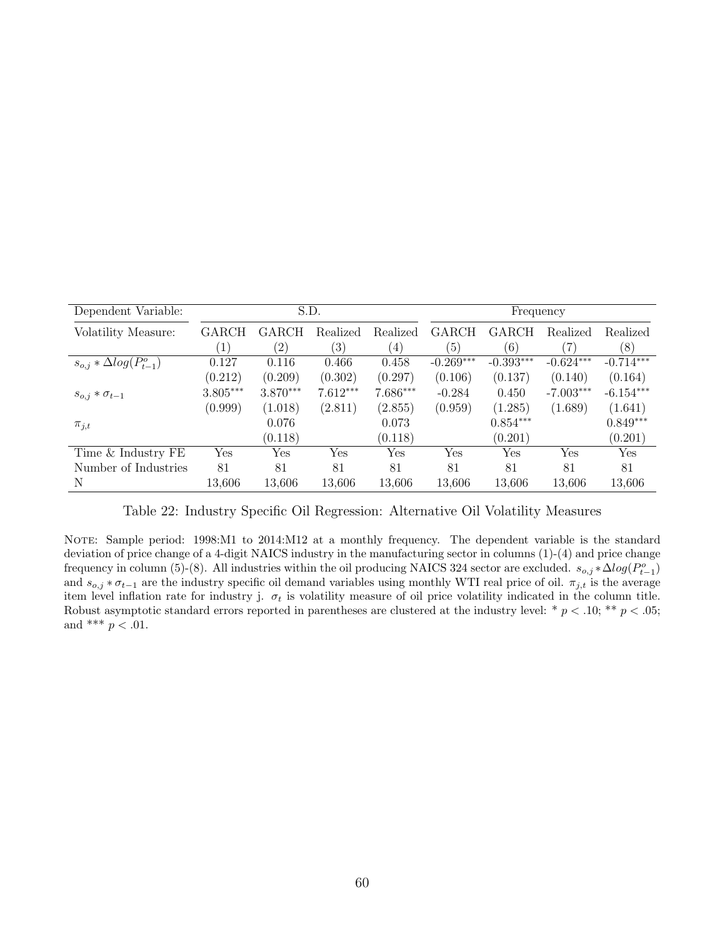<span id="page-61-0"></span>

| Dependent Variable:               |                  | S.D.         |                   |          |             | Frequency   |             |             |  |
|-----------------------------------|------------------|--------------|-------------------|----------|-------------|-------------|-------------|-------------|--|
| Volatility Measure:               | GARCH            | <b>GARCH</b> | Realized          | Realized | GARCH       | GARCH       | Realized    | Realized    |  |
|                                   | $\left  \right $ | (2)          | $\left( 3\right)$ | (4)      | (5)         | (6)         |             | (8)         |  |
| $s_{o,j} * \Delta log(P_{t-1}^o)$ | 0.127            | 0.116        | 0.466             | 0.458    | $-0.269***$ | $-0.393***$ | $-0.624***$ | $-0.714***$ |  |
|                                   | (0.212)          | (0.209)      | (0.302)           | (0.297)  | (0.106)     | (0.137)     | (0.140)     | (0.164)     |  |
| $s_{o,i} * \sigma_{t-1}$          | $3.805***$       | $3.870***$   | $7.612***$        | 7.686*** | $-0.284$    | 0.450       | $-7.003***$ | $-6.154***$ |  |
|                                   | (0.999)          | (1.018)      | (2.811)           | (2.855)  | (0.959)     | (1.285)     | (1.689)     | (1.641)     |  |
| $\pi_{j,t}$                       |                  | 0.076        |                   | 0.073    |             | $0.854***$  |             | $0.849***$  |  |
|                                   |                  | (0.118)      |                   | (0.118)  |             | (0.201)     |             | (0.201)     |  |
| Time & Industry FE                | Yes              | Yes          | Yes               | Yes      | Yes         | Yes         | Yes         | Yes         |  |
| Number of Industries              | 81               | 81           | 81                | 81       | 81          | 81          | 81          | 81          |  |
| N                                 | 13,606           | 13,606       | 13,606            | 13,606   | 13,606      | 13,606      | 13,606      | 13,606      |  |

Table 22: Industry Specific Oil Regression: Alternative Oil Volatility Measures

NOTE: Sample period: 1998:M1 to 2014:M12 at a monthly frequency. The dependent variable is the standard deviation of price change of a 4-digit NAICS industry in the manufacturing sector in columns (1)-(4) and price change frequency in column (5)-(8). All industries within the oil producing NAICS 324 sector are excluded.  $s_{o,j} * \Delta log(P_{t-1}^o)$ and  $s_{o,j} * \sigma_{t-1}$  are the industry specific oil demand variables using monthly WTI real price of oil.  $\pi_{j,t}$  is the average item level inflation rate for industry j.  $\sigma_t$  is volatility measure of oil price volatility indicated in the column title. Robust asymptotic standard errors reported in parentheses are clustered at the industry level: \*  $p < .10;$  \*\*  $p < .05;$ and \*\*\*  $p < 0.01$ .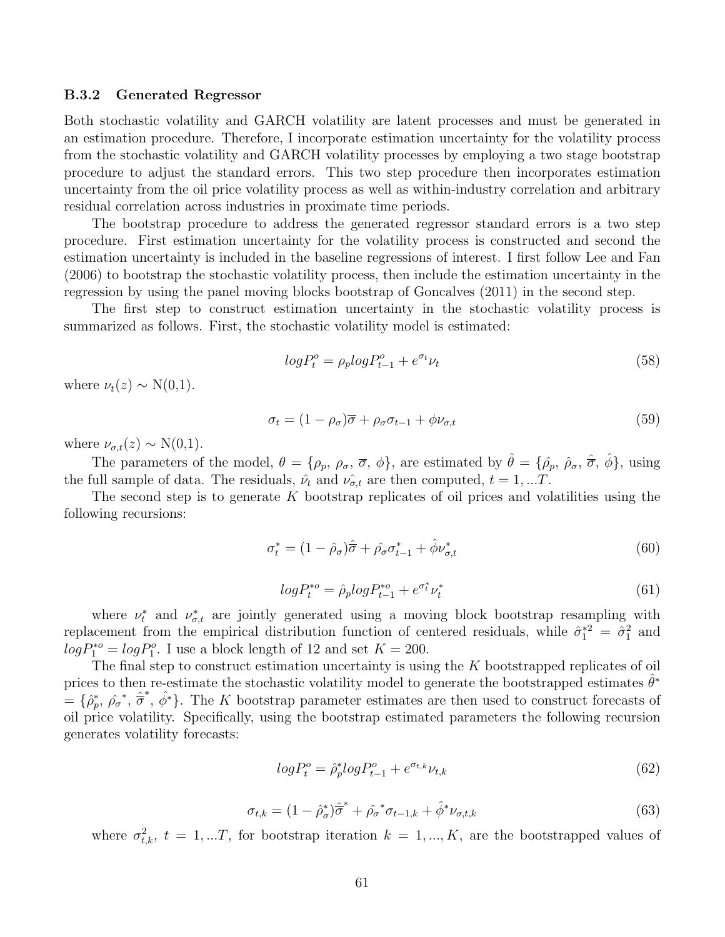#### B.3.2 Generated Regressor

Both stochastic volatility and GARCH volatility are latent processes and must be generated in an estimation procedure. Therefore, I incorporate estimation uncertainty for the volatility process from the stochastic volatility and GARCH volatility processes by employing a two stage bootstrap procedure to adjust the standard errors. This two step procedure then incorporates estimation uncertainty from the oil price volatility process as well as within-industry correlation and arbitrary residual correlation across industries in proximate time periods.

The bootstrap procedure to address the generated regressor standard errors is a two step procedure. First estimation uncertainty for the volatility process is constructed and second the estimation uncertainty is included in the baseline regressions of interest. I first follow [Lee and Fan](#page-43-15) [\(2006\)](#page-43-15) to bootstrap the stochastic volatility process, then include the estimation uncertainty in the regression by using the panel moving blocks bootstrap of Goncalves (2011) in the second step.

The first step to construct estimation uncertainty in the stochastic volatility process is summarized as follows. First, the stochastic volatility model is estimated:

$$
log P_t^o = \rho_p log P_{t-1}^o + e^{\sigma_t} \nu_t \tag{58}
$$

where  $\nu_t(z) \sim N(0,1)$ .

$$
\sigma_t = (1 - \rho_\sigma)\overline{\sigma} + \rho_\sigma \sigma_{t-1} + \phi \nu_{\sigma, t} \tag{59}
$$

where  $\nu_{\sigma,t}(z) \sim N(0,1)$ .

The parameters of the model,  $\theta = {\rho_p, \rho_\sigma, \overline{\sigma}, \phi}$ , are estimated by  $\hat{\theta} = {\rho_p, \rho_\sigma, \hat{\sigma}, \hat{\phi}}$ , using the full sample of data. The residuals,  $\hat{\nu}_t$  and  $\hat{\nu}_{\sigma,t}$  are then computed,  $t = 1, ...T$ .

The second step is to generate K bootstrap replicates of oil prices and volatilities using the following recursions:

$$
\sigma_t^* = (1 - \hat{\rho}_\sigma)\hat{\overline{\sigma}} + \hat{\rho}_\sigma \sigma_{t-1}^* + \hat{\phi} \nu_{\sigma, t}^* \tag{60}
$$

$$
log P_t^{*o} = \hat{\rho}_p log P_{t-1}^{*o} + e^{\sigma_t^*} \nu_t^*
$$
\n(61)

where  $\nu_t^*$  and  $\nu_{\sigma,t}^*$  are jointly generated using a moving block bootstrap resampling with replacement from the empirical distribution function of centered residuals, while  $\hat{\sigma}_1^{*2} = \hat{\sigma}_1^2$  and  $log P_1^{*o} = log P_1^o$ . I use a block length of 12 and set  $K = 200$ .

The final step to construct estimation uncertainty is using the K bootstrapped replicates of oil prices to then re-estimate the stochastic volatility model to generate the bootstrapped estimates  $\hat{\theta}^*$  $=\{\hat{\rho}_p^*, \hat{\rho}_p^*, \hat{\sigma}^*, \hat{\phi}^*\}.$  The K bootstrap parameter estimates are then used to construct forecasts of oil price volatility. Specifically, using the bootstrap estimated parameters the following recursion generates volatility forecasts:

$$
log P_t^o = \hat{\rho}_p^* log P_{t-1}^o + e^{\sigma_{t,k}} \nu_{t,k} \tag{62}
$$

$$
\sigma_{t,k} = (1 - \hat{\rho}_{\sigma}^*)\hat{\sigma}^* + \hat{\rho}_{\sigma}^* \sigma_{t-1,k} + \hat{\phi}^* \nu_{\sigma,t,k}
$$
\n(63)

where  $\sigma_{t,k}^2$ ,  $t = 1,...T$ , for bootstrap iteration  $k = 1,...,K$ , are the bootstrapped values of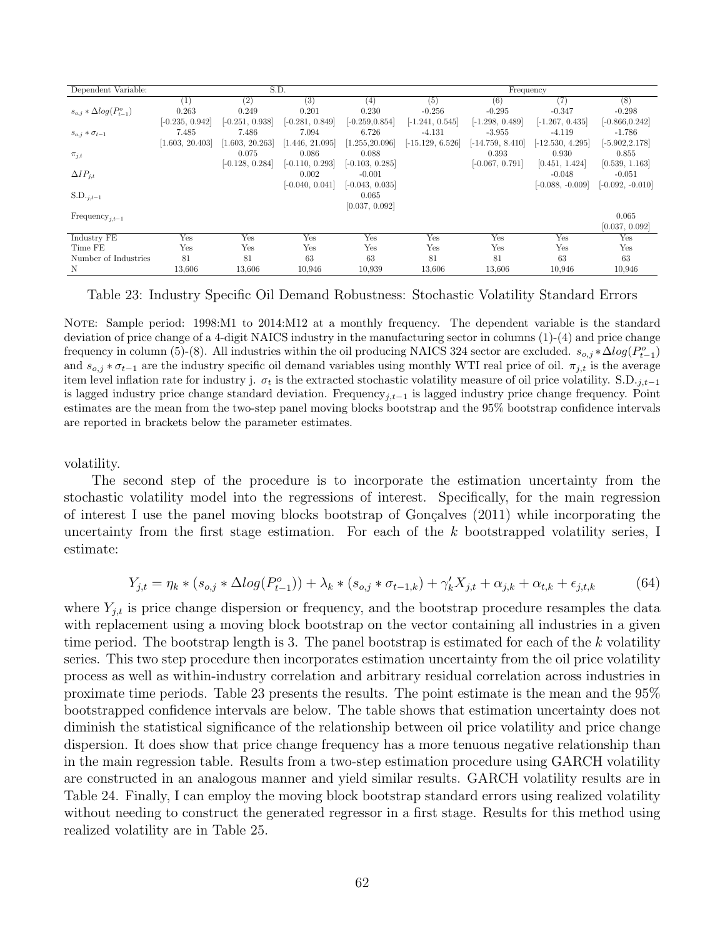<span id="page-63-0"></span>

| Dependent Variable:               |                   | S.D.              |                   |                   | Frequency          |                    |                    |                    |  |
|-----------------------------------|-------------------|-------------------|-------------------|-------------------|--------------------|--------------------|--------------------|--------------------|--|
|                                   | (1)               | (2)               | (3)               | (4)               | (5)                | (6)                | (7)                | (8)                |  |
| $s_{o,i} * \Delta log(P_{t-1}^o)$ | 0.263             | 0.249             | 0.201             | 0.230             | $-0.256$           | $-0.295$           | $-0.347$           | $-0.298$           |  |
|                                   | $[-0.235, 0.942]$ | $[-0.251, 0.938]$ | $[-0.281, 0.849]$ | $[-0.259, 0.854]$ | $[-1.241, 0.545]$  | $[-1.298, 0.489]$  | $[-1.267, 0.435]$  | $[-0.866, 0.242]$  |  |
| $s_{o,i} * \sigma_{t-1}$          | 7.485             | 7.486             | 7.094             | 6.726             | $-4.131$           | $-3.955$           | $-4.119$           | $-1.786$           |  |
|                                   | [1.603, 20.403]   | [1.603, 20.263]   | [1.446, 21.095]   | [1.255, 20.096]   | $[-15.129, 6.526]$ | $[-14.759, 8.410]$ | $[-12.530, 4.295]$ | $[-5.902, 2.178]$  |  |
| $\pi_{j,t}$                       |                   | 0.075             | 0.086             | 0.088             |                    | 0.393              | 0.930              | 0.855              |  |
|                                   |                   | $[-0.128, 0.284]$ | $[-0.110, 0.293]$ | $[-0.103, 0.285]$ |                    | $[-0.067, 0.791]$  | [0.451, 1.424]     | [0.539, 1.163]     |  |
| $\Delta IP_{i,t}$                 |                   |                   | 0.002             | $-0.001$          |                    |                    | $-0.048$           | $-0.051$           |  |
|                                   |                   |                   | $[-0.040, 0.041]$ | $[-0.043, 0.035]$ |                    |                    | $[-0.088, -0.009]$ | $[-0.092, -0.010]$ |  |
| $S.D._{j,t-1}$                    |                   |                   |                   | 0.065             |                    |                    |                    |                    |  |
|                                   |                   |                   |                   | [0.037, 0.092]    |                    |                    |                    |                    |  |
| Frequency <sub>it-1</sub>         |                   |                   |                   |                   |                    |                    |                    | 0.065              |  |
|                                   |                   |                   |                   |                   |                    |                    |                    | [0.037, 0.092]     |  |
| Industry FE                       | Yes               | Yes               | Yes               | Yes               | Yes                | Yes                | Yes                | Yes                |  |
| Time FE                           | Yes               | Yes               | Yes               | Yes               | Yes                | Yes                | Yes                | Yes                |  |
| Number of Industries              | 81                | 81                | 63                | 63                | 81                 | 81                 | 63                 | 63                 |  |
| N                                 | 13,606            | 13,606            | 10.946            | 10.939            | 13.606             | 13.606             | 10.946             | 10.946             |  |

Table 23: Industry Specific Oil Demand Robustness: Stochastic Volatility Standard Errors

NOTE: Sample period: 1998:M1 to 2014:M12 at a monthly frequency. The dependent variable is the standard deviation of price change of a 4-digit NAICS industry in the manufacturing sector in columns (1)-(4) and price change frequency in column (5)-(8). All industries within the oil producing NAICS 324 sector are excluded.  $s_{o,j} * \Delta log(P_{t-1}^o)$ and  $s_{o,i} * \sigma_{t-1}$  are the industry specific oil demand variables using monthly WTI real price of oil.  $\pi_{i,t}$  is the average item level inflation rate for industry j.  $\sigma_t$  is the extracted stochastic volatility measure of oil price volatility. S.D. $_{i,t-1}$ is lagged industry price change standard deviation. Frequency<sub>i,t−1</sub> is lagged industry price change frequency. Point estimates are the mean from the two-step panel moving blocks bootstrap and the 95% bootstrap confidence intervals are reported in brackets below the parameter estimates.

volatility.

The second step of the procedure is to incorporate the estimation uncertainty from the stochastic volatility model into the regressions of interest. Specifically, for the main regression of interest I use the panel moving blocks bootstrap of Gonçalves  $(2011)$  while incorporating the uncertainty from the first stage estimation. For each of the  $k$  bootstrapped volatility series, I estimate:

$$
Y_{j,t} = \eta_k * (s_{o,j} * \Delta log(P_{t-1}^o)) + \lambda_k * (s_{o,j} * \sigma_{t-1,k}) + \gamma_k' X_{j,t} + \alpha_{j,k} + \alpha_{t,k} + \epsilon_{j,t,k}
$$
(64)

where  $Y_{j,t}$  is price change dispersion or frequency, and the bootstrap procedure resamples the data with replacement using a moving block bootstrap on the vector containing all industries in a given time period. The bootstrap length is 3. The panel bootstrap is estimated for each of the  $k$  volatility series. This two step procedure then incorporates estimation uncertainty from the oil price volatility process as well as within-industry correlation and arbitrary residual correlation across industries in proximate time periods. Table [23](#page-63-0) presents the results. The point estimate is the mean and the 95% bootstrapped confidence intervals are below. The table shows that estimation uncertainty does not diminish the statistical significance of the relationship between oil price volatility and price change dispersion. It does show that price change frequency has a more tenuous negative relationship than in the main regression table. Results from a two-step estimation procedure using GARCH volatility are constructed in an analogous manner and yield similar results. GARCH volatility results are in Table [24.](#page-64-0) Finally, I can employ the moving block bootstrap standard errors using realized volatility without needing to construct the generated regressor in a first stage. Results for this method using realized volatility are in Table [25.](#page-64-1)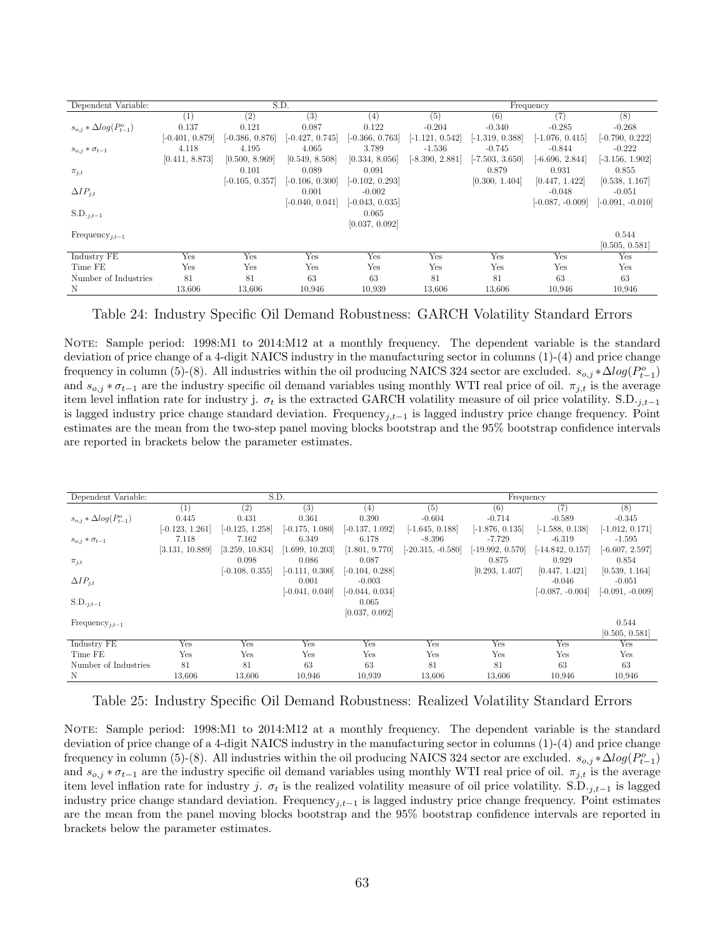<span id="page-64-0"></span>

| Dependent Variable:               |                   |                   | S.D.              |                   |                   |                   | Frequency          |                    |
|-----------------------------------|-------------------|-------------------|-------------------|-------------------|-------------------|-------------------|--------------------|--------------------|
|                                   | $\left(1\right)$  | $\left( 2\right)$ | (3)               | (4)               | (5)               | (6)               | (7)                | (8)                |
| $s_{o,i} * \Delta log(P_{t-1}^o)$ | 0.137             | 0.121             | 0.087             | 0.122             | $-0.204$          | $-0.340$          | $-0.285$           | $-0.268$           |
|                                   | $[-0.401, 0.879]$ | $[-0.386, 0.876]$ | $[-0.427, 0.745]$ | $[-0.366, 0.763]$ | $[-1.121, 0.542]$ | $[-1.319, 0.388]$ | $[-1.076, 0.415]$  | $[-0.790, 0.222]$  |
| $s_{o,i} * \sigma_{t-1}$          | 4.118             | 4.195             | 4.065             | 3.789             | $-1.536$          | $-0.745$          | $-0.844$           | $-0.222$           |
|                                   | [0.411, 8.873]    | [0.500, 8.969]    | [0.549, 8.508]    | [0.334, 8.056]    | $[-8.390, 2.881]$ | $[-7.503, 3.650]$ | $[-6.696, 2.844]$  | $[-3.156, 1.902]$  |
| $\pi_{i,t}$                       |                   | 0.101             | 0.089             | 0.091             |                   | 0.879             | 0.931              | 0.855              |
|                                   |                   | $[-0.105, 0.357]$ | $[-0.106, 0.300]$ | $[-0.102, 0.293]$ |                   | [0.300, 1.404]    | [0.447, 1.422]     | [0.538, 1.167]     |
| $\Delta IP_{i,t}$                 |                   |                   | 0.001             | $-0.002$          |                   |                   | $-0.048$           | $-0.051$           |
|                                   |                   |                   | $[-0.040, 0.041]$ | $[-0.043, 0.035]$ |                   |                   | $[-0.087, -0.009]$ | $[-0.091, -0.010]$ |
| $S.D._{j,t-1}$                    |                   |                   |                   | 0.065             |                   |                   |                    |                    |
|                                   |                   |                   |                   | [0.037, 0.092]    |                   |                   |                    |                    |
| Frequency <sub>it-1</sub>         |                   |                   |                   |                   |                   |                   |                    | 0.544              |
|                                   |                   |                   |                   |                   |                   |                   |                    | [0.505, 0.581]     |
| Industry FE                       | Yes               | Yes               | Yes               | Yes               | Yes               | Yes               | Yes                | Yes                |
| Time FE                           | Yes               | Yes               | Yes               | Yes               | Yes               | Yes               | Yes                | Yes                |
| Number of Industries              | 81                | 81                | 63                | 63                | 81                | 81                | 63                 | 63                 |
| N                                 | 13,606            | 13,606            | 10.946            | 10.939            | 13,606            | 13,606            | 10.946             | 10.946             |

Table 24: Industry Specific Oil Demand Robustness: GARCH Volatility Standard Errors

NOTE: Sample period: 1998:M1 to 2014:M12 at a monthly frequency. The dependent variable is the standard deviation of price change of a 4-digit NAICS industry in the manufacturing sector in columns (1)-(4) and price change frequency in column (5)-(8). All industries within the oil producing NAICS 324 sector are excluded.  $s_{o,j} * \Delta log(P_{t-1}^o)$ and  $s_{o,j} * \sigma_{t-1}$  are the industry specific oil demand variables using monthly WTI real price of oil.  $\pi_{j,t}$  is the average item level inflation rate for industry j.  $\sigma_t$  is the extracted GARCH volatility measure of oil price volatility. S.D.<sub>j,t−1</sub> is lagged industry price change standard deviation. Frequency<sub>j,t−1</sub> is lagged industry price change frequency. Point estimates are the mean from the two-step panel moving blocks bootstrap and the 95% bootstrap confidence intervals are reported in brackets below the parameter estimates.

<span id="page-64-1"></span>

| Dependent Variable:               | S.D.              |                   |                   |                   | Frequency           |                    |                    |                    |  |
|-----------------------------------|-------------------|-------------------|-------------------|-------------------|---------------------|--------------------|--------------------|--------------------|--|
|                                   | (1)               | $\left( 2\right)$ | (3)               | (4)               | (5)                 | (6)                | 17                 | (8)                |  |
| $s_{o,i} * \Delta log(P_{t-1}^o)$ | 0.445             | 0.431             | 0.361             | 0.390             | $-0.604$            | $-0.714$           | $-0.589$           | $-0.345$           |  |
|                                   | $[-0.123, 1.261]$ | $[-0.125, 1.258]$ | $[-0.175, 1.080]$ | $[-0.137, 1.092]$ | $[-1.645, 0.188]$   | $[-1.876, 0.135]$  | $[-1.588, 0.138]$  | $[-1.012, 0.171]$  |  |
| $s_{o,i} * \sigma_{t-1}$          | 7.118             | 7.162             | 6.349             | 6.178             | -8.396              | $-7.729$           | $-6.319$           | $-1.595$           |  |
|                                   | [3.131, 10.889]   | [3.259, 10.834]   | [1.699, 10.203]   | [1.801, 9.770]    | $[-20.315, -0.580]$ | $[-19.992, 0.570]$ | $[-14.842, 0.157]$ | $[-6.607, 2.597]$  |  |
| $\pi_{i,t}$                       |                   | 0.098             | 0.086             | 0.087             |                     | 0.875              | 0.929              | 0.854              |  |
|                                   |                   | $[-0.108, 0.355]$ | $[-0.111, 0.300]$ | $[-0.104, 0.288]$ |                     | [0.293, 1.407]     | [0.447, 1.421]     | [0.539, 1.164]     |  |
| $\Delta IP_{j,t}$                 |                   |                   | 0.001             | $-0.003$          |                     |                    | $-0.046$           | $-0.051$           |  |
|                                   |                   |                   | $[-0.041, 0.040]$ | $[-0.044, 0.034]$ |                     |                    | $[-0.087, -0.004]$ | $[-0.091, -0.009]$ |  |
| $S.D._{j,t-1}$                    |                   |                   |                   | 0.065             |                     |                    |                    |                    |  |
|                                   |                   |                   |                   | [0.037, 0.092]    |                     |                    |                    |                    |  |
| Frequency <sub>i.t-1</sub>        |                   |                   |                   |                   |                     |                    |                    | 0.544              |  |
|                                   |                   |                   |                   |                   |                     |                    |                    | [0.505, 0.581]     |  |
| Industry FE                       | Yes               | Yes               | Yes               | Yes               | Yes                 | Yes                | Yes                | Yes                |  |
| Time FE                           | Yes               | Yes               | Yes               | Yes               | Yes                 | Yes                | Yes                | Yes                |  |
| Number of Industries              | 81                | 81                | 63                | 63                | 81                  | 81                 | 63                 | 63                 |  |
| N                                 | 13,606            | 13,606            | 10,946            | 10,939            | 13,606              | 13,606             | 10,946             | 10,946             |  |

Table 25: Industry Specific Oil Demand Robustness: Realized Volatility Standard Errors

NOTE: Sample period: 1998:M1 to 2014:M12 at a monthly frequency. The dependent variable is the standard deviation of price change of a 4-digit NAICS industry in the manufacturing sector in columns (1)-(4) and price change frequency in column (5)-(8). All industries within the oil producing NAICS 324 sector are excluded.  $s_{o,j} * \Delta log(P_{t-1}^o)$ and  $s_{o,j} * \sigma_{t-1}$  are the industry specific oil demand variables using monthly WTI real price of oil.  $\pi_{j,t}$  is the average item level inflation rate for industry j.  $\sigma_t$  is the realized volatility measure of oil price volatility. S.D.<sub>j,t−1</sub> is lagged industry price change standard deviation. Frequency<sub>j,t−1</sub> is lagged industry price change frequency. Point estimates are the mean from the panel moving blocks bootstrap and the 95% bootstrap confidence intervals are reported in brackets below the parameter estimates.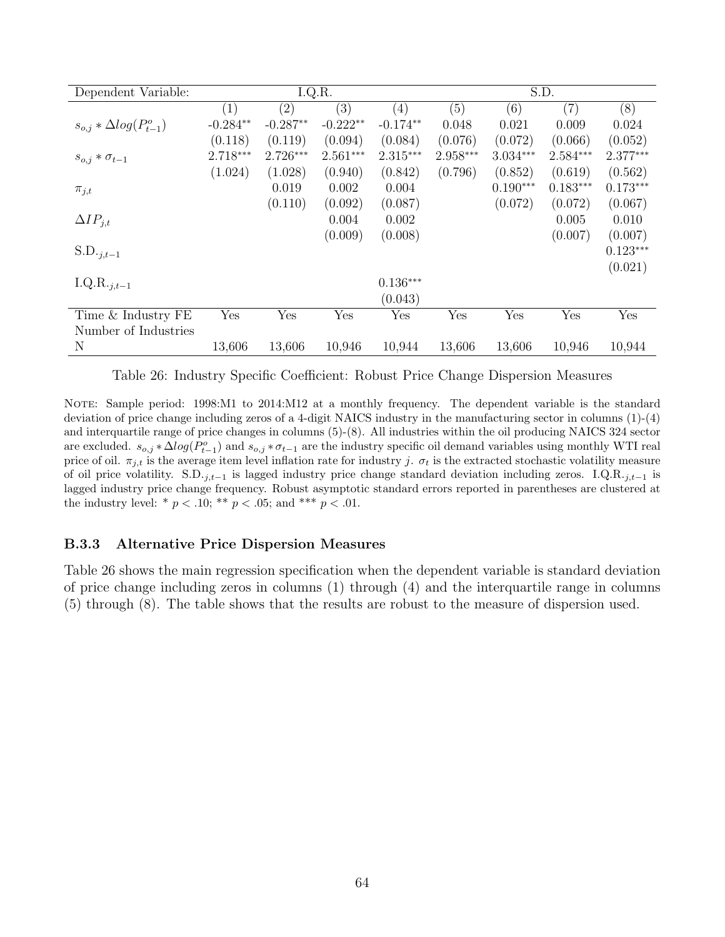<span id="page-65-0"></span>

| Dependent Variable:               | I.Q.R.            |            |            | S.D.       |            |            |            |            |
|-----------------------------------|-------------------|------------|------------|------------|------------|------------|------------|------------|
|                                   | $\left( 1\right)$ | (2)        | (3)        | (4)        | (5)        | (6)        | (7)        | (8)        |
| $s_{o,j} * \Delta log(P_{t-1}^o)$ | $-0.284**$        | $-0.287**$ | $-0.222**$ | $-0.174**$ | 0.048      | 0.021      | 0.009      | 0.024      |
|                                   | (0.118)           | (0.119)    | (0.094)    | (0.084)    | (0.076)    | (0.072)    | (0.066)    | (0.052)    |
| $s_{o,j} * \sigma_{t-1}$          | $2.718***$        | $2.726***$ | $2.561***$ | $2.315***$ | $2.958***$ | $3.034***$ | $2.584***$ | $2.377***$ |
|                                   | (1.024)           | (1.028)    | (0.940)    | (0.842)    | (0.796)    | (0.852)    | (0.619)    | (0.562)    |
| $\pi_{j,t}$                       |                   | 0.019      | 0.002      | 0.004      |            | $0.190***$ | $0.183***$ | $0.173***$ |
|                                   |                   | (0.110)    | (0.092)    | (0.087)    |            | (0.072)    | (0.072)    | (0.067)    |
| $\Delta IP_{j,t}$                 |                   |            | 0.004      | 0.002      |            |            | 0.005      | 0.010      |
|                                   |                   |            | (0.009)    | (0.008)    |            |            | (0.007)    | (0.007)    |
| $S.D._{j,t-1}$                    |                   |            |            |            |            |            |            | $0.123***$ |
|                                   |                   |            |            |            |            |            |            | (0.021)    |
| I.Q.R. $_{j,t-1}$                 |                   |            |            | $0.136***$ |            |            |            |            |
|                                   |                   |            |            | (0.043)    |            |            |            |            |
| Time & Industry FE                | Yes               | Yes        | Yes        | Yes        | Yes        | Yes        | Yes        | Yes        |
| Number of Industries              |                   |            |            |            |            |            |            |            |
| N                                 | 13,606            | 13,606     | 10,946     | 10,944     | 13,606     | 13,606     | 10,946     | 10,944     |

Table 26: Industry Specific Coefficient: Robust Price Change Dispersion Measures

NOTE: Sample period: 1998:M1 to 2014:M12 at a monthly frequency. The dependent variable is the standard deviation of price change including zeros of a 4-digit NAICS industry in the manufacturing sector in columns (1)-(4) and interquartile range of price changes in columns (5)-(8). All industries within the oil producing NAICS 324 sector are excluded.  $s_{o,j} * \Delta log(P_{t-1}^o)$  and  $s_{o,j} * \sigma_{t-1}$  are the industry specific oil demand variables using monthly WTI real price of oil.  $\pi_{j,t}$  is the average item level inflation rate for industry j.  $\sigma_t$  is the extracted stochastic volatility measure of oil price volatility. S.D. $_{j,t-1}$  is lagged industry price change standard deviation including zeros. I.Q.R. $_{j,t-1}$  is lagged industry price change frequency. Robust asymptotic standard errors reported in parentheses are clustered at the industry level: \*  $p < .10$ ; \*\*  $p < .05$ ; and \*\*\*  $p < .01$ .

#### <span id="page-65-1"></span>B.3.3 Alternative Price Dispersion Measures

Table [26](#page-65-0) shows the main regression specification when the dependent variable is standard deviation of price change including zeros in columns (1) through (4) and the interquartile range in columns (5) through (8). The table shows that the results are robust to the measure of dispersion used.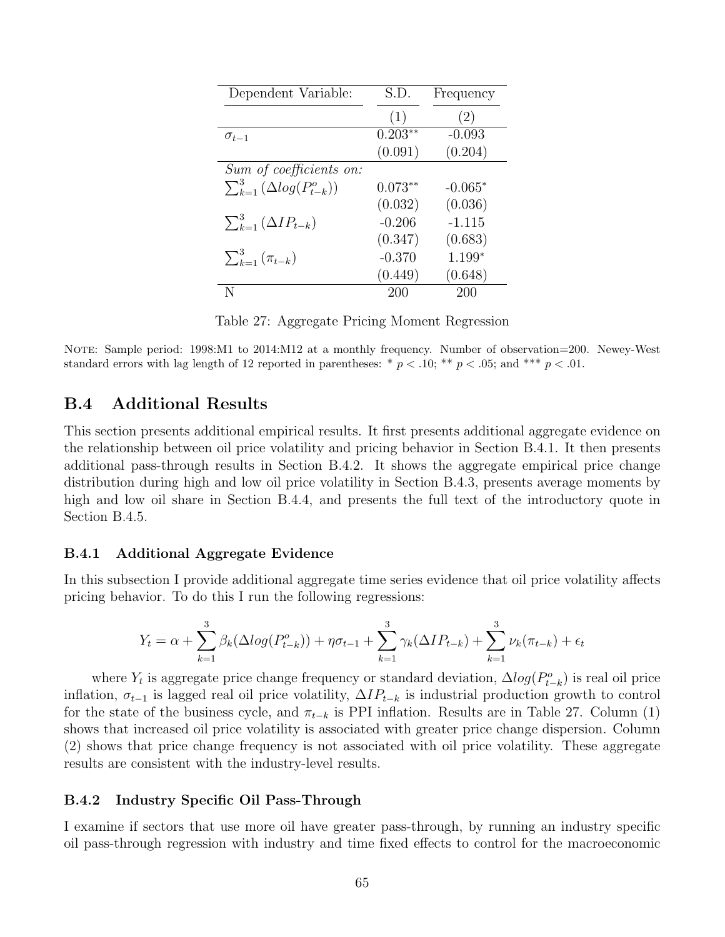<span id="page-66-3"></span>

| Dependent Variable:                                 | S.D.      | Frequency |
|-----------------------------------------------------|-----------|-----------|
|                                                     | (1)       | (2)       |
| $\sigma_{t-1}$                                      | $0.203**$ | $-0.093$  |
|                                                     | (0.091)   | (0.204)   |
| Sum of coefficients on:                             |           |           |
| $\sum_{k=1}^3 \left( \Delta log(P_{t-k}^o) \right)$ | $0.073**$ | $-0.065*$ |
|                                                     | (0.032)   | (0.036)   |
| $\sum_{k=1}^{3} (\Delta IP_{t-k})$                  | $-0.206$  | $-1.115$  |
|                                                     | (0.347)   | (0.683)   |
| $\sum_{k=1}^{3} (\pi_{t-k})$                        | $-0.370$  | $1.199*$  |
|                                                     | (0.449)   | (0.648)   |
| N                                                   | 200       | 200       |

Table 27: Aggregate Pricing Moment Regression

NOTE: Sample period: 1998:M1 to 2014:M12 at a monthly frequency. Number of observation=200. Newey-West standard errors with lag length of 12 reported in parentheses: \*  $p < .10$ ; \*\*  $p < .05$ ; and \*\*\*  $p < .01$ .

#### <span id="page-66-2"></span>B.4 Additional Results

This section presents additional empirical results. It first presents additional aggregate evidence on the relationship between oil price volatility and pricing behavior in Section [B.4.1.](#page-66-1) It then presents additional pass-through results in Section [B.4.2.](#page-66-0) It shows the aggregate empirical price change distribution during high and low oil price volatility in Section [B.4.3,](#page-68-0) presents average moments by high and low oil share in Section [B.4.4,](#page-68-1) and presents the full text of the introductory quote in Section [B.4.5.](#page-68-2)

#### <span id="page-66-1"></span>B.4.1 Additional Aggregate Evidence

In this subsection I provide additional aggregate time series evidence that oil price volatility affects pricing behavior. To do this I run the following regressions:

$$
Y_{t} = \alpha + \sum_{k=1}^{3} \beta_{k}(\Delta log(P_{t-k}^{o})) + \eta \sigma_{t-1} + \sum_{k=1}^{3} \gamma_{k}(\Delta IP_{t-k}) + \sum_{k=1}^{3} \nu_{k}(\pi_{t-k}) + \epsilon_{t}
$$

where  $Y_t$  is aggregate price change frequency or standard deviation,  $\Delta log(P_{t-k}^o)$  is real oil price inflation,  $\sigma_{t-1}$  is lagged real oil price volatility,  $\Delta IP_{t-k}$  is industrial production growth to control for the state of the business cycle, and  $\pi_{t-k}$  is PPI inflation. Results are in Table [27.](#page-66-3) Column (1) shows that increased oil price volatility is associated with greater price change dispersion. Column (2) shows that price change frequency is not associated with oil price volatility. These aggregate results are consistent with the industry-level results.

#### <span id="page-66-0"></span>B.4.2 Industry Specific Oil Pass-Through

I examine if sectors that use more oil have greater pass-through, by running an industry specific oil pass-through regression with industry and time fixed effects to control for the macroeconomic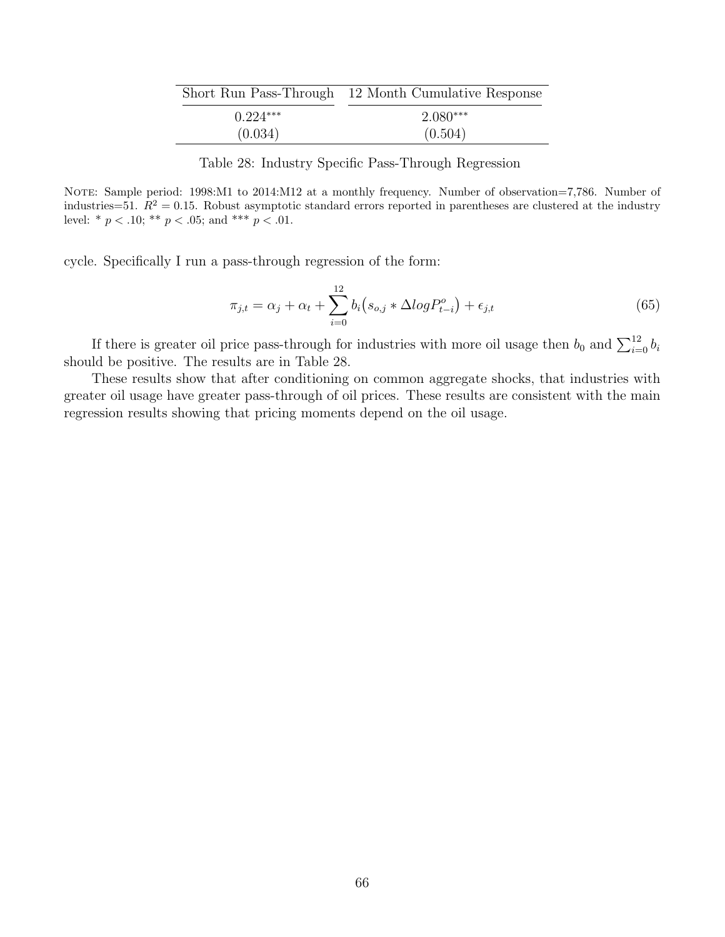|            | Short Run Pass-Through 12 Month Cumulative Response |
|------------|-----------------------------------------------------|
| $0.224***$ | $2.080***$                                          |
| (0.034)    | (0.504)                                             |

Table 28: Industry Specific Pass-Through Regression

<span id="page-67-0"></span>NOTE: Sample period: 1998:M1 to 2014:M12 at a monthly frequency. Number of observation=7,786. Number of industries=51.  $R^2 = 0.15$ . Robust asymptotic standard errors reported in parentheses are clustered at the industry level: \*  $p < .10$ ; \*\*  $p < .05$ ; and \*\*\*  $p < .01$ .

cycle. Specifically I run a pass-through regression of the form:

$$
\pi_{j,t} = \alpha_j + \alpha_t + \sum_{i=0}^{12} b_i (s_{o,j} * \Delta log P_{t-i}^o) + \epsilon_{j,t}
$$
\n(65)

If there is greater oil price pass-through for industries with more oil usage then  $b_0$  and  $\sum_{i=0}^{12} b_i$ should be positive. The results are in Table [28.](#page-67-0)

These results show that after conditioning on common aggregate shocks, that industries with greater oil usage have greater pass-through of oil prices. These results are consistent with the main regression results showing that pricing moments depend on the oil usage.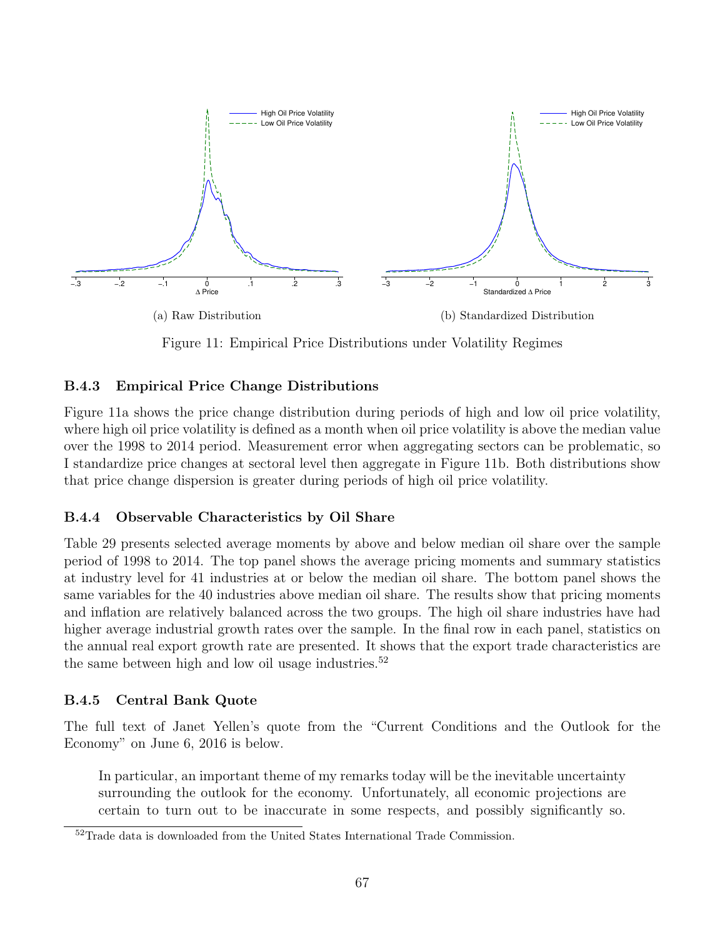<span id="page-68-3"></span>

<span id="page-68-4"></span>Figure 11: Empirical Price Distributions under Volatility Regimes

### <span id="page-68-0"></span>B.4.3 Empirical Price Change Distributions

Figure [11a](#page-68-3) shows the price change distribution during periods of high and low oil price volatility, where high oil price volatility is defined as a month when oil price volatility is above the median value over the 1998 to 2014 period. Measurement error when aggregating sectors can be problematic, so I standardize price changes at sectoral level then aggregate in Figure [11b.](#page-68-4) Both distributions show that price change dispersion is greater during periods of high oil price volatility.

## <span id="page-68-1"></span>B.4.4 Observable Characteristics by Oil Share

Table [29](#page-69-0) presents selected average moments by above and below median oil share over the sample period of 1998 to 2014. The top panel shows the average pricing moments and summary statistics at industry level for 41 industries at or below the median oil share. The bottom panel shows the same variables for the 40 industries above median oil share. The results show that pricing moments and inflation are relatively balanced across the two groups. The high oil share industries have had higher average industrial growth rates over the sample. In the final row in each panel, statistics on the annual real export growth rate are presented. It shows that the export trade characteristics are the same between high and low oil usage industries.<sup>[52](#page-1-0)</sup>

## <span id="page-68-2"></span>B.4.5 Central Bank Quote

The full text of Janet Yellen's quote from the "Current Conditions and the Outlook for the Economy" on June 6, 2016 is below.

In particular, an important theme of my remarks today will be the inevitable uncertainty surrounding the outlook for the economy. Unfortunately, all economic projections are certain to turn out to be inaccurate in some respects, and possibly significantly so.

<sup>52</sup>Trade data is downloaded from the United States International Trade Commission.